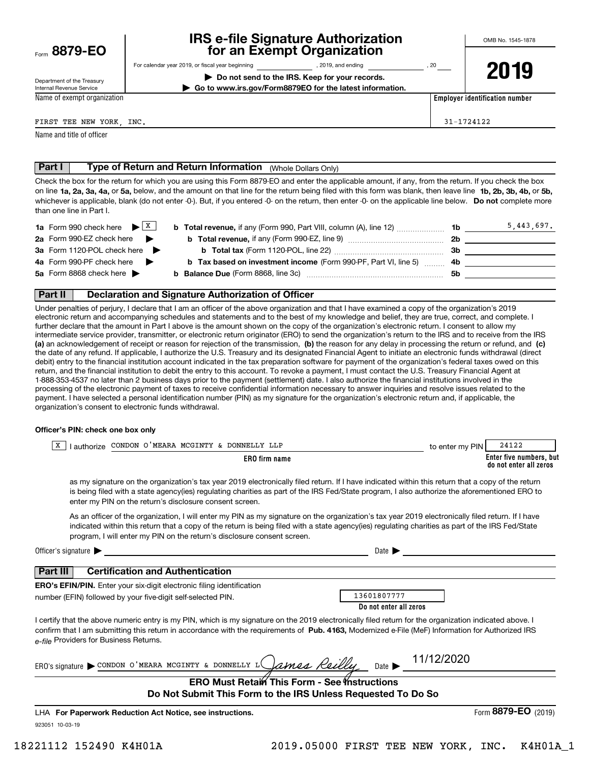| Form 8879-EO |  |
|--------------|--|
|              |  |

# **IRS e-file Signature Authorization for an Exempt Organization**

Department of the Treasury Internal Revenue Service Name of exempt organization For calendar year 2019, or fiscal year beginning and the state of the state of 2019, and ending calendary permu

**| Do not send to the IRS. Keep for your records. | Go to www.irs.gov/Form8879EO for the latest information.** **2019**

**Employer identification number**

FIRST TEE NEW YORK, INC. THE SECOND SECOND SECOND SECOND SECOND SECOND SECOND SECOND SECOND SECOND SECOND SECOND SECOND SECOND SECOND SECOND SECOND SECOND SECOND SECOND SECOND SECOND SECOND SECOND SECOND SECOND SECOND SECO

Name and title of officer

# **Part I | Type of Return and Return Information** (Whole Dollars Only)<br>Check the box for the return for which you are using this Form 8879-FO and enter the an

on line **1a, 2a, 3a, 4a,** or **5a,** below, and the amount on that line for the return being filed with this form was blank, then leave line **1b, 2b, 3b, 4b,** or **5b,** whichever is applicable, blank (do not enter -0-). But, if you entered -0- on the return, then enter -0- on the applicable line below. **Do not** complete more Check the box for the return for which you are using this Form 8879-EO and enter the applicable amount, if any, from the return. If you check the box than one line in Part I.

| <b>1a</b> Form 990 check here $\blacktriangleright$ $\begin{array}{c} \times \end{array}$ | <b>b Total revenue,</b> if any (Form 990, Part VIII, column (A), line 12)        | 1b. | 5,443,697. |
|-------------------------------------------------------------------------------------------|----------------------------------------------------------------------------------|-----|------------|
| 2a Form 990-EZ check here $\blacktriangleright$                                           | <b>b</b> Total revenue, if any (Form 990-EZ, line 9)                             | 2b  |            |
| <b>3a</b> Form 1120-POL check here ▶                                                      | <b>b</b> Total tax (Form 1120-POL, line 22) <b>manual</b> contains the Total tax | 3b. |            |
| 4a Form 990-PF check here $\blacktriangleright$                                           | <b>b</b> Tax based on investment income (Form 990-PF, Part VI, line 5) 4b        |     |            |
| 5a Form 8868 check here $\blacktriangleright$                                             |                                                                                  | 5b  |            |
|                                                                                           |                                                                                  |     |            |

### **Part II Declaration and Signature Authorization of Officer**

**(a)** an acknowledgement of receipt or reason for rejection of the transmission, (b) the reason for any delay in processing the return or refund, and (c) Under penalties of perjury, I declare that I am an officer of the above organization and that I have examined a copy of the organization's 2019 electronic return and accompanying schedules and statements and to the best of my knowledge and belief, they are true, correct, and complete. I further declare that the amount in Part I above is the amount shown on the copy of the organization's electronic return. I consent to allow my intermediate service provider, transmitter, or electronic return originator (ERO) to send the organization's return to the IRS and to receive from the IRS the date of any refund. If applicable, I authorize the U.S. Treasury and its designated Financial Agent to initiate an electronic funds withdrawal (direct debit) entry to the financial institution account indicated in the tax preparation software for payment of the organization's federal taxes owed on this return, and the financial institution to debit the entry to this account. To revoke a payment, I must contact the U.S. Treasury Financial Agent at 1-888-353-4537 no later than 2 business days prior to the payment (settlement) date. I also authorize the financial institutions involved in the processing of the electronic payment of taxes to receive confidential information necessary to answer inquiries and resolve issues related to the payment. I have selected a personal identification number (PIN) as my signature for the organization's electronic return and, if applicable, the organization's consent to electronic funds withdrawal.

#### **Officer's PIN: check one box only**

| authorize CONDON O'MEARA MCGINTY & DONNELLY LLP<br>х                                                                                                                                                                                                                                                                                                                             | 24122<br>to enter my PIN                          |
|----------------------------------------------------------------------------------------------------------------------------------------------------------------------------------------------------------------------------------------------------------------------------------------------------------------------------------------------------------------------------------|---------------------------------------------------|
| <b>ERO</b> firm name                                                                                                                                                                                                                                                                                                                                                             | Enter five numbers, but<br>do not enter all zeros |
| as my signature on the organization's tax year 2019 electronically filed return. If I have indicated within this return that a copy of the return<br>is being filed with a state agency(ies) regulating charities as part of the IRS Fed/State program, I also authorize the aforementioned ERO to<br>enter my PIN on the return's disclosure consent screen.                    |                                                   |
| As an officer of the organization, I will enter my PIN as my signature on the organization's tax year 2019 electronically filed return. If I have<br>indicated within this return that a copy of the return is being filed with a state agency(ies) regulating charities as part of the IRS Fed/State<br>program, I will enter my PIN on the return's disclosure consent screen. |                                                   |
| Officer's signature $\blacktriangleright$                                                                                                                                                                                                                                                                                                                                        | Date $\blacktriangleright$                        |
| <b>Certification and Authentication</b><br><b>Part III</b>                                                                                                                                                                                                                                                                                                                       |                                                   |
| ERO's EFIN/PIN. Enter your six-digit electronic filing identification                                                                                                                                                                                                                                                                                                            |                                                   |
| number (EFIN) followed by your five-digit self-selected PIN.                                                                                                                                                                                                                                                                                                                     | 13601807777                                       |
|                                                                                                                                                                                                                                                                                                                                                                                  | Do not enter all zeros                            |
| I certify that the above numeric entry is my PIN, which is my signature on the 2019 electronically filed return for the organization indicated above. I<br>confirm that I am submitting this return in accordance with the requirements of Pub. 4163, Modernized e-File (MeF) Information for Authorized IRS<br>e-file Providers for Business Returns.                           |                                                   |
| ERO's signature CONDON O'MEARA MCGINTY & DONNELLY L Cames Reilly                                                                                                                                                                                                                                                                                                                 | Date $\triangleright$ 11/12/2020                  |
| <b>ERO Must Retain This Form - See Instructions</b><br>Do Not Submit This Form to the IRS Unless Requested To Do So                                                                                                                                                                                                                                                              |                                                   |
| LHA For Paperwork Reduction Act Notice, see instructions.                                                                                                                                                                                                                                                                                                                        | Form 8879-EO $(2019)$                             |

923051 10-03-19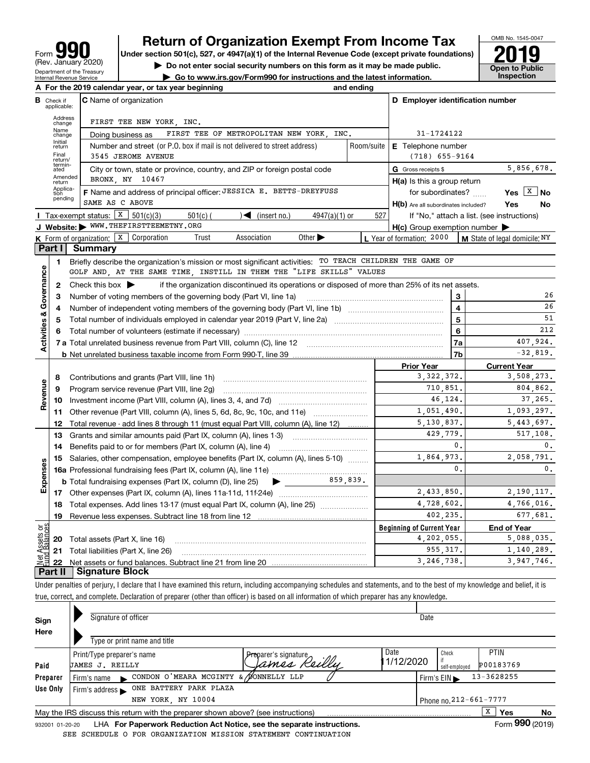# **Return of Organization Exempt From Income Tax**

Under section 501(c), 527, or 4947(a)(1) of the Internal Revenue Code (except private foundations) **2019** 

**| Do not enter social security numbers on this form as it may be made public.**

**| Go to www.irs.gov/Form990 for instructions and the latest information. Inspection**



| D Employer identification number<br><b>C</b> Name of organization<br>в<br>Check if<br>applicable:<br>Address<br>FIRST TEE NEW YORK, INC.<br>change<br>Name<br>FIRST TEE OF METROPOLITAN NEW YORK, INC.<br>31-1724122<br>Doing business as<br>change<br>Initial<br>Room/suite<br>Number and street (or P.O. box if mail is not delivered to street address)<br><b>E</b> Telephone number<br>return<br>Final<br>3545 JEROME AVENUE<br>$(718)$ 655-9164<br>return/<br>termin-<br>5,856,678.<br>G Gross receipts \$<br>City or town, state or province, country, and ZIP or foreign postal code<br>ated<br>Amended<br>BRONX, NY 10467<br>$H(a)$ is this a group return<br>return<br>Applica-<br>F Name and address of principal officer: JESSICA E. BETTS-DREYFUSS<br>Yes $X$ No<br>for subordinates?<br>tion<br>pending<br>SAME AS C ABOVE<br>Yes<br>No<br>H(b) Are all subordinates included?<br>Tax-exempt status: $X \ 501(c)(3)$<br>$\sqrt{\frac{2}{1}}$ (insert no.)<br>527<br>$501(c)$ (<br>$4947(a)(1)$ or<br>If "No," attach a list. (see instructions)<br>J Website: WWW.THEFIRSTTEEMETNY.ORG<br>$H(c)$ Group exemption number $\blacktriangleright$<br>K Form of organization: $X$ Corporation<br>Association<br>Other $\blacktriangleright$<br>L Year of formation: 2000<br>Trust<br>M State of legal domicile: NY<br>Part I<br><b>Summary</b><br>Briefly describe the organization's mission or most significant activities: TO TEACH CHILDREN THE GAME OF<br>1<br>Activities & Governance<br>GOLF AND, AT THE SAME TIME, INSTILL IN THEM THE "LIFE SKILLS" VALUES<br>Check this box $\blacktriangleright$<br>if the organization discontinued its operations or disposed of more than 25% of its net assets.<br>$\mathbf{2}$<br>26<br>3<br>з<br>Number of voting members of the governing body (Part VI, line 1a)<br>$\overline{4}$<br>26<br>4<br>$\overline{5}$<br>51<br>5<br>212<br>6<br>6<br>407,924.<br>7a<br>$-32.819.$<br>7b<br><b>Prior Year</b><br><b>Current Year</b><br>3, 322, 372.<br>3,508,273.<br>8<br>Contributions and grants (Part VIII, line 1h)<br>Revenue<br>710,851.<br>804,862.<br>Program service revenue (Part VIII, line 2g)<br>9<br>37,265.<br>46,124.<br><b>10</b> Investment income (Part VIII, column (A), lines 3, 4, and 7d) <i>multimarroum</i> multimarrow<br>1,051,490.<br>1,093,297.<br>11 Other revenue (Part VIII, column (A), lines 5, 6d, 8c, 9c, 10c, and 11e)<br>5,130,837.<br>5,443,697.<br>12<br>Total revenue - add lines 8 through 11 (must equal Part VIII, column (A), line 12)<br>429,779.<br>517.108.<br>Grants and similar amounts paid (Part IX, column (A), lines 1-3)<br>13<br>0.<br>$\mathbf{0}$ .<br>Benefits paid to or for members (Part IX, column (A), line 4)<br>14<br>1,864,973.<br>2,058,791.<br>Salaries, other compensation, employee benefits (Part IX, column (A), lines 5-10)<br>15<br>Expenses<br>$\mathbf{0}$ .<br>$\mathbf{0}$ .<br>859,839.<br><b>b</b> Total fundraising expenses (Part IX, column (D), line 25)<br>2,433,850.<br>2,190,117. |
|--------------------------------------------------------------------------------------------------------------------------------------------------------------------------------------------------------------------------------------------------------------------------------------------------------------------------------------------------------------------------------------------------------------------------------------------------------------------------------------------------------------------------------------------------------------------------------------------------------------------------------------------------------------------------------------------------------------------------------------------------------------------------------------------------------------------------------------------------------------------------------------------------------------------------------------------------------------------------------------------------------------------------------------------------------------------------------------------------------------------------------------------------------------------------------------------------------------------------------------------------------------------------------------------------------------------------------------------------------------------------------------------------------------------------------------------------------------------------------------------------------------------------------------------------------------------------------------------------------------------------------------------------------------------------------------------------------------------------------------------------------------------------------------------------------------------------------------------------------------------------------------------------------------------------------------------------------------------------------------------------------------------------------------------------------------------------------------------------------------------------------------------------------------------------------------------------------------------------------------------------------------------------------------------------------------------------------------------------------------------------------------------------------------------------------------------------------------------------------------------------------------------------------------------------------------------------------------------------------------------------------------------------------------------------------------------------------------------------------------------------------------------------------------------------------------------------------------------------------------------------------------------------------------------------------------------------------------------------------------------------------------------------------|
|                                                                                                                                                                                                                                                                                                                                                                                                                                                                                                                                                                                                                                                                                                                                                                                                                                                                                                                                                                                                                                                                                                                                                                                                                                                                                                                                                                                                                                                                                                                                                                                                                                                                                                                                                                                                                                                                                                                                                                                                                                                                                                                                                                                                                                                                                                                                                                                                                                                                                                                                                                                                                                                                                                                                                                                                                                                                                                                                                                                                                                |
|                                                                                                                                                                                                                                                                                                                                                                                                                                                                                                                                                                                                                                                                                                                                                                                                                                                                                                                                                                                                                                                                                                                                                                                                                                                                                                                                                                                                                                                                                                                                                                                                                                                                                                                                                                                                                                                                                                                                                                                                                                                                                                                                                                                                                                                                                                                                                                                                                                                                                                                                                                                                                                                                                                                                                                                                                                                                                                                                                                                                                                |
|                                                                                                                                                                                                                                                                                                                                                                                                                                                                                                                                                                                                                                                                                                                                                                                                                                                                                                                                                                                                                                                                                                                                                                                                                                                                                                                                                                                                                                                                                                                                                                                                                                                                                                                                                                                                                                                                                                                                                                                                                                                                                                                                                                                                                                                                                                                                                                                                                                                                                                                                                                                                                                                                                                                                                                                                                                                                                                                                                                                                                                |
|                                                                                                                                                                                                                                                                                                                                                                                                                                                                                                                                                                                                                                                                                                                                                                                                                                                                                                                                                                                                                                                                                                                                                                                                                                                                                                                                                                                                                                                                                                                                                                                                                                                                                                                                                                                                                                                                                                                                                                                                                                                                                                                                                                                                                                                                                                                                                                                                                                                                                                                                                                                                                                                                                                                                                                                                                                                                                                                                                                                                                                |
|                                                                                                                                                                                                                                                                                                                                                                                                                                                                                                                                                                                                                                                                                                                                                                                                                                                                                                                                                                                                                                                                                                                                                                                                                                                                                                                                                                                                                                                                                                                                                                                                                                                                                                                                                                                                                                                                                                                                                                                                                                                                                                                                                                                                                                                                                                                                                                                                                                                                                                                                                                                                                                                                                                                                                                                                                                                                                                                                                                                                                                |
|                                                                                                                                                                                                                                                                                                                                                                                                                                                                                                                                                                                                                                                                                                                                                                                                                                                                                                                                                                                                                                                                                                                                                                                                                                                                                                                                                                                                                                                                                                                                                                                                                                                                                                                                                                                                                                                                                                                                                                                                                                                                                                                                                                                                                                                                                                                                                                                                                                                                                                                                                                                                                                                                                                                                                                                                                                                                                                                                                                                                                                |
|                                                                                                                                                                                                                                                                                                                                                                                                                                                                                                                                                                                                                                                                                                                                                                                                                                                                                                                                                                                                                                                                                                                                                                                                                                                                                                                                                                                                                                                                                                                                                                                                                                                                                                                                                                                                                                                                                                                                                                                                                                                                                                                                                                                                                                                                                                                                                                                                                                                                                                                                                                                                                                                                                                                                                                                                                                                                                                                                                                                                                                |
|                                                                                                                                                                                                                                                                                                                                                                                                                                                                                                                                                                                                                                                                                                                                                                                                                                                                                                                                                                                                                                                                                                                                                                                                                                                                                                                                                                                                                                                                                                                                                                                                                                                                                                                                                                                                                                                                                                                                                                                                                                                                                                                                                                                                                                                                                                                                                                                                                                                                                                                                                                                                                                                                                                                                                                                                                                                                                                                                                                                                                                |
|                                                                                                                                                                                                                                                                                                                                                                                                                                                                                                                                                                                                                                                                                                                                                                                                                                                                                                                                                                                                                                                                                                                                                                                                                                                                                                                                                                                                                                                                                                                                                                                                                                                                                                                                                                                                                                                                                                                                                                                                                                                                                                                                                                                                                                                                                                                                                                                                                                                                                                                                                                                                                                                                                                                                                                                                                                                                                                                                                                                                                                |
|                                                                                                                                                                                                                                                                                                                                                                                                                                                                                                                                                                                                                                                                                                                                                                                                                                                                                                                                                                                                                                                                                                                                                                                                                                                                                                                                                                                                                                                                                                                                                                                                                                                                                                                                                                                                                                                                                                                                                                                                                                                                                                                                                                                                                                                                                                                                                                                                                                                                                                                                                                                                                                                                                                                                                                                                                                                                                                                                                                                                                                |
|                                                                                                                                                                                                                                                                                                                                                                                                                                                                                                                                                                                                                                                                                                                                                                                                                                                                                                                                                                                                                                                                                                                                                                                                                                                                                                                                                                                                                                                                                                                                                                                                                                                                                                                                                                                                                                                                                                                                                                                                                                                                                                                                                                                                                                                                                                                                                                                                                                                                                                                                                                                                                                                                                                                                                                                                                                                                                                                                                                                                                                |
|                                                                                                                                                                                                                                                                                                                                                                                                                                                                                                                                                                                                                                                                                                                                                                                                                                                                                                                                                                                                                                                                                                                                                                                                                                                                                                                                                                                                                                                                                                                                                                                                                                                                                                                                                                                                                                                                                                                                                                                                                                                                                                                                                                                                                                                                                                                                                                                                                                                                                                                                                                                                                                                                                                                                                                                                                                                                                                                                                                                                                                |
|                                                                                                                                                                                                                                                                                                                                                                                                                                                                                                                                                                                                                                                                                                                                                                                                                                                                                                                                                                                                                                                                                                                                                                                                                                                                                                                                                                                                                                                                                                                                                                                                                                                                                                                                                                                                                                                                                                                                                                                                                                                                                                                                                                                                                                                                                                                                                                                                                                                                                                                                                                                                                                                                                                                                                                                                                                                                                                                                                                                                                                |
|                                                                                                                                                                                                                                                                                                                                                                                                                                                                                                                                                                                                                                                                                                                                                                                                                                                                                                                                                                                                                                                                                                                                                                                                                                                                                                                                                                                                                                                                                                                                                                                                                                                                                                                                                                                                                                                                                                                                                                                                                                                                                                                                                                                                                                                                                                                                                                                                                                                                                                                                                                                                                                                                                                                                                                                                                                                                                                                                                                                                                                |
|                                                                                                                                                                                                                                                                                                                                                                                                                                                                                                                                                                                                                                                                                                                                                                                                                                                                                                                                                                                                                                                                                                                                                                                                                                                                                                                                                                                                                                                                                                                                                                                                                                                                                                                                                                                                                                                                                                                                                                                                                                                                                                                                                                                                                                                                                                                                                                                                                                                                                                                                                                                                                                                                                                                                                                                                                                                                                                                                                                                                                                |
|                                                                                                                                                                                                                                                                                                                                                                                                                                                                                                                                                                                                                                                                                                                                                                                                                                                                                                                                                                                                                                                                                                                                                                                                                                                                                                                                                                                                                                                                                                                                                                                                                                                                                                                                                                                                                                                                                                                                                                                                                                                                                                                                                                                                                                                                                                                                                                                                                                                                                                                                                                                                                                                                                                                                                                                                                                                                                                                                                                                                                                |
|                                                                                                                                                                                                                                                                                                                                                                                                                                                                                                                                                                                                                                                                                                                                                                                                                                                                                                                                                                                                                                                                                                                                                                                                                                                                                                                                                                                                                                                                                                                                                                                                                                                                                                                                                                                                                                                                                                                                                                                                                                                                                                                                                                                                                                                                                                                                                                                                                                                                                                                                                                                                                                                                                                                                                                                                                                                                                                                                                                                                                                |
|                                                                                                                                                                                                                                                                                                                                                                                                                                                                                                                                                                                                                                                                                                                                                                                                                                                                                                                                                                                                                                                                                                                                                                                                                                                                                                                                                                                                                                                                                                                                                                                                                                                                                                                                                                                                                                                                                                                                                                                                                                                                                                                                                                                                                                                                                                                                                                                                                                                                                                                                                                                                                                                                                                                                                                                                                                                                                                                                                                                                                                |
|                                                                                                                                                                                                                                                                                                                                                                                                                                                                                                                                                                                                                                                                                                                                                                                                                                                                                                                                                                                                                                                                                                                                                                                                                                                                                                                                                                                                                                                                                                                                                                                                                                                                                                                                                                                                                                                                                                                                                                                                                                                                                                                                                                                                                                                                                                                                                                                                                                                                                                                                                                                                                                                                                                                                                                                                                                                                                                                                                                                                                                |
|                                                                                                                                                                                                                                                                                                                                                                                                                                                                                                                                                                                                                                                                                                                                                                                                                                                                                                                                                                                                                                                                                                                                                                                                                                                                                                                                                                                                                                                                                                                                                                                                                                                                                                                                                                                                                                                                                                                                                                                                                                                                                                                                                                                                                                                                                                                                                                                                                                                                                                                                                                                                                                                                                                                                                                                                                                                                                                                                                                                                                                |
|                                                                                                                                                                                                                                                                                                                                                                                                                                                                                                                                                                                                                                                                                                                                                                                                                                                                                                                                                                                                                                                                                                                                                                                                                                                                                                                                                                                                                                                                                                                                                                                                                                                                                                                                                                                                                                                                                                                                                                                                                                                                                                                                                                                                                                                                                                                                                                                                                                                                                                                                                                                                                                                                                                                                                                                                                                                                                                                                                                                                                                |
|                                                                                                                                                                                                                                                                                                                                                                                                                                                                                                                                                                                                                                                                                                                                                                                                                                                                                                                                                                                                                                                                                                                                                                                                                                                                                                                                                                                                                                                                                                                                                                                                                                                                                                                                                                                                                                                                                                                                                                                                                                                                                                                                                                                                                                                                                                                                                                                                                                                                                                                                                                                                                                                                                                                                                                                                                                                                                                                                                                                                                                |
|                                                                                                                                                                                                                                                                                                                                                                                                                                                                                                                                                                                                                                                                                                                                                                                                                                                                                                                                                                                                                                                                                                                                                                                                                                                                                                                                                                                                                                                                                                                                                                                                                                                                                                                                                                                                                                                                                                                                                                                                                                                                                                                                                                                                                                                                                                                                                                                                                                                                                                                                                                                                                                                                                                                                                                                                                                                                                                                                                                                                                                |
|                                                                                                                                                                                                                                                                                                                                                                                                                                                                                                                                                                                                                                                                                                                                                                                                                                                                                                                                                                                                                                                                                                                                                                                                                                                                                                                                                                                                                                                                                                                                                                                                                                                                                                                                                                                                                                                                                                                                                                                                                                                                                                                                                                                                                                                                                                                                                                                                                                                                                                                                                                                                                                                                                                                                                                                                                                                                                                                                                                                                                                |
|                                                                                                                                                                                                                                                                                                                                                                                                                                                                                                                                                                                                                                                                                                                                                                                                                                                                                                                                                                                                                                                                                                                                                                                                                                                                                                                                                                                                                                                                                                                                                                                                                                                                                                                                                                                                                                                                                                                                                                                                                                                                                                                                                                                                                                                                                                                                                                                                                                                                                                                                                                                                                                                                                                                                                                                                                                                                                                                                                                                                                                |
|                                                                                                                                                                                                                                                                                                                                                                                                                                                                                                                                                                                                                                                                                                                                                                                                                                                                                                                                                                                                                                                                                                                                                                                                                                                                                                                                                                                                                                                                                                                                                                                                                                                                                                                                                                                                                                                                                                                                                                                                                                                                                                                                                                                                                                                                                                                                                                                                                                                                                                                                                                                                                                                                                                                                                                                                                                                                                                                                                                                                                                |
|                                                                                                                                                                                                                                                                                                                                                                                                                                                                                                                                                                                                                                                                                                                                                                                                                                                                                                                                                                                                                                                                                                                                                                                                                                                                                                                                                                                                                                                                                                                                                                                                                                                                                                                                                                                                                                                                                                                                                                                                                                                                                                                                                                                                                                                                                                                                                                                                                                                                                                                                                                                                                                                                                                                                                                                                                                                                                                                                                                                                                                |
|                                                                                                                                                                                                                                                                                                                                                                                                                                                                                                                                                                                                                                                                                                                                                                                                                                                                                                                                                                                                                                                                                                                                                                                                                                                                                                                                                                                                                                                                                                                                                                                                                                                                                                                                                                                                                                                                                                                                                                                                                                                                                                                                                                                                                                                                                                                                                                                                                                                                                                                                                                                                                                                                                                                                                                                                                                                                                                                                                                                                                                |
|                                                                                                                                                                                                                                                                                                                                                                                                                                                                                                                                                                                                                                                                                                                                                                                                                                                                                                                                                                                                                                                                                                                                                                                                                                                                                                                                                                                                                                                                                                                                                                                                                                                                                                                                                                                                                                                                                                                                                                                                                                                                                                                                                                                                                                                                                                                                                                                                                                                                                                                                                                                                                                                                                                                                                                                                                                                                                                                                                                                                                                |
|                                                                                                                                                                                                                                                                                                                                                                                                                                                                                                                                                                                                                                                                                                                                                                                                                                                                                                                                                                                                                                                                                                                                                                                                                                                                                                                                                                                                                                                                                                                                                                                                                                                                                                                                                                                                                                                                                                                                                                                                                                                                                                                                                                                                                                                                                                                                                                                                                                                                                                                                                                                                                                                                                                                                                                                                                                                                                                                                                                                                                                |
|                                                                                                                                                                                                                                                                                                                                                                                                                                                                                                                                                                                                                                                                                                                                                                                                                                                                                                                                                                                                                                                                                                                                                                                                                                                                                                                                                                                                                                                                                                                                                                                                                                                                                                                                                                                                                                                                                                                                                                                                                                                                                                                                                                                                                                                                                                                                                                                                                                                                                                                                                                                                                                                                                                                                                                                                                                                                                                                                                                                                                                |
|                                                                                                                                                                                                                                                                                                                                                                                                                                                                                                                                                                                                                                                                                                                                                                                                                                                                                                                                                                                                                                                                                                                                                                                                                                                                                                                                                                                                                                                                                                                                                                                                                                                                                                                                                                                                                                                                                                                                                                                                                                                                                                                                                                                                                                                                                                                                                                                                                                                                                                                                                                                                                                                                                                                                                                                                                                                                                                                                                                                                                                |
|                                                                                                                                                                                                                                                                                                                                                                                                                                                                                                                                                                                                                                                                                                                                                                                                                                                                                                                                                                                                                                                                                                                                                                                                                                                                                                                                                                                                                                                                                                                                                                                                                                                                                                                                                                                                                                                                                                                                                                                                                                                                                                                                                                                                                                                                                                                                                                                                                                                                                                                                                                                                                                                                                                                                                                                                                                                                                                                                                                                                                                |
|                                                                                                                                                                                                                                                                                                                                                                                                                                                                                                                                                                                                                                                                                                                                                                                                                                                                                                                                                                                                                                                                                                                                                                                                                                                                                                                                                                                                                                                                                                                                                                                                                                                                                                                                                                                                                                                                                                                                                                                                                                                                                                                                                                                                                                                                                                                                                                                                                                                                                                                                                                                                                                                                                                                                                                                                                                                                                                                                                                                                                                |
| 4,728,602.<br>4,766,016.<br>Total expenses. Add lines 13-17 (must equal Part IX, column (A), line 25)<br>18                                                                                                                                                                                                                                                                                                                                                                                                                                                                                                                                                                                                                                                                                                                                                                                                                                                                                                                                                                                                                                                                                                                                                                                                                                                                                                                                                                                                                                                                                                                                                                                                                                                                                                                                                                                                                                                                                                                                                                                                                                                                                                                                                                                                                                                                                                                                                                                                                                                                                                                                                                                                                                                                                                                                                                                                                                                                                                                    |
| 402,235.<br>677,681.<br>19                                                                                                                                                                                                                                                                                                                                                                                                                                                                                                                                                                                                                                                                                                                                                                                                                                                                                                                                                                                                                                                                                                                                                                                                                                                                                                                                                                                                                                                                                                                                                                                                                                                                                                                                                                                                                                                                                                                                                                                                                                                                                                                                                                                                                                                                                                                                                                                                                                                                                                                                                                                                                                                                                                                                                                                                                                                                                                                                                                                                     |
| គង្គ<br><b>Beginning of Current Year</b><br><b>End of Year</b>                                                                                                                                                                                                                                                                                                                                                                                                                                                                                                                                                                                                                                                                                                                                                                                                                                                                                                                                                                                                                                                                                                                                                                                                                                                                                                                                                                                                                                                                                                                                                                                                                                                                                                                                                                                                                                                                                                                                                                                                                                                                                                                                                                                                                                                                                                                                                                                                                                                                                                                                                                                                                                                                                                                                                                                                                                                                                                                                                                 |
| 4,202,055.<br>5,088,035.<br><b>20</b> Total assets (Part X, line 16)                                                                                                                                                                                                                                                                                                                                                                                                                                                                                                                                                                                                                                                                                                                                                                                                                                                                                                                                                                                                                                                                                                                                                                                                                                                                                                                                                                                                                                                                                                                                                                                                                                                                                                                                                                                                                                                                                                                                                                                                                                                                                                                                                                                                                                                                                                                                                                                                                                                                                                                                                                                                                                                                                                                                                                                                                                                                                                                                                           |
|                                                                                                                                                                                                                                                                                                                                                                                                                                                                                                                                                                                                                                                                                                                                                                                                                                                                                                                                                                                                                                                                                                                                                                                                                                                                                                                                                                                                                                                                                                                                                                                                                                                                                                                                                                                                                                                                                                                                                                                                                                                                                                                                                                                                                                                                                                                                                                                                                                                                                                                                                                                                                                                                                                                                                                                                                                                                                                                                                                                                                                |
| Assets<br>d'Balanc<br>955, 317.<br>1,140,289.<br>21 Total liabilities (Part X, line 26)<br>写<br>3,246,738.<br>3,947,746.                                                                                                                                                                                                                                                                                                                                                                                                                                                                                                                                                                                                                                                                                                                                                                                                                                                                                                                                                                                                                                                                                                                                                                                                                                                                                                                                                                                                                                                                                                                                                                                                                                                                                                                                                                                                                                                                                                                                                                                                                                                                                                                                                                                                                                                                                                                                                                                                                                                                                                                                                                                                                                                                                                                                                                                                                                                                                                       |

**Part II Signature Block**

Under penalties of perjury, I declare that I have examined this return, including accompanying schedules and statements, and to the best of my knowledge and belief, it is true, correct, and complete. Declaration of preparer (other than officer) is based on all information of which preparer has any knowledge.

| Sign            | Signature of officer                                                                     |                                      | Date               |                                                    |    |
|-----------------|------------------------------------------------------------------------------------------|--------------------------------------|--------------------|----------------------------------------------------|----|
| Here            | Type or print name and title                                                             |                                      |                    |                                                    |    |
| Paid            | Print/Type preparer's name<br>UAMES J. REILLY                                            | Preparer's signature<br>James Reilly | Date<br>11/12/2020 | <b>PTIN</b><br>Check<br>P00183769<br>self-employed |    |
| Preparer        | CONDON O'MEARA MCGINTY & BONNELLY LLP<br>Firm's name<br>Firm's $EIN \blacktriangleright$ |                                      |                    |                                                    |    |
| Use Only        | ONE BATTERY PARK PLAZA<br>Firm's address $\blacktriangleright$                           |                                      |                    |                                                    |    |
|                 | NEW YORK, NY 10004                                                                       |                                      |                    | Phone no. 212-661-7777                             |    |
|                 | May the IRS discuss this return with the preparer shown above? (see instructions)        |                                      |                    | x<br>Yes                                           | No |
| 932001 01-20-20 | LHA For Paperwork Reduction Act Notice, see the separate instructions.                   |                                      |                    | Form 990 (2019)                                    |    |

Form (2019) SEE SCHEDULE O FOR ORGANIZATION MISSION STATEMENT CONTINUATION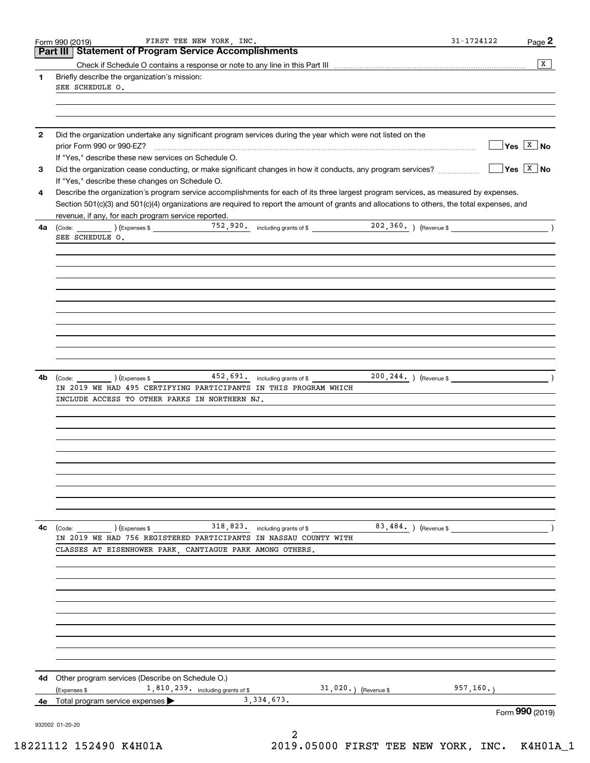|          | Form 990 (2019)<br>Part III   Statement of Program Service Accomplishments                                                                                           |                                        | Page 2 |
|----------|----------------------------------------------------------------------------------------------------------------------------------------------------------------------|----------------------------------------|--------|
|          |                                                                                                                                                                      |                                        | x      |
| 1        | Briefly describe the organization's mission:                                                                                                                         |                                        |        |
|          | SEE SCHEDULE O.                                                                                                                                                      |                                        |        |
|          |                                                                                                                                                                      |                                        |        |
|          |                                                                                                                                                                      |                                        |        |
|          | Did the organization undertake any significant program services during the year which were not listed on the                                                         |                                        |        |
|          |                                                                                                                                                                      | $\sqrt{}$ Yes $\sqrt{}$ X $\sqrt{}$ No |        |
|          | If "Yes," describe these new services on Schedule O.<br>Did the organization cease conducting, or make significant changes in how it conducts, any program services? | $\sqrt{}$ Yes $\sqrt{X}$ No            |        |
|          | If "Yes," describe these changes on Schedule O.                                                                                                                      |                                        |        |
|          | Describe the organization's program service accomplishments for each of its three largest program services, as measured by expenses.                                 |                                        |        |
|          | Section 501(c)(3) and 501(c)(4) organizations are required to report the amount of grants and allocations to others, the total expenses, and                         |                                        |        |
|          | revenue, if any, for each program service reported.                                                                                                                  |                                        |        |
| 4a       | SEE SCHEDULE O.                                                                                                                                                      |                                        |        |
|          |                                                                                                                                                                      |                                        |        |
|          |                                                                                                                                                                      |                                        |        |
|          |                                                                                                                                                                      |                                        |        |
|          |                                                                                                                                                                      |                                        |        |
|          |                                                                                                                                                                      |                                        |        |
|          |                                                                                                                                                                      |                                        |        |
|          |                                                                                                                                                                      |                                        |        |
|          |                                                                                                                                                                      |                                        |        |
|          |                                                                                                                                                                      |                                        |        |
|          |                                                                                                                                                                      |                                        |        |
| 4b       | 452,691. including grants of \$<br>200, 244. ) (Revenue \$<br>$\left(\text{Code:}\ \_\_\_\_\_\_\\right)\ \left(\text{Expenses}\ \$\ \_\_\_\_\_\$                     |                                        |        |
|          | IN 2019 WE HAD 495 CERTIFYING PARTICIPANTS IN THIS PROGRAM WHICH                                                                                                     |                                        |        |
|          | INCLUDE ACCESS TO OTHER PARKS IN NORTHERN NJ.                                                                                                                        |                                        |        |
|          |                                                                                                                                                                      |                                        |        |
|          |                                                                                                                                                                      |                                        |        |
|          |                                                                                                                                                                      |                                        |        |
|          |                                                                                                                                                                      |                                        |        |
|          |                                                                                                                                                                      |                                        |        |
|          |                                                                                                                                                                      |                                        |        |
|          |                                                                                                                                                                      |                                        |        |
|          |                                                                                                                                                                      |                                        |        |
|          | 83,484. ) (Revenue \$<br>318,823. including grants of \$                                                                                                             |                                        |        |
|          | IN 2019 WE HAD 756 REGISTERED PARTICIPANTS IN NASSAU COUNTY WITH<br>CLASSES AT EISENHOWER PARK, CANTIAGUE PARK AMONG OTHERS.                                         |                                        |        |
|          |                                                                                                                                                                      |                                        |        |
|          |                                                                                                                                                                      |                                        |        |
|          |                                                                                                                                                                      |                                        |        |
|          |                                                                                                                                                                      |                                        |        |
|          |                                                                                                                                                                      |                                        |        |
|          |                                                                                                                                                                      |                                        |        |
|          |                                                                                                                                                                      |                                        |        |
|          |                                                                                                                                                                      |                                        |        |
| 4с<br>4d | Other program services (Describe on Schedule O.)                                                                                                                     |                                        |        |
| 4e       | 1,810,239. including grants of \$<br>$31,020.$ ) (Revenue \$<br>(Expenses \$<br>3, 334, 673.<br>Total program service expenses                                       | 957, 160.                              |        |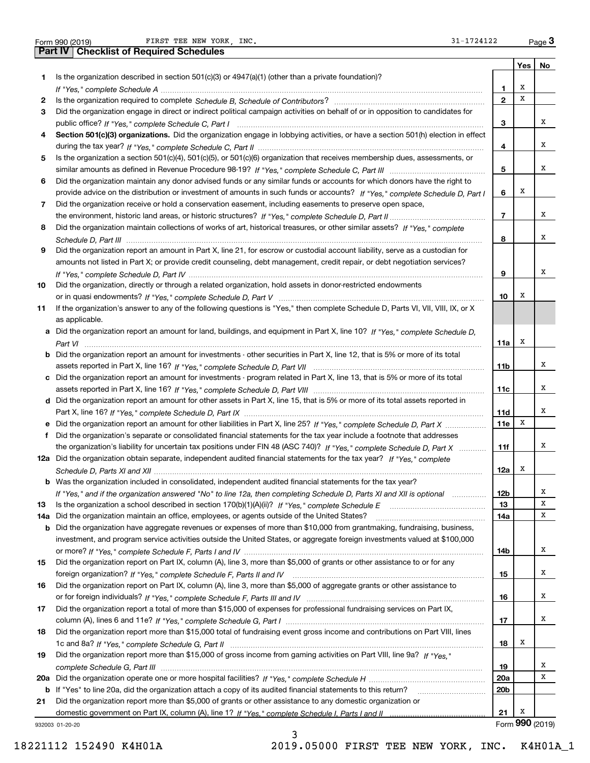FIRST TEE NEW YORK, INC.  $31-1724122$ 

|     | FIRST TEE NEW YORK, INC.<br>31-1724122<br>Form 990 (2019)                                                                             |                         |     | Page 3          |
|-----|---------------------------------------------------------------------------------------------------------------------------------------|-------------------------|-----|-----------------|
|     | <b>Part IV   Checklist of Required Schedules</b>                                                                                      |                         |     |                 |
|     |                                                                                                                                       |                         | Yes | No              |
| 1   | Is the organization described in section $501(c)(3)$ or $4947(a)(1)$ (other than a private foundation)?                               |                         |     |                 |
|     |                                                                                                                                       | 1                       | х   |                 |
| 2   |                                                                                                                                       | $\mathbf{2}$            | х   |                 |
| 3   | Did the organization engage in direct or indirect political campaign activities on behalf of or in opposition to candidates for       |                         |     |                 |
|     |                                                                                                                                       | з                       |     | х               |
| 4   | Section 501(c)(3) organizations. Did the organization engage in lobbying activities, or have a section 501(h) election in effect      |                         |     |                 |
|     |                                                                                                                                       | 4                       |     | х               |
| 5   | Is the organization a section 501(c)(4), 501(c)(5), or 501(c)(6) organization that receives membership dues, assessments, or          |                         |     |                 |
|     |                                                                                                                                       | 5                       |     | х               |
|     |                                                                                                                                       |                         |     |                 |
| 6   | Did the organization maintain any donor advised funds or any similar funds or accounts for which donors have the right to             |                         |     |                 |
|     | provide advice on the distribution or investment of amounts in such funds or accounts? If "Yes," complete Schedule D, Part I          | 6                       | X   |                 |
| 7   | Did the organization receive or hold a conservation easement, including easements to preserve open space,                             |                         |     |                 |
|     |                                                                                                                                       | $\overline{\mathbf{r}}$ |     | х               |
| 8   | Did the organization maintain collections of works of art, historical treasures, or other similar assets? If "Yes," complete          |                         |     |                 |
|     | .                                                                                                                                     | 8                       |     | х               |
| 9   | Did the organization report an amount in Part X, line 21, for escrow or custodial account liability, serve as a custodian for         |                         |     |                 |
|     | amounts not listed in Part X; or provide credit counseling, debt management, credit repair, or debt negotiation services?             |                         |     |                 |
|     |                                                                                                                                       | 9                       |     | х               |
| 10  | Did the organization, directly or through a related organization, hold assets in donor-restricted endowments                          |                         |     |                 |
|     |                                                                                                                                       | 10                      | х   |                 |
| 11  | If the organization's answer to any of the following questions is "Yes," then complete Schedule D, Parts VI, VII, VIII, IX, or X      |                         |     |                 |
|     | as applicable.                                                                                                                        |                         |     |                 |
|     | a Did the organization report an amount for land, buildings, and equipment in Part X, line 10? If "Yes," complete Schedule D,         |                         |     |                 |
|     |                                                                                                                                       |                         | х   |                 |
|     |                                                                                                                                       | 11a                     |     |                 |
|     | <b>b</b> Did the organization report an amount for investments - other securities in Part X, line 12, that is 5% or more of its total |                         |     | х               |
|     |                                                                                                                                       | 11b                     |     |                 |
|     | c Did the organization report an amount for investments - program related in Part X, line 13, that is 5% or more of its total         |                         |     |                 |
|     |                                                                                                                                       | 11c                     |     | х               |
|     | d Did the organization report an amount for other assets in Part X, line 15, that is 5% or more of its total assets reported in       |                         |     |                 |
|     |                                                                                                                                       | 11d                     |     | х               |
|     | e Did the organization report an amount for other liabilities in Part X, line 25? If "Yes," complete Schedule D, Part X               | 11e                     | X   |                 |
|     | f Did the organization's separate or consolidated financial statements for the tax year include a footnote that addresses             |                         |     |                 |
|     | the organization's liability for uncertain tax positions under FIN 48 (ASC 740)? If "Yes," complete Schedule D, Part X                | 11f                     |     | х               |
|     | 12a Did the organization obtain separate, independent audited financial statements for the tax year? If "Yes," complete               |                         |     |                 |
|     |                                                                                                                                       | 12a                     | x   |                 |
| b   | Was the organization included in consolidated, independent audited financial statements for the tax year?                             |                         |     |                 |
|     | If "Yes," and if the organization answered "No" to line 12a, then completing Schedule D, Parts XI and XII is optional                 | 12b                     |     | x               |
| 13  |                                                                                                                                       | 13                      |     | х               |
|     | Did the organization maintain an office, employees, or agents outside of the United States?                                           |                         |     | х               |
| 14a |                                                                                                                                       | 14a                     |     |                 |
| b   | Did the organization have aggregate revenues or expenses of more than \$10,000 from grantmaking, fundraising, business,               |                         |     |                 |
|     | investment, and program service activities outside the United States, or aggregate foreign investments valued at \$100,000            |                         |     |                 |
|     |                                                                                                                                       | 14b                     |     | х               |
| 15  | Did the organization report on Part IX, column (A), line 3, more than \$5,000 of grants or other assistance to or for any             |                         |     |                 |
|     |                                                                                                                                       | 15                      |     | х               |
| 16  | Did the organization report on Part IX, column (A), line 3, more than \$5,000 of aggregate grants or other assistance to              |                         |     |                 |
|     |                                                                                                                                       | 16                      |     | х               |
| 17  | Did the organization report a total of more than \$15,000 of expenses for professional fundraising services on Part IX,               |                         |     |                 |
|     |                                                                                                                                       | 17                      |     | х               |
| 18  | Did the organization report more than \$15,000 total of fundraising event gross income and contributions on Part VIII, lines          |                         |     |                 |
|     |                                                                                                                                       | 18                      | x   |                 |
| 19  | Did the organization report more than \$15,000 of gross income from gaming activities on Part VIII, line 9a? If "Yes."                |                         |     |                 |
|     |                                                                                                                                       | 19                      |     | х               |
|     |                                                                                                                                       | 20a                     |     | х               |
|     |                                                                                                                                       |                         |     |                 |
| b   | If "Yes" to line 20a, did the organization attach a copy of its audited financial statements to this return?                          | 20 <sub>b</sub>         |     |                 |
| 21  | Did the organization report more than \$5,000 of grants or other assistance to any domestic organization or                           |                         |     |                 |
|     |                                                                                                                                       | 21                      | Х   |                 |
|     | 932003 01-20-20                                                                                                                       |                         |     | Form 990 (2019) |

3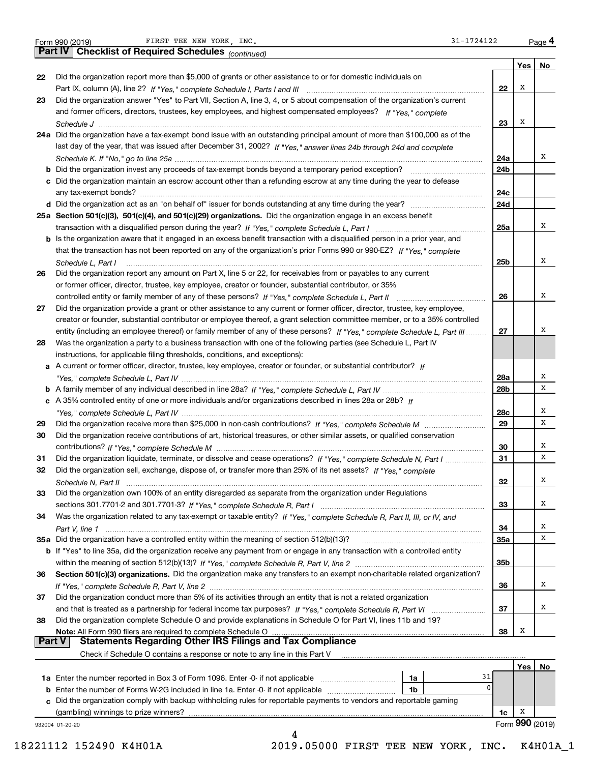| Form 990 (2019) |  |  |
|-----------------|--|--|
|                 |  |  |

|               | 31-1724122<br>FIRST TEE NEW YORK, INC.<br>Form 990 (2019)                                                                    |     |     | Page 4          |
|---------------|------------------------------------------------------------------------------------------------------------------------------|-----|-----|-----------------|
|               | Part IV   Checklist of Required Schedules (continued)                                                                        |     |     |                 |
|               |                                                                                                                              |     | Yes | No              |
| 22            | Did the organization report more than \$5,000 of grants or other assistance to or for domestic individuals on                |     |     |                 |
|               |                                                                                                                              | 22  | х   |                 |
| 23            | Did the organization answer "Yes" to Part VII, Section A, line 3, 4, or 5 about compensation of the organization's current   |     |     |                 |
|               | and former officers, directors, trustees, key employees, and highest compensated employees? If "Yes," complete               |     |     |                 |
|               |                                                                                                                              | 23  | X   |                 |
|               |                                                                                                                              |     |     |                 |
|               | 24a Did the organization have a tax-exempt bond issue with an outstanding principal amount of more than \$100,000 as of the  |     |     |                 |
|               | last day of the year, that was issued after December 31, 2002? If "Yes," answer lines 24b through 24d and complete           |     |     | х               |
|               |                                                                                                                              | 24a |     |                 |
|               |                                                                                                                              | 24b |     |                 |
|               | c Did the organization maintain an escrow account other than a refunding escrow at any time during the year to defease       |     |     |                 |
|               |                                                                                                                              | 24c |     |                 |
|               |                                                                                                                              | 24d |     |                 |
|               | 25a Section 501(c)(3), 501(c)(4), and 501(c)(29) organizations. Did the organization engage in an excess benefit             |     |     |                 |
|               |                                                                                                                              | 25a |     | х               |
|               | b Is the organization aware that it engaged in an excess benefit transaction with a disqualified person in a prior year, and |     |     |                 |
|               | that the transaction has not been reported on any of the organization's prior Forms 990 or 990-EZ? If "Yes," complete        |     |     |                 |
|               | Schedule L, Part I                                                                                                           | 25b |     | Χ               |
| 26            | Did the organization report any amount on Part X, line 5 or 22, for receivables from or payables to any current              |     |     |                 |
|               | or former officer, director, trustee, key employee, creator or founder, substantial contributor, or 35%                      |     |     |                 |
|               |                                                                                                                              | 26  |     | х               |
| 27            | Did the organization provide a grant or other assistance to any current or former officer, director, trustee, key employee,  |     |     |                 |
|               | creator or founder, substantial contributor or employee thereof, a grant selection committee member, or to a 35% controlled  |     |     |                 |
|               | entity (including an employee thereof) or family member of any of these persons? If "Yes," complete Schedule L, Part III     | 27  |     | х               |
| 28            | Was the organization a party to a business transaction with one of the following parties (see Schedule L, Part IV            |     |     |                 |
|               | instructions, for applicable filing thresholds, conditions, and exceptions):                                                 |     |     |                 |
|               | a A current or former officer, director, trustee, key employee, creator or founder, or substantial contributor? If           |     |     |                 |
|               |                                                                                                                              | 28a |     | х               |
|               |                                                                                                                              | 28b |     | x               |
|               | c A 35% controlled entity of one or more individuals and/or organizations described in lines 28a or 28b? If                  |     |     |                 |
|               |                                                                                                                              | 28c |     | х               |
| 29            |                                                                                                                              | 29  |     | х               |
| 30            | Did the organization receive contributions of art, historical treasures, or other similar assets, or qualified conservation  |     |     |                 |
|               |                                                                                                                              | 30  |     | х               |
| 31            | Did the organization liquidate, terminate, or dissolve and cease operations? If "Yes," complete Schedule N, Part I           | 31  |     | х               |
| 32            | Did the organization sell, exchange, dispose of, or transfer more than 25% of its net assets? If "Yes," complete             |     |     |                 |
|               |                                                                                                                              | 32  |     | х               |
| 33            | Did the organization own 100% of an entity disregarded as separate from the organization under Regulations                   |     |     |                 |
|               |                                                                                                                              | 33  |     | х               |
|               |                                                                                                                              |     |     |                 |
| 34            | Was the organization related to any tax-exempt or taxable entity? If "Yes," complete Schedule R, Part II, III, or IV, and    |     |     | х               |
|               | 35a Did the organization have a controlled entity within the meaning of section 512(b)(13)?                                  | 34  |     | X               |
|               |                                                                                                                              | 35a |     |                 |
|               | b If "Yes" to line 35a, did the organization receive any payment from or engage in any transaction with a controlled entity  |     |     |                 |
|               |                                                                                                                              | 35b |     |                 |
| 36            | Section 501(c)(3) organizations. Did the organization make any transfers to an exempt non-charitable related organization?   |     |     |                 |
|               |                                                                                                                              | 36  |     | x               |
| 37            | Did the organization conduct more than 5% of its activities through an entity that is not a related organization             |     |     |                 |
|               |                                                                                                                              | 37  |     | х               |
| 38            | Did the organization complete Schedule O and provide explanations in Schedule O for Part VI, lines 11b and 19?               |     |     |                 |
|               | Note: All Form 990 filers are required to complete Schedule O                                                                | 38  | X   |                 |
| <b>Part V</b> | Statements Regarding Other IRS Filings and Tax Compliance                                                                    |     |     |                 |
|               | Check if Schedule O contains a response or note to any line in this Part V                                                   |     |     |                 |
|               |                                                                                                                              |     | Yes | No              |
|               | 31<br>1a                                                                                                                     |     |     |                 |
| b             | Enter the number of Forms W-2G included in line 1a. Enter -0- if not applicable<br>1b                                        | 0   |     |                 |
|               | Did the organization comply with backup withholding rules for reportable payments to vendors and reportable gaming           |     |     |                 |
|               | (gambling) winnings to prize winners?                                                                                        | 1c  | х   |                 |
|               | 932004 01-20-20                                                                                                              |     |     | Form 990 (2019) |
|               | 4                                                                                                                            |     |     |                 |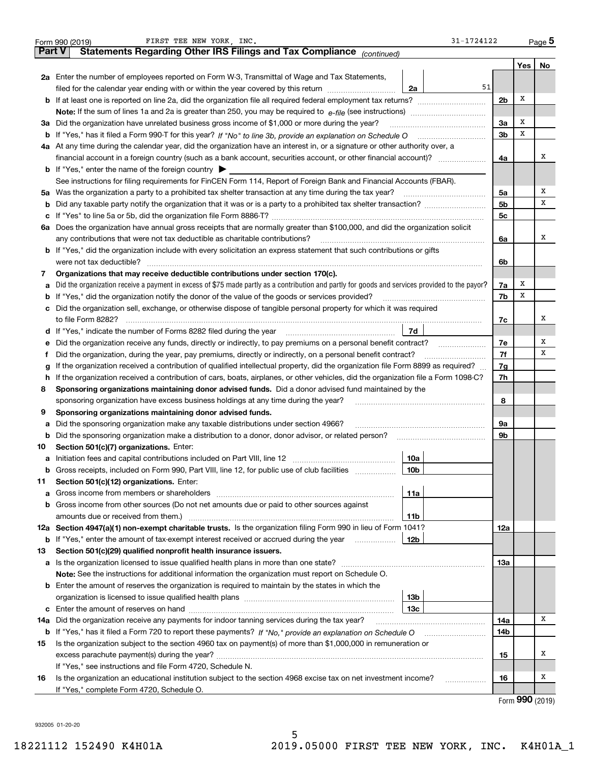|        | $31 - 1724122$<br>FIRST TEE NEW YORK, INC.<br>Form 990 (2019)                                                                                                                                                                         |                |     | <u>Page</u> 5 |
|--------|---------------------------------------------------------------------------------------------------------------------------------------------------------------------------------------------------------------------------------------|----------------|-----|---------------|
| Part V | Statements Regarding Other IRS Filings and Tax Compliance (continued)                                                                                                                                                                 |                |     |               |
|        |                                                                                                                                                                                                                                       |                | Yes | No            |
|        | 2a Enter the number of employees reported on Form W-3, Transmittal of Wage and Tax Statements,                                                                                                                                        |                |     |               |
|        | 51<br>filed for the calendar year ending with or within the year covered by this return<br>2a                                                                                                                                         |                |     |               |
|        | <b>b</b> If at least one is reported on line 2a, did the organization file all required federal employment tax returns?                                                                                                               | 2 <sub>b</sub> | Х   |               |
|        | Note: If the sum of lines 1a and 2a is greater than 250, you may be required to $e$ -file (see instructions) $\ldots$                                                                                                                 |                |     |               |
|        | 3a Did the organization have unrelated business gross income of \$1,000 or more during the year?                                                                                                                                      | 3a             | х   |               |
|        | b If "Yes," has it filed a Form 990-T for this year? If "No" to line 3b, provide an explanation on Schedule O                                                                                                                         | 3 <sub>b</sub> | х   |               |
|        | 4a At any time during the calendar year, did the organization have an interest in, or a signature or other authority over, a                                                                                                          |                |     |               |
|        | financial account in a foreign country (such as a bank account, securities account, or other financial account)?                                                                                                                      | 4a             |     | х             |
|        | <b>b</b> If "Yes," enter the name of the foreign country $\triangleright$                                                                                                                                                             |                |     |               |
|        | See instructions for filing requirements for FinCEN Form 114, Report of Foreign Bank and Financial Accounts (FBAR).                                                                                                                   |                |     |               |
|        | 5a Was the organization a party to a prohibited tax shelter transaction at any time during the tax year?                                                                                                                              | 5a             |     | х             |
|        |                                                                                                                                                                                                                                       | 5 <sub>b</sub> |     | х             |
|        |                                                                                                                                                                                                                                       | 5c             |     |               |
|        | 6a Does the organization have annual gross receipts that are normally greater than \$100,000, and did the organization solicit                                                                                                        |                |     |               |
|        | any contributions that were not tax deductible as charitable contributions?                                                                                                                                                           | 6a             |     | х             |
|        | <b>b</b> If "Yes," did the organization include with every solicitation an express statement that such contributions or gifts                                                                                                         |                |     |               |
|        | were not tax deductible?                                                                                                                                                                                                              | 6b             |     |               |
| 7      | Organizations that may receive deductible contributions under section 170(c).                                                                                                                                                         |                |     |               |
| а      | Did the organization receive a payment in excess of \$75 made partly as a contribution and partly for goods and services provided to the payor?                                                                                       | 7a             | х   |               |
|        | <b>b</b> If "Yes," did the organization notify the donor of the value of the goods or services provided?                                                                                                                              | 7b             | х   |               |
|        | c Did the organization sell, exchange, or otherwise dispose of tangible personal property for which it was required                                                                                                                   |                |     |               |
|        | to file Form 8282?                                                                                                                                                                                                                    | 7c             |     | х             |
|        | 7d<br><b>d</b> If "Yes," indicate the number of Forms 8282 filed during the year                                                                                                                                                      |                |     |               |
| е      | Did the organization receive any funds, directly or indirectly, to pay premiums on a personal benefit contract?                                                                                                                       | 7e             |     | Х             |
| Ť.     | Did the organization, during the year, pay premiums, directly or indirectly, on a personal benefit contract?                                                                                                                          | 7f             |     | х             |
| g      | If the organization received a contribution of qualified intellectual property, did the organization file Form 8899 as required?                                                                                                      | 7g             |     |               |
| h.     | If the organization received a contribution of cars, boats, airplanes, or other vehicles, did the organization file a Form 1098-C?                                                                                                    |                |     |               |
| 8      | Sponsoring organizations maintaining donor advised funds. Did a donor advised fund maintained by the                                                                                                                                  |                |     |               |
|        | sponsoring organization have excess business holdings at any time during the year?                                                                                                                                                    | 8              |     |               |
| 9      | Sponsoring organizations maintaining donor advised funds.                                                                                                                                                                             |                |     |               |
| а      | Did the sponsoring organization make any taxable distributions under section 4966?                                                                                                                                                    | 9а             |     |               |
| b      | Did the sponsoring organization make a distribution to a donor, donor advisor, or related person?                                                                                                                                     | 9b             |     |               |
| 10     | Section 501(c)(7) organizations. Enter:                                                                                                                                                                                               |                |     |               |
|        | 10a                                                                                                                                                                                                                                   |                |     |               |
| b      | Gross receipts, included on Form 990, Part VIII, line 12, for public use of club facilities<br>10b                                                                                                                                    |                |     |               |
| 11     | Section 501(c)(12) organizations. Enter:                                                                                                                                                                                              |                |     |               |
| а      | 11a<br>Gross income from members or shareholders [11] matter content in the state of the state of the state of the state of the state of the state of the state of the state of the state of the state of the state of the state of t |                |     |               |
| b      | Gross income from other sources (Do not net amounts due or paid to other sources against                                                                                                                                              |                |     |               |
|        | amounts due or received from them.)<br>11b                                                                                                                                                                                            |                |     |               |
|        | 12a Section 4947(a)(1) non-exempt charitable trusts. Is the organization filing Form 990 in lieu of Form 1041?                                                                                                                        | 12a            |     |               |
| b      | If "Yes," enter the amount of tax-exempt interest received or accrued during the year<br>12b                                                                                                                                          |                |     |               |
| 13     | Section 501(c)(29) qualified nonprofit health insurance issuers.                                                                                                                                                                      |                |     |               |
|        |                                                                                                                                                                                                                                       | 13а            |     |               |
|        | Note: See the instructions for additional information the organization must report on Schedule O.                                                                                                                                     |                |     |               |
|        | <b>b</b> Enter the amount of reserves the organization is required to maintain by the states in which the                                                                                                                             |                |     |               |
|        | 13 <sub>b</sub>                                                                                                                                                                                                                       |                |     |               |
|        | 13с                                                                                                                                                                                                                                   |                |     |               |
| 14a    | Did the organization receive any payments for indoor tanning services during the tax year?                                                                                                                                            | 14a            |     | х             |
| b      |                                                                                                                                                                                                                                       | 14b            |     |               |
| 15     | Is the organization subject to the section 4960 tax on payment(s) of more than \$1,000,000 in remuneration or                                                                                                                         |                |     |               |
|        |                                                                                                                                                                                                                                       | 15             |     | Х             |
|        | If "Yes," see instructions and file Form 4720, Schedule N.                                                                                                                                                                            |                |     |               |
| 16     | Is the organization an educational institution subject to the section 4968 excise tax on net investment income?<br>.                                                                                                                  | 16             |     | х             |
|        | If "Yes," complete Form 4720, Schedule O.                                                                                                                                                                                             |                |     |               |

5

Form (2019) **990**

932005 01-20-20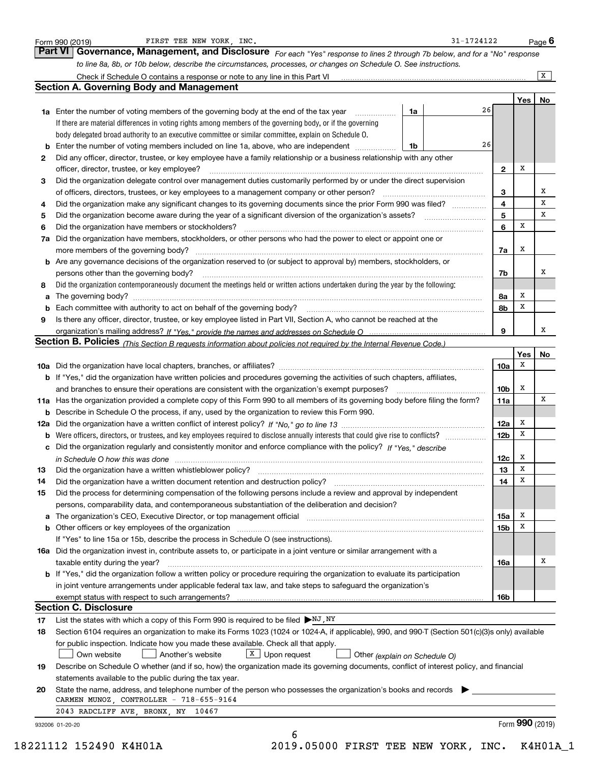|    | to line 8a, 8b, or 10b below, describe the circumstances, processes, or changes on Schedule O. See instructions.                                                            |    |    |                 |                 |        |
|----|-----------------------------------------------------------------------------------------------------------------------------------------------------------------------------|----|----|-----------------|-----------------|--------|
|    |                                                                                                                                                                             |    |    |                 |                 | X      |
|    | <b>Section A. Governing Body and Management</b>                                                                                                                             |    |    |                 |                 |        |
|    |                                                                                                                                                                             |    |    |                 | Yes             | No     |
|    | 1a Enter the number of voting members of the governing body at the end of the tax year                                                                                      | 1a | 26 |                 |                 |        |
|    | If there are material differences in voting rights among members of the governing body, or if the governing                                                                 |    |    |                 |                 |        |
|    | body delegated broad authority to an executive committee or similar committee, explain on Schedule O.                                                                       |    |    |                 |                 |        |
|    |                                                                                                                                                                             | 1b | 26 |                 |                 |        |
| 2  | Did any officer, director, trustee, or key employee have a family relationship or a business relationship with any other                                                    |    |    |                 |                 |        |
|    | officer, director, trustee, or key employee?                                                                                                                                |    |    | $\mathbf{2}$    | х               |        |
| з  | Did the organization delegate control over management duties customarily performed by or under the direct supervision                                                       |    |    |                 |                 |        |
|    | of officers, directors, trustees, or key employees to a management company or other person?                                                                                 |    |    | 3               |                 | х<br>х |
| 4  | Did the organization make any significant changes to its governing documents since the prior Form 990 was filed?                                                            |    |    | 4               |                 | х      |
| 5  | Did the organization become aware during the year of a significant diversion of the organization's assets?                                                                  |    |    | 5               | x               |        |
| 6  | Did the organization have members or stockholders?                                                                                                                          |    |    | 6               |                 |        |
|    | 7a Did the organization have members, stockholders, or other persons who had the power to elect or appoint one or                                                           |    |    |                 |                 |        |
|    | more members of the governing body?                                                                                                                                         |    |    | 7a              | х               |        |
|    | <b>b</b> Are any governance decisions of the organization reserved to (or subject to approval by) members, stockholders, or                                                 |    |    |                 |                 | х      |
|    | persons other than the governing body?<br>Did the organization contemporaneously document the meetings held or written actions undertaken during the year by the following: |    |    | 7b              |                 |        |
| 8  |                                                                                                                                                                             |    |    |                 | х               |        |
|    |                                                                                                                                                                             |    |    | 8a<br>8b        | х               |        |
| b  |                                                                                                                                                                             |    |    |                 |                 |        |
| 9  | Is there any officer, director, trustee, or key employee listed in Part VII, Section A, who cannot be reached at the                                                        |    |    | 9               |                 | x      |
|    | Section B. Policies <i>(This Section B requests information about policies not required by the Internal Revenue Code.)</i>                                                  |    |    |                 |                 |        |
|    |                                                                                                                                                                             |    |    |                 | Yes             | No     |
|    |                                                                                                                                                                             |    |    | 10a             | x               |        |
|    | <b>b</b> If "Yes," did the organization have written policies and procedures governing the activities of such chapters, affiliates,                                         |    |    |                 |                 |        |
|    | and branches to ensure their operations are consistent with the organization's exempt purposes?                                                                             |    |    | 10b             | х               |        |
|    | 11a Has the organization provided a complete copy of this Form 990 to all members of its governing body before filing the form?                                             |    |    | 11a             |                 | х      |
|    | <b>b</b> Describe in Schedule O the process, if any, used by the organization to review this Form 990.                                                                      |    |    |                 |                 |        |
|    |                                                                                                                                                                             |    |    | 12a             | х               |        |
|    |                                                                                                                                                                             |    |    | 12 <sub>b</sub> | х               |        |
|    | c Did the organization regularly and consistently monitor and enforce compliance with the policy? If "Yes," describe                                                        |    |    |                 |                 |        |
|    | in Schedule O how this was done manufactured and continuum control of the state of the state of the state of t                                                              |    |    | 12c             | х               |        |
| 13 | Did the organization have a written whistleblower policy?                                                                                                                   |    |    | 13              | х               |        |
| 14 | Did the organization have a written document retention and destruction policy?                                                                                              |    |    | 14              | х               |        |
| 15 | Did the process for determining compensation of the following persons include a review and approval by independent                                                          |    |    |                 |                 |        |
|    | persons, comparability data, and contemporaneous substantiation of the deliberation and decision?                                                                           |    |    |                 |                 |        |
|    |                                                                                                                                                                             |    |    | 15a             | х               |        |
|    |                                                                                                                                                                             |    |    | 15b             | х               |        |
|    | If "Yes" to line 15a or 15b, describe the process in Schedule O (see instructions).                                                                                         |    |    |                 |                 |        |
|    | 16a Did the organization invest in, contribute assets to, or participate in a joint venture or similar arrangement with a                                                   |    |    |                 |                 |        |
|    | taxable entity during the year?                                                                                                                                             |    |    | 16a             |                 | х      |
|    | <b>b</b> If "Yes," did the organization follow a written policy or procedure requiring the organization to evaluate its participation                                       |    |    |                 |                 |        |
|    | in joint venture arrangements under applicable federal tax law, and take steps to safequard the organization's                                                              |    |    |                 |                 |        |
|    |                                                                                                                                                                             |    |    | 16b             |                 |        |
|    | <b>Section C. Disclosure</b>                                                                                                                                                |    |    |                 |                 |        |
| 17 | List the states with which a copy of this Form 990 is required to be filed $\blacktriangleright$ NJ, NY                                                                     |    |    |                 |                 |        |
| 18 | Section 6104 requires an organization to make its Forms 1023 (1024 or 1024-A, if applicable), 990, and 990-T (Section 501(c)(3)s only) available                            |    |    |                 |                 |        |
|    | for public inspection. Indicate how you made these available. Check all that apply.                                                                                         |    |    |                 |                 |        |
|    | $X$ Upon request<br>Own website<br>Another's website<br>Other (explain on Schedule O)                                                                                       |    |    |                 |                 |        |
| 19 | Describe on Schedule O whether (and if so, how) the organization made its governing documents, conflict of interest policy, and financial                                   |    |    |                 |                 |        |
|    | statements available to the public during the tax year.                                                                                                                     |    |    |                 |                 |        |
| 20 | State the name, address, and telephone number of the person who possesses the organization's books and records                                                              |    |    |                 |                 |        |
|    | CARMEN MUNOZ, CONTROLLER - 718-655-9164                                                                                                                                     |    |    |                 |                 |        |
|    |                                                                                                                                                                             |    |    |                 |                 |        |
|    | 2043 RADCLIFF AVE, BRONX, NY 10467<br>932006 01-20-20                                                                                                                       |    |    |                 | Form 990 (2019) |        |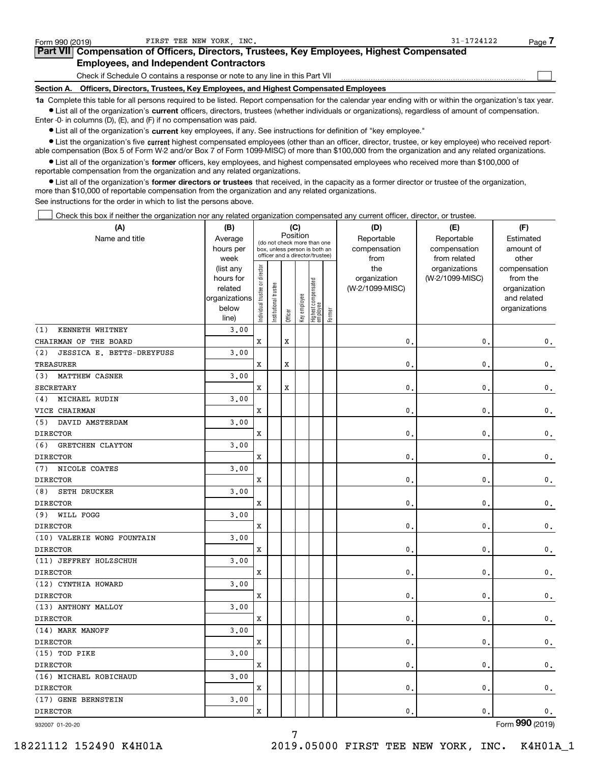| Form 990 (2019) | FIRST TEE NEW YORK INC.                                                                                                                                    | $31 - 1724122$ | Page i |
|-----------------|------------------------------------------------------------------------------------------------------------------------------------------------------------|----------------|--------|
|                 | Part VII Compensation of Officers, Directors, Trustees, Key Employees, Highest Compensated                                                                 |                |        |
|                 | <b>Employees, and Independent Contractors</b>                                                                                                              |                |        |
|                 | Check if Schedule O contains a response or note to any line in this Part VII                                                                               |                |        |
| Section A.      | Officers, Directors, Trustees, Key Employees, and Highest Compensated Employees                                                                            |                |        |
|                 | 1a Complete this table for all persons required to be listed. Report compensation for the calendar year ending with or within the organization's tax year. |                |        |

**•** List all of the organization's current officers, directors, trustees (whether individuals or organizations), regardless of amount of compensation. Enter -0- in columns (D), (E), and (F) if no compensation was paid.

 $\bullet$  List all of the organization's  $\,$ current key employees, if any. See instructions for definition of "key employee."

**•** List the organization's five current highest compensated employees (other than an officer, director, trustee, or key employee) who received reportable compensation (Box 5 of Form W-2 and/or Box 7 of Form 1099-MISC) of more than \$100,000 from the organization and any related organizations.

**•** List all of the organization's former officers, key employees, and highest compensated employees who received more than \$100,000 of reportable compensation from the organization and any related organizations.

**former directors or trustees**  ¥ List all of the organization's that received, in the capacity as a former director or trustee of the organization, more than \$10,000 of reportable compensation from the organization and any related organizations.

See instructions for the order in which to list the persons above.

Check this box if neither the organization nor any related organization compensated any current officer, director, or trustee.  $\mathcal{L}^{\text{max}}$ 

| (A)                              | (B)               |                                |                                                                  |             | (C)          |                                 |        | (D)             | (E)                           | (F)                   |
|----------------------------------|-------------------|--------------------------------|------------------------------------------------------------------|-------------|--------------|---------------------------------|--------|-----------------|-------------------------------|-----------------------|
| Name and title                   | Average           |                                | (do not check more than one                                      |             | Position     |                                 |        | Reportable      | Reportable                    | Estimated             |
|                                  | hours per         |                                | box, unless person is both an<br>officer and a director/trustee) |             |              |                                 |        | compensation    | compensation                  | amount of             |
|                                  | week<br>(list any |                                |                                                                  |             |              |                                 |        | from<br>the     | from related<br>organizations | other<br>compensation |
|                                  | hours for         |                                |                                                                  |             |              |                                 |        | organization    | (W-2/1099-MISC)               | from the              |
|                                  | related           |                                |                                                                  |             |              |                                 |        | (W-2/1099-MISC) |                               | organization          |
|                                  | organizations     |                                |                                                                  |             |              |                                 |        |                 |                               | and related           |
|                                  | below             | Individual trustee or director | Institutional trustee                                            |             | Key employee | Highest compensated<br>employee |        |                 |                               | organizations         |
|                                  | line)             |                                |                                                                  | Officer     |              |                                 | Former |                 |                               |                       |
| KENNETH WHITNEY<br>(1)           | 3.00              |                                |                                                                  |             |              |                                 |        |                 |                               |                       |
| CHAIRMAN OF THE BOARD            |                   | X                              |                                                                  | $\mathbf x$ |              |                                 |        | 0.              | $\mathbf{0}$                  | $\mathbf 0$ .         |
| JESSICA E. BETTS-DREYFUSS<br>(2) | 3.00              |                                |                                                                  |             |              |                                 |        |                 |                               |                       |
| TREASURER                        |                   | X                              |                                                                  | $\mathbf x$ |              |                                 |        | $\mathbf{0}$    | $\mathbf{0}$                  | $\mathbf 0$ .         |
| MATTHEW CASNER<br>(3)            | 3,00              |                                |                                                                  |             |              |                                 |        |                 |                               |                       |
| <b>SECRETARY</b>                 |                   | X                              |                                                                  | $\mathbf x$ |              |                                 |        | $\mathbf{0}$ .  | $\mathbf 0$                   | $\mathbf 0$ .         |
| MICHAEL RUDIN<br>(4)             | 3,00              |                                |                                                                  |             |              |                                 |        |                 |                               |                       |
| VICE CHAIRMAN                    |                   | X                              |                                                                  |             |              |                                 |        | $\mathbf{0}$ .  | $\mathsf 0$                   | $\mathbf{0}$ .        |
| DAVID AMSTERDAM<br>(5)           | 3,00              |                                |                                                                  |             |              |                                 |        |                 |                               |                       |
| <b>DIRECTOR</b>                  |                   | x                              |                                                                  |             |              |                                 |        | $\mathbf{0}$ .  | $\mathbf{0}$                  | $\mathbf 0$ .         |
| (6)<br><b>GRETCHEN CLAYTON</b>   | 3.00              |                                |                                                                  |             |              |                                 |        |                 |                               |                       |
| <b>DIRECTOR</b>                  |                   | X                              |                                                                  |             |              |                                 |        | $\mathbf{0}$    | $\mathbf 0$                   | $\mathbf 0$ .         |
| NICOLE COATES<br>(7)             | 3.00              |                                |                                                                  |             |              |                                 |        |                 |                               |                       |
| <b>DIRECTOR</b>                  |                   | X                              |                                                                  |             |              |                                 |        | $\mathbf{0}$ .  | $\mathbf 0$                   | $\mathfrak o$ .       |
| SETH DRUCKER<br>(8)              | 3.00              |                                |                                                                  |             |              |                                 |        |                 |                               |                       |
| <b>DIRECTOR</b>                  |                   | X                              |                                                                  |             |              |                                 |        | $\mathbf{0}$ .  | $\mathbf 0$                   | $\mathsf{0}\,.$       |
| WILL FOGG<br>(9)                 | 3,00              |                                |                                                                  |             |              |                                 |        |                 |                               |                       |
| <b>DIRECTOR</b>                  |                   | X                              |                                                                  |             |              |                                 |        | $\mathbf 0$ .   | $\mathbf 0$                   | $\mathsf{0}\,.$       |
| (10) VALERIE WONG FOUNTAIN       | 3.00              |                                |                                                                  |             |              |                                 |        |                 |                               |                       |
| <b>DIRECTOR</b>                  |                   | X                              |                                                                  |             |              |                                 |        | $\mathbf{0}$    | $\mathbf 0$                   | $\mathfrak o$ .       |
| (11) JEFFREY HOLZSCHUH           | 3.00              |                                |                                                                  |             |              |                                 |        |                 |                               |                       |
| <b>DIRECTOR</b>                  |                   | X                              |                                                                  |             |              |                                 |        | $\mathbf{0}$ .  | $\mathbf 0$                   | $\mathbf{0}$ .        |
| (12) CYNTHIA HOWARD              | 3.00              |                                |                                                                  |             |              |                                 |        |                 |                               |                       |
| <b>DIRECTOR</b>                  |                   | X                              |                                                                  |             |              |                                 |        | $\mathbf{0}$ .  | $\mathbf 0$                   | $\mathbf{0}$ .        |
| (13) ANTHONY MALLOY              | 3.00              |                                |                                                                  |             |              |                                 |        |                 |                               |                       |
| <b>DIRECTOR</b>                  |                   | X                              |                                                                  |             |              |                                 |        | $\mathbf{0}$ .  | $\mathbf{0}$                  | $\mathsf{0}\,.$       |
| (14) MARK MANOFF                 | 3.00              |                                |                                                                  |             |              |                                 |        |                 |                               |                       |
| <b>DIRECTOR</b>                  |                   | X                              |                                                                  |             |              |                                 |        | $\mathbf{0}$ .  | 0                             | $\mathfrak o$ .       |
| (15) TOD PIKE                    | 3.00              |                                |                                                                  |             |              |                                 |        |                 |                               |                       |
| <b>DIRECTOR</b>                  |                   | X                              |                                                                  |             |              |                                 |        | $\mathbf{0}$ .  | $\mathbf 0$                   | $\mathbf{0}$ .        |
| (16) MICHAEL ROBICHAUD           | 3,00              |                                |                                                                  |             |              |                                 |        |                 |                               |                       |
| <b>DIRECTOR</b>                  |                   | X                              |                                                                  |             |              |                                 |        | $\mathbf{0}$ .  | 0                             | $\mathbf 0$ .         |
| (17) GENE BERNSTEIN              | 3,00              |                                |                                                                  |             |              |                                 |        |                 |                               |                       |
| <b>DIRECTOR</b>                  |                   | X                              |                                                                  |             |              |                                 |        | 0.              | $\mathbf{0}$                  | $\mathsf{0}\,.$       |
|                                  |                   |                                |                                                                  |             |              |                                 |        |                 |                               |                       |

7

932007 01-20-20

Form (2019) **990**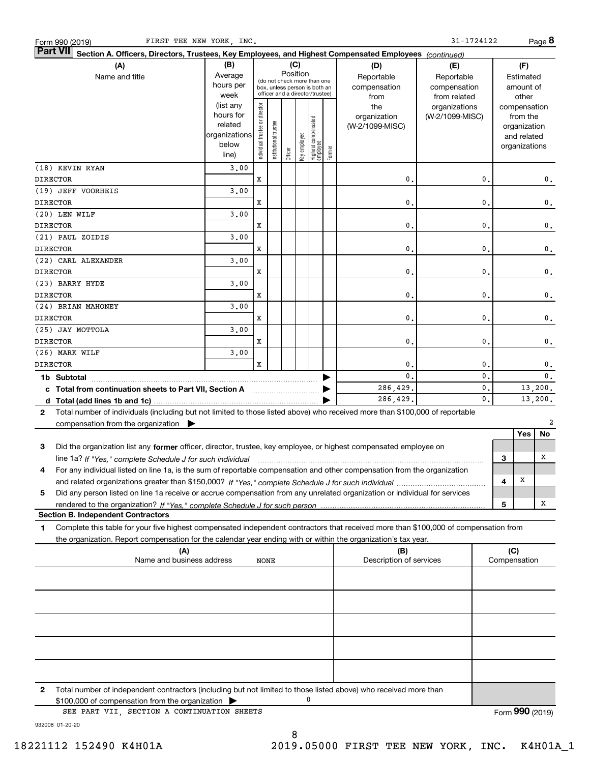| FIRST TEE NEW YORK, INC.<br>Form 990 (2019)                                                                                                                               |               |                       |                       |                                                              |              |                                   |        |                         | 31-1724122      |    |              |               | Page 8        |
|---------------------------------------------------------------------------------------------------------------------------------------------------------------------------|---------------|-----------------------|-----------------------|--------------------------------------------------------------|--------------|-----------------------------------|--------|-------------------------|-----------------|----|--------------|---------------|---------------|
| Part VII <br>Section A. Officers, Directors, Trustees, Key Employees, and Highest Compensated Employees (continued)                                                       |               |                       |                       |                                                              |              |                                   |        |                         |                 |    |              |               |               |
| (A)                                                                                                                                                                       | (B)           |                       |                       |                                                              | (C)          |                                   |        | (D)                     | (E)             |    |              | (F)           |               |
| Name and title                                                                                                                                                            | Average       |                       |                       | Position                                                     |              |                                   |        | Reportable              | Reportable      |    |              | Estimated     |               |
|                                                                                                                                                                           | hours per     |                       |                       | (do not check more than one<br>box, unless person is both an |              |                                   |        | compensation            | compensation    |    |              | amount of     |               |
|                                                                                                                                                                           | week          |                       |                       | officer and a director/trustee)                              |              |                                   |        | from                    | from related    |    |              | other         |               |
|                                                                                                                                                                           | (list any     |                       |                       |                                                              |              |                                   |        | the                     | organizations   |    |              | compensation  |               |
|                                                                                                                                                                           | hours for     | director              |                       |                                                              |              |                                   |        | organization            | (W-2/1099-MISC) |    |              | from the      |               |
|                                                                                                                                                                           | related       |                       |                       |                                                              |              |                                   |        | (W-2/1099-MISC)         |                 |    |              | organization  |               |
|                                                                                                                                                                           | organizations |                       |                       |                                                              |              |                                   |        |                         |                 |    |              | and related   |               |
|                                                                                                                                                                           | below         | Individual trustee or | Institutional trustee |                                                              | Key employee |                                   |        |                         |                 |    |              | organizations |               |
|                                                                                                                                                                           | line)         |                       |                       | Officer                                                      |              | Highest compensated<br>  employee | Former |                         |                 |    |              |               |               |
| (18) KEVIN RYAN                                                                                                                                                           | 3.00          |                       |                       |                                                              |              |                                   |        |                         |                 |    |              |               |               |
| <b>DIRECTOR</b>                                                                                                                                                           |               | X                     |                       |                                                              |              |                                   |        | 0.                      |                 | 0. |              |               | 0.            |
| (19) JEFF VOORHEIS                                                                                                                                                        | 3.00          |                       |                       |                                                              |              |                                   |        |                         |                 |    |              |               |               |
| <b>DIRECTOR</b>                                                                                                                                                           |               | X                     |                       |                                                              |              |                                   |        | 0.                      |                 | 0. |              |               | 0.            |
| (20) LEN WILF                                                                                                                                                             | 3.00          |                       |                       |                                                              |              |                                   |        |                         |                 |    |              |               |               |
| <b>DIRECTOR</b>                                                                                                                                                           |               | X                     |                       |                                                              |              |                                   |        | 0.                      |                 | 0. |              |               | $\mathbf 0$ . |
| (21) PAUL ZOIDIS                                                                                                                                                          | 3.00          |                       |                       |                                                              |              |                                   |        |                         |                 |    |              |               |               |
| <b>DIRECTOR</b>                                                                                                                                                           |               | X                     |                       |                                                              |              |                                   |        | $\mathbf{0}$ .          |                 | 0. |              |               | $\mathbf 0$ . |
| (22) CARL ALEXANDER                                                                                                                                                       | 3.00          |                       |                       |                                                              |              |                                   |        |                         |                 |    |              |               |               |
| <b>DIRECTOR</b>                                                                                                                                                           |               | X                     |                       |                                                              |              |                                   |        | $\mathbf{0}$ .          |                 | 0. |              |               | $\mathbf 0$ . |
| (23) BARRY HYDE                                                                                                                                                           | 3.00          |                       |                       |                                                              |              |                                   |        |                         |                 |    |              |               |               |
| <b>DIRECTOR</b>                                                                                                                                                           |               | X                     |                       |                                                              |              |                                   |        | $\mathbf{0}$ .          |                 | 0. |              |               | $\mathbf 0$ . |
| (24) BRIAN MAHONEY                                                                                                                                                        | 3.00          |                       |                       |                                                              |              |                                   |        |                         |                 |    |              |               |               |
| <b>DIRECTOR</b>                                                                                                                                                           |               | X                     |                       |                                                              |              |                                   |        | 0.                      |                 | 0. |              |               | $\mathbf 0$ . |
| (25) JAY MOTTOLA                                                                                                                                                          | 3.00          |                       |                       |                                                              |              |                                   |        |                         |                 |    |              |               |               |
| <b>DIRECTOR</b>                                                                                                                                                           |               | X                     |                       |                                                              |              |                                   |        | 0.                      |                 | 0. |              |               | $\mathbf 0$ . |
| (26) MARK WILF                                                                                                                                                            | 3.00          |                       |                       |                                                              |              |                                   |        |                         |                 |    |              |               |               |
| <b>DIRECTOR</b>                                                                                                                                                           |               | X                     |                       |                                                              |              |                                   |        | 0.                      |                 | 0. |              |               | $\mathbf 0$ . |
|                                                                                                                                                                           |               |                       |                       |                                                              |              |                                   |        | 0.                      |                 | 0. |              |               | 0.            |
|                                                                                                                                                                           |               |                       |                       |                                                              |              |                                   |        |                         |                 |    |              |               |               |
| c Total from continuation sheets to Part VII, Section A manufactured in the Total from continuum                                                                          |               |                       |                       |                                                              |              |                                   |        | 286,429.                |                 | 0. |              |               | 13,200.       |
|                                                                                                                                                                           |               |                       |                       |                                                              |              |                                   |        | 286,429.                |                 | 0. |              |               | 13,200.       |
| Total number of individuals (including but not limited to those listed above) who received more than \$100,000 of reportable<br>$\mathbf{2}$                              |               |                       |                       |                                                              |              |                                   |        |                         |                 |    |              |               |               |
| compensation from the organization $\blacktriangleright$                                                                                                                  |               |                       |                       |                                                              |              |                                   |        |                         |                 |    |              |               | 2             |
|                                                                                                                                                                           |               |                       |                       |                                                              |              |                                   |        |                         |                 |    |              | Yes           | No            |
| 3<br>Did the organization list any former officer, director, trustee, key employee, or highest compensated employee on                                                    |               |                       |                       |                                                              |              |                                   |        |                         |                 |    |              |               |               |
| line 1a? If "Yes," complete Schedule J for such individual manufactured contained and the 1a? If "Yes," complete Schedule J for such individual                           |               |                       |                       |                                                              |              |                                   |        |                         |                 |    | 3            |               | x             |
| For any individual listed on line 1a, is the sum of reportable compensation and other compensation from the organization                                                  |               |                       |                       |                                                              |              |                                   |        |                         |                 |    |              |               |               |
|                                                                                                                                                                           |               |                       |                       |                                                              |              |                                   |        |                         |                 |    | 4            | х             |               |
| Did any person listed on line 1a receive or accrue compensation from any unrelated organization or individual for services<br>5                                           |               |                       |                       |                                                              |              |                                   |        |                         |                 |    |              |               |               |
|                                                                                                                                                                           |               |                       |                       |                                                              |              |                                   |        |                         |                 |    | 5            |               | x             |
| <b>Section B. Independent Contractors</b>                                                                                                                                 |               |                       |                       |                                                              |              |                                   |        |                         |                 |    |              |               |               |
| Complete this table for your five highest compensated independent contractors that received more than \$100,000 of compensation from<br>1.                                |               |                       |                       |                                                              |              |                                   |        |                         |                 |    |              |               |               |
| the organization. Report compensation for the calendar year ending with or within the organization's tax year.                                                            |               |                       |                       |                                                              |              |                                   |        |                         |                 |    |              |               |               |
| (A)                                                                                                                                                                       |               |                       |                       |                                                              |              |                                   |        | (B)                     |                 |    | (C)          |               |               |
| Name and business address                                                                                                                                                 |               | <b>NONE</b>           |                       |                                                              |              |                                   |        | Description of services |                 |    | Compensation |               |               |
|                                                                                                                                                                           |               |                       |                       |                                                              |              |                                   |        |                         |                 |    |              |               |               |
|                                                                                                                                                                           |               |                       |                       |                                                              |              |                                   |        |                         |                 |    |              |               |               |
|                                                                                                                                                                           |               |                       |                       |                                                              |              |                                   |        |                         |                 |    |              |               |               |
|                                                                                                                                                                           |               |                       |                       |                                                              |              |                                   |        |                         |                 |    |              |               |               |
|                                                                                                                                                                           |               |                       |                       |                                                              |              |                                   |        |                         |                 |    |              |               |               |
|                                                                                                                                                                           |               |                       |                       |                                                              |              |                                   |        |                         |                 |    |              |               |               |
|                                                                                                                                                                           |               |                       |                       |                                                              |              |                                   |        |                         |                 |    |              |               |               |
|                                                                                                                                                                           |               |                       |                       |                                                              |              |                                   |        |                         |                 |    |              |               |               |
|                                                                                                                                                                           |               |                       |                       |                                                              |              |                                   |        |                         |                 |    |              |               |               |
| Total number of independent contractors (including but not limited to those listed above) who received more than<br>2<br>$$100,000$ of compensation from the organization |               |                       |                       |                                                              |              | 0                                 |        |                         |                 |    |              |               |               |

8

\$100,000 of compensation from the organization <sup>|</sup> SEE PART VII, SECTION A CONTINUATION SHEETS

Form (2019) **990**

932008 01-20-20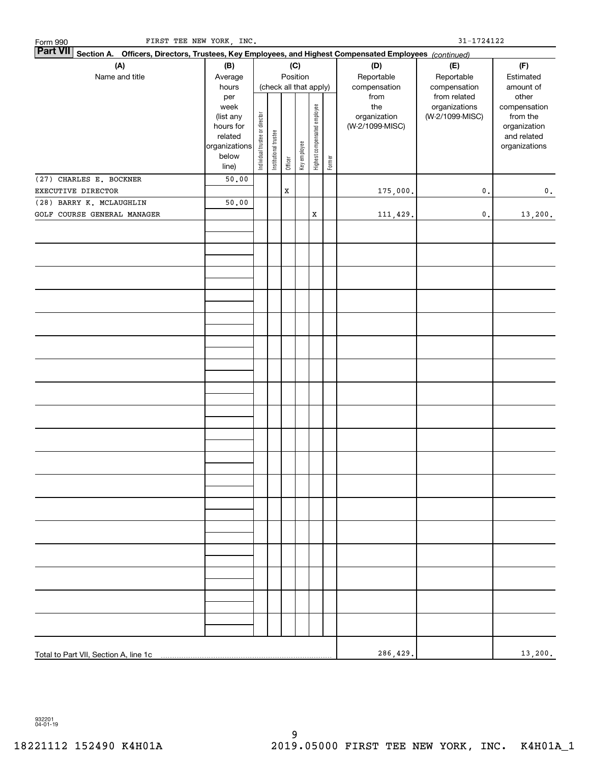| FIRST TEE NEW YORK, INC.<br>Form 990  |                                                                                                                                  |                                |                       |         |                        |                              |        |                   | 31-1724122      |                             |
|---------------------------------------|----------------------------------------------------------------------------------------------------------------------------------|--------------------------------|-----------------------|---------|------------------------|------------------------------|--------|-------------------|-----------------|-----------------------------|
| <b>Part VII</b>                       |                                                                                                                                  |                                |                       |         |                        |                              |        |                   |                 |                             |
| (A)                                   | Section A. Officers, Directors, Trustees, Key Employees, and Highest Compensated Employees (continued)<br>(C)<br>(B)<br>Position |                                |                       |         |                        |                              |        |                   | (E)             | (F)                         |
| Name and title                        | Average                                                                                                                          |                                |                       |         |                        |                              |        | (D)<br>Reportable | Reportable      | Estimated                   |
|                                       | hours                                                                                                                            |                                |                       |         | (check all that apply) |                              |        | compensation      | compensation    | amount of                   |
|                                       | per                                                                                                                              |                                |                       |         |                        |                              |        | from              | from related    | other                       |
|                                       | week                                                                                                                             |                                |                       |         |                        |                              |        | the               | organizations   | compensation                |
|                                       | (list any                                                                                                                        |                                |                       |         |                        |                              |        | organization      | (W-2/1099-MISC) | from the                    |
|                                       | hours for<br>related                                                                                                             |                                |                       |         |                        |                              |        | (W-2/1099-MISC)   |                 | organization<br>and related |
|                                       | organizations                                                                                                                    | Individual trustee or director | Institutional trustee |         |                        | Highest compensated employee |        |                   |                 | organizations               |
|                                       | below                                                                                                                            |                                |                       |         | Key employee           |                              |        |                   |                 |                             |
|                                       | line)                                                                                                                            |                                |                       | Officer |                        |                              | Former |                   |                 |                             |
| (27) CHARLES E. BOCKNER               | 50.00                                                                                                                            |                                |                       |         |                        |                              |        |                   |                 |                             |
| EXECUTIVE DIRECTOR                    |                                                                                                                                  |                                |                       | X       |                        |                              |        | 175,000.          | $\mathbf{0}$ .  | 0.                          |
| (28) BARRY K. MCLAUGHLIN              | 50.00                                                                                                                            |                                |                       |         |                        |                              |        |                   |                 |                             |
| GOLF COURSE GENERAL MANAGER           |                                                                                                                                  |                                |                       |         |                        | $\mathbf x$                  |        | 111,429.          | $\mathbf 0$ .   | 13,200.                     |
|                                       |                                                                                                                                  |                                |                       |         |                        |                              |        |                   |                 |                             |
|                                       |                                                                                                                                  |                                |                       |         |                        |                              |        |                   |                 |                             |
|                                       |                                                                                                                                  |                                |                       |         |                        |                              |        |                   |                 |                             |
|                                       |                                                                                                                                  |                                |                       |         |                        |                              |        |                   |                 |                             |
|                                       |                                                                                                                                  |                                |                       |         |                        |                              |        |                   |                 |                             |
|                                       |                                                                                                                                  |                                |                       |         |                        |                              |        |                   |                 |                             |
|                                       |                                                                                                                                  |                                |                       |         |                        |                              |        |                   |                 |                             |
|                                       |                                                                                                                                  |                                |                       |         |                        |                              |        |                   |                 |                             |
|                                       |                                                                                                                                  |                                |                       |         |                        |                              |        |                   |                 |                             |
|                                       |                                                                                                                                  |                                |                       |         |                        |                              |        |                   |                 |                             |
|                                       |                                                                                                                                  |                                |                       |         |                        |                              |        |                   |                 |                             |
|                                       |                                                                                                                                  |                                |                       |         |                        |                              |        |                   |                 |                             |
|                                       |                                                                                                                                  |                                |                       |         |                        |                              |        |                   |                 |                             |
|                                       |                                                                                                                                  |                                |                       |         |                        |                              |        |                   |                 |                             |
|                                       |                                                                                                                                  |                                |                       |         |                        |                              |        |                   |                 |                             |
|                                       |                                                                                                                                  |                                |                       |         |                        |                              |        |                   |                 |                             |
|                                       |                                                                                                                                  |                                |                       |         |                        |                              |        |                   |                 |                             |
|                                       |                                                                                                                                  |                                |                       |         |                        |                              |        |                   |                 |                             |
|                                       |                                                                                                                                  |                                |                       |         |                        |                              |        |                   |                 |                             |
|                                       |                                                                                                                                  |                                |                       |         |                        |                              |        |                   |                 |                             |
|                                       |                                                                                                                                  |                                |                       |         |                        |                              |        |                   |                 |                             |
|                                       |                                                                                                                                  |                                |                       |         |                        |                              |        |                   |                 |                             |
|                                       |                                                                                                                                  |                                |                       |         |                        |                              |        |                   |                 |                             |
|                                       |                                                                                                                                  |                                |                       |         |                        |                              |        |                   |                 |                             |
|                                       |                                                                                                                                  |                                |                       |         |                        |                              |        |                   |                 |                             |
|                                       |                                                                                                                                  |                                |                       |         |                        |                              |        |                   |                 |                             |
|                                       |                                                                                                                                  |                                |                       |         |                        |                              |        |                   |                 |                             |
|                                       |                                                                                                                                  |                                |                       |         |                        |                              |        |                   |                 |                             |
|                                       |                                                                                                                                  |                                |                       |         |                        |                              |        |                   |                 |                             |
|                                       |                                                                                                                                  |                                |                       |         |                        |                              |        |                   |                 |                             |
|                                       |                                                                                                                                  |                                |                       |         |                        |                              |        |                   |                 |                             |
|                                       |                                                                                                                                  |                                |                       |         |                        |                              |        |                   |                 |                             |
|                                       |                                                                                                                                  |                                |                       |         |                        |                              |        |                   |                 |                             |
|                                       |                                                                                                                                  |                                |                       |         |                        |                              |        |                   |                 |                             |
|                                       |                                                                                                                                  |                                |                       |         |                        |                              |        |                   |                 |                             |
|                                       |                                                                                                                                  |                                |                       |         |                        |                              |        |                   |                 |                             |
|                                       |                                                                                                                                  |                                |                       |         |                        |                              |        |                   |                 |                             |
|                                       |                                                                                                                                  |                                |                       |         |                        |                              |        | 286, 429.         |                 | 13,200.                     |
| Total to Part VII, Section A, line 1c |                                                                                                                                  |                                |                       |         |                        |                              |        |                   |                 |                             |

932201 04-01-19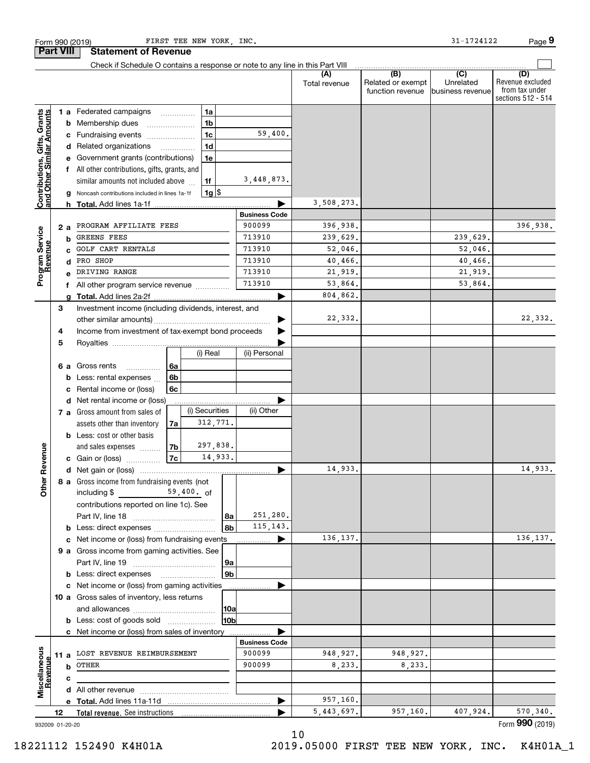|                                                           | <b>Part VIII</b> |                                                         | <b>Statement of Revenue</b>                                                                  |                |                |                        |                      |                      |                                              |                                                 |                                                                 |
|-----------------------------------------------------------|------------------|---------------------------------------------------------|----------------------------------------------------------------------------------------------|----------------|----------------|------------------------|----------------------|----------------------|----------------------------------------------|-------------------------------------------------|-----------------------------------------------------------------|
|                                                           |                  |                                                         | Check if Schedule O contains a response or note to any line in this Part VIII                |                |                |                        |                      |                      |                                              |                                                 |                                                                 |
|                                                           |                  |                                                         |                                                                                              |                |                |                        |                      | (A)<br>Total revenue | (B)<br>Related or exempt<br>function revenue | $\overline{C}$<br>Unrelated<br>business revenue | (D)<br>Revenue excluded<br>from tax under<br>sections 512 - 514 |
|                                                           |                  |                                                         | 1 a Federated campaigns                                                                      |                | 1a             |                        |                      |                      |                                              |                                                 |                                                                 |
|                                                           |                  | b                                                       | Membership dues                                                                              |                | 1 <sub>b</sub> |                        |                      |                      |                                              |                                                 |                                                                 |
|                                                           |                  | с                                                       | Fundraising events                                                                           |                | 1 <sub>c</sub> |                        | 59,400.              |                      |                                              |                                                 |                                                                 |
| Contributions, Gifts, Grants<br>and Other Similar Amounts |                  |                                                         | d Related organizations                                                                      | .              | 1 <sub>d</sub> |                        |                      |                      |                                              |                                                 |                                                                 |
|                                                           |                  |                                                         | Government grants (contributions)                                                            |                | 1e             |                        |                      |                      |                                              |                                                 |                                                                 |
|                                                           |                  |                                                         | All other contributions, gifts, grants, and                                                  |                |                |                        |                      |                      |                                              |                                                 |                                                                 |
|                                                           |                  |                                                         | similar amounts not included above                                                           |                | 1f             |                        | 3,448,873.           |                      |                                              |                                                 |                                                                 |
|                                                           |                  |                                                         | Noncash contributions included in lines 1a-1f                                                |                | $1g$ \$        |                        |                      |                      |                                              |                                                 |                                                                 |
|                                                           |                  |                                                         | <b>h</b> Total. Add lines 1a-1f                                                              |                |                |                        |                      | 3,508,273.           |                                              |                                                 |                                                                 |
|                                                           |                  |                                                         |                                                                                              |                |                |                        | <b>Business Code</b> |                      |                                              |                                                 |                                                                 |
|                                                           |                  | 2 a                                                     | PROGRAM AFFILIATE FEES                                                                       |                |                |                        | 900099               | 396,938.             |                                              |                                                 | 396,938.                                                        |
|                                                           |                  | b                                                       | GREENS FEES<br>GOLF CART RENTALS                                                             |                |                |                        | 713910<br>713910     | 239,629.             |                                              | 239,629.                                        |                                                                 |
|                                                           |                  |                                                         | PRO SHOP                                                                                     |                |                |                        | 713910               | 52,046.<br>40,466.   |                                              | 52,046.<br>40,466.                              |                                                                 |
| Program Service<br>Revenue                                |                  | d                                                       | DRIVING RANGE                                                                                |                |                |                        | 713910               | 21,919.              |                                              | 21,919.                                         |                                                                 |
|                                                           |                  |                                                         |                                                                                              |                |                |                        | 713910               | 53,864.              |                                              | 53,864.                                         |                                                                 |
|                                                           |                  | f                                                       | All other program service revenue                                                            |                |                |                        |                      | 804,862.             |                                              |                                                 |                                                                 |
|                                                           | 3                |                                                         | Investment income (including dividends, interest, and                                        |                |                |                        |                      |                      |                                              |                                                 |                                                                 |
|                                                           |                  |                                                         |                                                                                              |                |                |                        |                      | 22,332.              |                                              |                                                 | 22,332.                                                         |
|                                                           |                  | Income from investment of tax-exempt bond proceeds<br>4 |                                                                                              |                |                |                        |                      |                      |                                              |                                                 |                                                                 |
|                                                           | 5                |                                                         |                                                                                              |                |                |                        |                      |                      |                                              |                                                 |                                                                 |
| Revenue                                                   |                  |                                                         |                                                                                              |                | (i) Real       |                        | (ii) Personal        |                      |                                              |                                                 |                                                                 |
|                                                           |                  | 6а                                                      | Gross rents<br>.                                                                             | 6a             |                |                        |                      |                      |                                              |                                                 |                                                                 |
|                                                           |                  | b                                                       | Less: rental expenses                                                                        | 6b             |                |                        |                      |                      |                                              |                                                 |                                                                 |
|                                                           |                  | c                                                       | Rental income or (loss)                                                                      | 6с             |                |                        |                      |                      |                                              |                                                 |                                                                 |
|                                                           |                  | d                                                       | Net rental income or (loss)                                                                  |                |                |                        |                      |                      |                                              |                                                 |                                                                 |
|                                                           |                  |                                                         | 7 a Gross amount from sales of                                                               |                | (i) Securities |                        | (ii) Other           |                      |                                              |                                                 |                                                                 |
|                                                           |                  |                                                         | assets other than inventory                                                                  | 7a             | 312,771.       |                        |                      |                      |                                              |                                                 |                                                                 |
|                                                           |                  |                                                         | <b>b</b> Less: cost or other basis                                                           |                |                |                        |                      |                      |                                              |                                                 |                                                                 |
|                                                           |                  |                                                         | and sales expenses                                                                           | 7 <sub>b</sub> | 297,838.       |                        |                      |                      |                                              |                                                 |                                                                 |
|                                                           |                  |                                                         | c Gain or (loss)                                                                             | 7c             | 14,933.        |                        |                      |                      |                                              |                                                 |                                                                 |
|                                                           |                  |                                                         |                                                                                              |                |                |                        |                      | 14,933.              |                                              |                                                 | 14,933.                                                         |
| <b>Other</b>                                              |                  |                                                         | 8 a Gross income from fundraising events (not                                                |                |                |                        |                      |                      |                                              |                                                 |                                                                 |
|                                                           |                  |                                                         | including $$$<br><u>and the state</u>                                                        |                | 59,400. of     |                        |                      |                      |                                              |                                                 |                                                                 |
|                                                           |                  |                                                         | contributions reported on line 1c). See                                                      |                |                |                        |                      |                      |                                              |                                                 |                                                                 |
|                                                           |                  |                                                         |                                                                                              |                |                | 8a                     | 251,280.             |                      |                                              |                                                 |                                                                 |
|                                                           |                  |                                                         |                                                                                              |                |                | 8b                     | 115, 143.            |                      |                                              |                                                 |                                                                 |
|                                                           |                  |                                                         | c Net income or (loss) from fundraising events                                               |                |                |                        |                      | 136, 137.            |                                              |                                                 | 136, 137.                                                       |
|                                                           |                  |                                                         | 9 a Gross income from gaming activities. See                                                 |                |                |                        |                      |                      |                                              |                                                 |                                                                 |
|                                                           |                  |                                                         |                                                                                              |                |                | 9a                     |                      |                      |                                              |                                                 |                                                                 |
|                                                           |                  |                                                         | <b>b</b> Less: direct expenses                                                               |                |                | 9 <sub>b</sub>         |                      |                      |                                              |                                                 |                                                                 |
|                                                           |                  |                                                         | c Net income or (loss) from gaming activities<br>10 a Gross sales of inventory, less returns |                |                |                        |                      |                      |                                              |                                                 |                                                                 |
|                                                           |                  |                                                         |                                                                                              |                |                |                        |                      |                      |                                              |                                                 |                                                                 |
|                                                           |                  |                                                         | <b>b</b> Less: cost of goods sold                                                            |                |                | 10a<br>10 <sub>b</sub> |                      |                      |                                              |                                                 |                                                                 |
|                                                           |                  |                                                         | c Net income or (loss) from sales of inventory                                               |                |                |                        |                      |                      |                                              |                                                 |                                                                 |
|                                                           |                  |                                                         |                                                                                              |                |                |                        | <b>Business Code</b> |                      |                                              |                                                 |                                                                 |
|                                                           |                  |                                                         | 11 a LOST REVENUE REIMBURSEMENT                                                              |                |                |                        | 900099               | 948, 927.            | 948, 927.                                    |                                                 |                                                                 |
|                                                           |                  | b                                                       | OTHER                                                                                        |                |                |                        | 900099               | 8,233.               | 8,233.                                       |                                                 |                                                                 |
| Revenue                                                   |                  | c                                                       |                                                                                              |                |                |                        |                      |                      |                                              |                                                 |                                                                 |
| Miscellaneous                                             |                  |                                                         |                                                                                              |                |                |                        |                      |                      |                                              |                                                 |                                                                 |
|                                                           |                  |                                                         |                                                                                              |                |                |                        |                      | 957,160.             |                                              |                                                 |                                                                 |
|                                                           | 12               |                                                         |                                                                                              |                |                |                        |                      | 5,443,697.           | 957,160.                                     | 407,924.                                        | 570,340.                                                        |
| 932009 01-20-20                                           |                  |                                                         |                                                                                              |                |                |                        |                      |                      |                                              |                                                 | Form 990 (2019)                                                 |

 $\epsilon$  Form 990 (2019) FIRST TEE NEW YORK, INC. Form that the control of the control of the Page Page

FIRST TEE NEW YORK, INC.

**9**

31-1724122

932009 01-20-20

10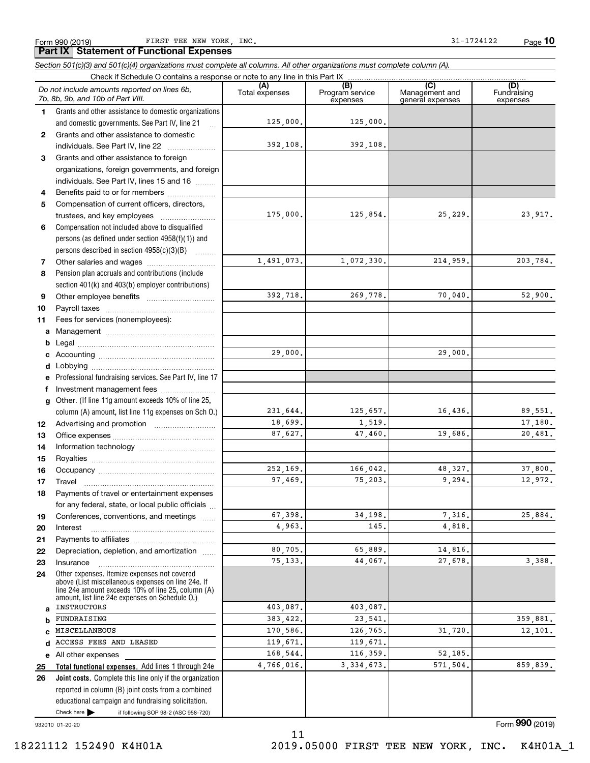Form 990 (2019) FIRST TEE NEW YORK, INC. 31-1724122 Page

**10**

**Total functional expenses.**  Add lines 1 through 24e **Joint costs.** Complete this line only if the organization **(A)**<br>Total expenses **(B) (C) (D) 1234567891011abcdefg12131415161718192021222324abcde2526***Section 501(c)(3) and 501(c)(4) organizations must complete all columns. All other organizations must complete column (A).* Grants and other assistance to domestic organizations and domestic governments. See Part IV, line 21 Compensation not included above to disqualified persons (as defined under section 4958(f)(1)) and persons described in section 4958(c)(3)(B) Pension plan accruals and contributions (include section 401(k) and 403(b) employer contributions) Professional fundraising services. See Part IV, line 17 Other. (If line 11g amount exceeds 10% of line 25, column (A) amount, list line 11g expenses on Sch O.) Other expenses. Itemize expenses not covered above (List miscellaneous expenses on line 24e. If line 24e amount exceeds 10% of line 25, column (A) amount, list line 24e expenses on Schedule O.) reported in column (B) joint costs from a combined Check if Schedule O contains a response or note to any line in this Part IX Program service expensesManagement and general expenses Fundraising expensesGrants and other assistance to domestic individuals. See Part IV, line 22 ..................... Grants and other assistance to foreign organizations, foreign governments, and foreign individuals. See Part IV, lines 15 and 16  $\ldots$ Benefits paid to or for members .................... Compensation of current officers, directors, trustees, and key employees  $\ldots$   $\ldots$   $\ldots$   $\ldots$   $\ldots$ Other salaries and wages ~~~~~~~~~~ Other employee benefits ~~~~~~~~~~ Payroll taxes ~~~~~~~~~~~~~~~~ Fees for services (nonemployees): Management ~~~~~~~~~~~~~~~~ Legal ~~~~~~~~~~~~~~~~~~~~Accounting ~~~~~~~~~~~~~~~~~ Lobbying ~~~~~~~~~~~~~~~~~~ lnvestment management fees ....................... Advertising and promotion www.communication Office expenses ~~~~~~~~~~~~~~~ Information technology ~~~~~~~~~~~ Royalties ~~~~~~~~~~~~~~~~~~ Occupancy ~~~~~~~~~~~~~~~~~ Travel ……………………………………………… Payments of travel or entertainment expenses for any federal, state, or local public officials ... Conferences, conventions, and meetings InterestPayments to affiliates ~~~~~~~~~~~~ ~~~~~~~~~~~~~~~~~~Depreciation, depletion, and amortization  $\,\,\ldots\,\,$ Insurance~~~~~~~~~~~~~~~~~All other expenses *Do not include amounts reported on lines 6b, 7b, 8b, 9b, and 10b of Part VIII.* 125,000. 392,108. 175,000. 1,491,073. 392,718. 29,000. 231,644. 18,699. 87,627. 252,169. 97,469. 67,398. 4,963. 80,705. 75,133. 403,087. 383,422. 170,586. 119,671. 168,544. 4,766,016. 125,000. 392,108. 125,854. 25,229. 23,917. 1,072,330**.** 214,959**.** 203,784**.** 269,778. 70,040. 52,900. 29,000. 125,657. 16,436. 89,551. 1,519. 17,180. 47,460. 19,686. 20,481. 166,042. 48,327. 37,800. 75,203. 9,294. 12,972. 34,198. 7,316. 25,884. 145. 4,818. 65,889. 14,816. 44,067. 27,678. 3,388. 403,087. 23,541. 359,881. 126,765. 31,720. 12,101. 119,671. 116,359. 52,185. 3,334,673**.** 571,504**.** 859,839**.** INSTRUCTORSFUNDRAISINGMISCELLANEOUSACCESS FEES AND LEASED

11

932010 01-20-20

Check here  $\blacktriangleright$ 

Form (2019) **990**

if following SOP 98-2 (ASC 958-720)

educational campaign and fundraising solicitation.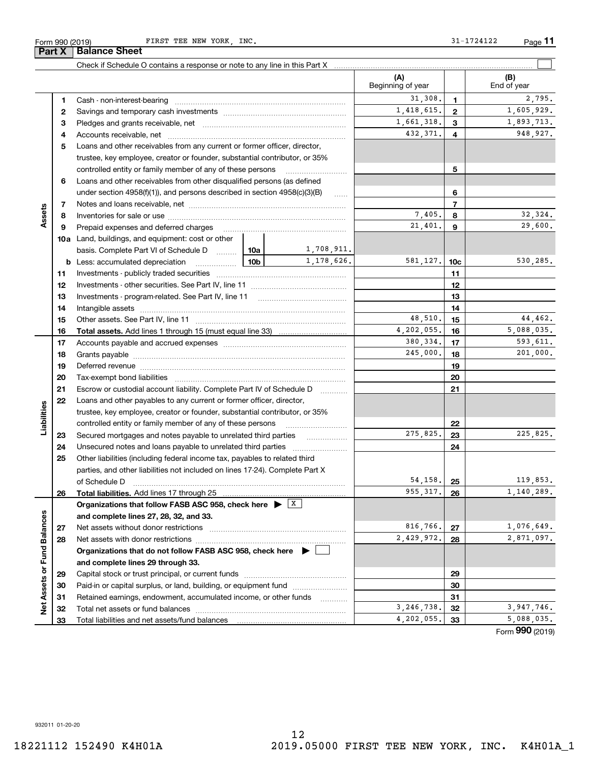÷.

932011 01-20-20

12 18221112 152490 K4H01A 2019.05000 FIRST TEE NEW YORK, INC. K4H01A\_1

|                             |    |                                                                                             |                 |            | (A)<br>Beginning of year |                 | (B)<br>End of year |
|-----------------------------|----|---------------------------------------------------------------------------------------------|-----------------|------------|--------------------------|-----------------|--------------------|
|                             | 1  |                                                                                             |                 |            | 31,308.                  | $\mathbf{1}$    | 2,795.             |
|                             | 2  |                                                                                             |                 |            | 1,418,615.               | $\overline{2}$  | 1,605,929.         |
|                             | з  |                                                                                             |                 |            | 1,661,318.               | 3               | 1,893,713.         |
|                             | 4  |                                                                                             |                 |            | 432,371.                 | $\overline{4}$  | 948,927.           |
|                             | 5  | Loans and other receivables from any current or former officer, director,                   |                 |            |                          |                 |                    |
|                             |    | trustee, key employee, creator or founder, substantial contributor, or 35%                  |                 |            |                          |                 |                    |
|                             |    | controlled entity or family member of any of these persons                                  |                 |            |                          | 5               |                    |
|                             | 6  | Loans and other receivables from other disqualified persons (as defined                     |                 |            |                          |                 |                    |
|                             |    | under section 4958(f)(1)), and persons described in section 4958(c)(3)(B)                   |                 | 1.1.1.1.1  |                          | 6               |                    |
|                             | 7  |                                                                                             |                 |            |                          | $\overline{7}$  |                    |
| Assets                      | 8  |                                                                                             |                 |            | 7,405.                   | 8               | 32,324.            |
|                             | 9  | Prepaid expenses and deferred charges                                                       |                 |            | 21,401.                  | 9               | 29,600.            |
|                             |    | <b>10a</b> Land, buildings, and equipment: cost or other                                    |                 |            |                          |                 |                    |
|                             |    | basis. Complete Part VI of Schedule D  10a                                                  |                 | 1,708,911. |                          |                 |                    |
|                             |    | <b>b</b> Less: accumulated depreciation                                                     | 10 <sub>b</sub> | 1,178,626. | 581,127.                 | 10 <sub>c</sub> | 530,285.           |
|                             | 11 |                                                                                             |                 |            |                          | 11              |                    |
|                             | 12 |                                                                                             |                 |            |                          | 12              |                    |
|                             | 13 |                                                                                             |                 |            | 13                       |                 |                    |
|                             | 14 |                                                                                             |                 |            | 14                       |                 |                    |
|                             | 15 |                                                                                             |                 |            | 48,510.                  | 15              | 44,462.            |
|                             | 16 |                                                                                             |                 |            | 4,202,055.               | 16              | 5,088,035.         |
|                             | 17 |                                                                                             |                 |            | 380,334.                 | 17              | 593,611.           |
|                             | 18 |                                                                                             |                 |            | 245,000.                 | 18              | 201,000.           |
|                             | 19 |                                                                                             |                 |            |                          | 19              |                    |
|                             | 20 |                                                                                             |                 |            |                          | 20              |                    |
|                             | 21 | Escrow or custodial account liability. Complete Part IV of Schedule D                       |                 | 21         |                          |                 |                    |
|                             | 22 | Loans and other payables to any current or former officer, director,                        |                 |            |                          |                 |                    |
|                             |    | trustee, key employee, creator or founder, substantial contributor, or 35%                  |                 |            |                          |                 |                    |
| Liabilities                 |    | controlled entity or family member of any of these persons                                  |                 |            |                          | 22              |                    |
|                             | 23 | Secured mortgages and notes payable to unrelated third parties                              |                 |            | 275,825.                 | 23              | 225,825.           |
|                             | 24 | Unsecured notes and loans payable to unrelated third parties                                |                 |            |                          | 24              |                    |
|                             | 25 | Other liabilities (including federal income tax, payables to related third                  |                 |            |                          |                 |                    |
|                             |    | parties, and other liabilities not included on lines 17-24). Complete Part X                |                 |            |                          |                 |                    |
|                             |    | of Schedule D                                                                               |                 |            | 54,158.                  | 25              | 119,853.           |
|                             | 26 |                                                                                             |                 |            | 955, 317.                | 26              | 1,140,289.         |
|                             |    | Organizations that follow FASB ASC 958, check here $\blacktriangleright$ $\boxed{\text{X}}$ |                 |            |                          |                 |                    |
|                             |    | and complete lines 27, 28, 32, and 33.                                                      |                 |            |                          |                 |                    |
|                             | 27 | Net assets without donor restrictions                                                       |                 |            | 816,766.                 | 27              | 1,076,649.         |
|                             | 28 |                                                                                             |                 |            | 2,429,972.               | 28              | 2,871,097.         |
|                             |    | Organizations that do not follow FASB ASC 958, check here $\blacktriangleright$             |                 |            |                          |                 |                    |
|                             |    | and complete lines 29 through 33.                                                           |                 |            |                          |                 |                    |
|                             | 29 |                                                                                             |                 |            | 29                       |                 |                    |
|                             | 30 | Paid-in or capital surplus, or land, building, or equipment fund                            |                 |            | 30                       |                 |                    |
|                             | 31 | Retained earnings, endowment, accumulated income, or other funds                            |                 |            |                          | 31              |                    |
| Net Assets or Fund Balances | 32 | Total net assets or fund balances                                                           |                 | .          | 3,246,738.               | 32              | 3,947,746.         |
|                             | 33 | Total liabilities and net assets/fund balances                                              |                 |            | 4,202,055.               | 33              | 5,088,035.         |
|                             |    |                                                                                             |                 |            |                          |                 | Form 990 (2019)    |

Check if Schedule O contains a response or note to any line in this Part X

Form 990 (2019) FIRST TEE NEW YORK, INC. 31-1724122 Page **11**

 $\mathcal{L}^{\text{max}}$ 

**Part X Balance Sheet**

 $\overline{\phantom{0}}$ 

 $\overline{\phantom{0}}$ 

 $\overline{\phantom{0}}$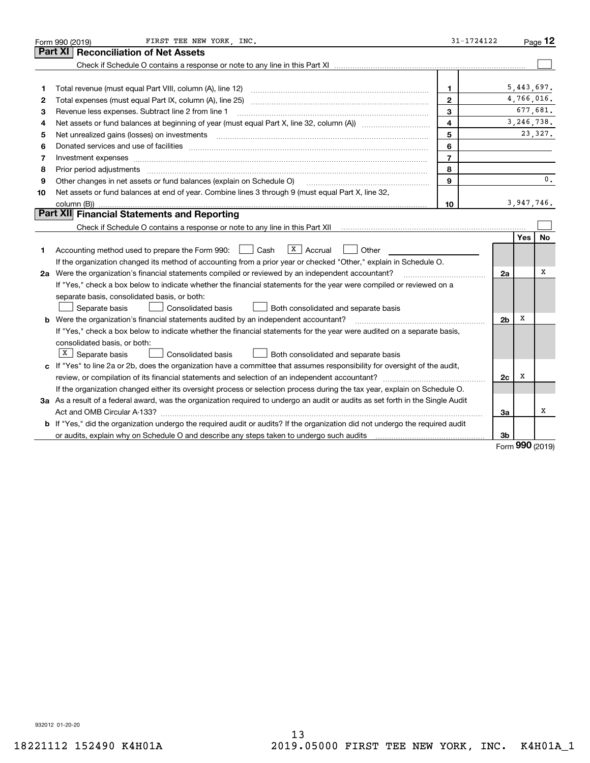|    | FIRST TEE NEW YORK, INC.<br>Form 990 (2019)                                                                                                                                                                                   | 31-1724122              |                |              | Page $12$      |
|----|-------------------------------------------------------------------------------------------------------------------------------------------------------------------------------------------------------------------------------|-------------------------|----------------|--------------|----------------|
|    | Part XI<br><b>Reconciliation of Net Assets</b>                                                                                                                                                                                |                         |                |              |                |
|    |                                                                                                                                                                                                                               |                         |                |              |                |
|    |                                                                                                                                                                                                                               |                         |                |              |                |
| 1  |                                                                                                                                                                                                                               | 1.                      |                | 5,443,697.   |                |
| 2  | Total expenses (must equal Part IX, column (A), line 25) [11] manufactured expenses (must equal Part IX, column (A), line 25)                                                                                                 | $\mathbf{2}$            |                | 4,766,016.   |                |
| 3  | Revenue less expenses. Subtract line 2 from line 1                                                                                                                                                                            | 3                       |                |              | 677,681.       |
| 4  |                                                                                                                                                                                                                               | $\overline{\mathbf{4}}$ |                | 3, 246, 738. |                |
| 5  | Net unrealized gains (losses) on investments [11] matter continuum matter is a set of the set of the set of the                                                                                                               | 5                       |                |              | 23,327.        |
| 6  |                                                                                                                                                                                                                               | 6                       |                |              |                |
| 7  | Investment expenses www.communication.com/www.communication.com/www.communication.com/www.com                                                                                                                                 | $\overline{7}$          |                |              |                |
| 8  | Prior period adjustments www.communication.communication.communication.com/                                                                                                                                                   | 8                       |                |              |                |
| 9  | Other changes in net assets or fund balances (explain on Schedule O)                                                                                                                                                          | 9                       |                |              | $\mathbf{0}$ . |
| 10 | Net assets or fund balances at end of year. Combine lines 3 through 9 (must equal Part X, line 32,                                                                                                                            |                         |                |              |                |
|    |                                                                                                                                                                                                                               | 10                      |                | 3,947,746.   |                |
|    | Part XII Financial Statements and Reporting                                                                                                                                                                                   |                         |                |              |                |
|    |                                                                                                                                                                                                                               |                         |                |              |                |
|    |                                                                                                                                                                                                                               |                         |                | Yes          | <b>No</b>      |
| 1  | $X \vert$ Accrual<br>Accounting method used to prepare the Form 990: <u>II</u> Cash<br>Other                                                                                                                                  |                         |                |              |                |
|    | If the organization changed its method of accounting from a prior year or checked "Other," explain in Schedule O.                                                                                                             |                         |                |              |                |
|    | 2a Were the organization's financial statements compiled or reviewed by an independent accountant?                                                                                                                            |                         | 2a             |              | х              |
|    | If "Yes," check a box below to indicate whether the financial statements for the year were compiled or reviewed on a                                                                                                          |                         |                |              |                |
|    | separate basis, consolidated basis, or both:                                                                                                                                                                                  |                         |                |              |                |
|    | Separate basis<br><b>Consolidated basis</b><br>Both consolidated and separate basis                                                                                                                                           |                         |                |              |                |
|    | <b>b</b> Were the organization's financial statements audited by an independent accountant?                                                                                                                                   |                         | 2 <sub>b</sub> | х            |                |
|    | If "Yes," check a box below to indicate whether the financial statements for the year were audited on a separate basis,                                                                                                       |                         |                |              |                |
|    | consolidated basis, or both:                                                                                                                                                                                                  |                         |                |              |                |
|    | $X$ Separate basis<br><b>Consolidated basis</b><br>Both consolidated and separate basis                                                                                                                                       |                         |                |              |                |
|    | c If "Yes" to line 2a or 2b, does the organization have a committee that assumes responsibility for oversight of the audit,                                                                                                   |                         |                |              |                |
|    |                                                                                                                                                                                                                               |                         | 2c             | х            |                |
|    | If the organization changed either its oversight process or selection process during the tax year, explain on Schedule O.                                                                                                     |                         |                |              |                |
|    | 3a As a result of a federal award, was the organization required to undergo an audit or audits as set forth in the Single Audit                                                                                               |                         |                |              |                |
|    |                                                                                                                                                                                                                               |                         | За             |              | х              |
|    | b If "Yes," did the organization undergo the required audit or audits? If the organization did not undergo the required audit                                                                                                 |                         |                |              |                |
|    | or audits, explain why on Schedule O and describe any steps taken to undergo such audits [11] outcommunically contained and the analytic or audits [11] or audits [11] or audits [11] or audits [11] or audits [11] or audits |                         | 3b             | nnn          |                |

Form (2019) **990**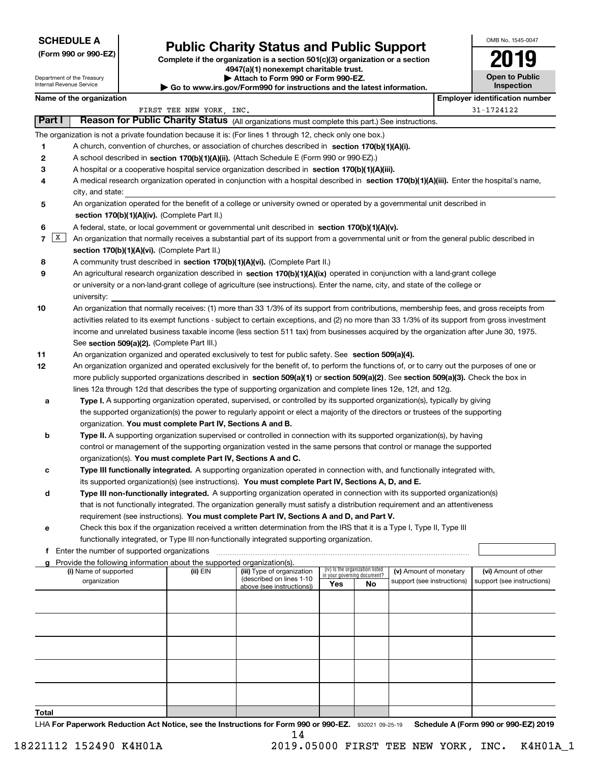| <b>SCHEDULE A</b> |  |
|-------------------|--|
|-------------------|--|

**(Form 990 or 990-EZ)**

# **Public Charity Status and Public Support**

**Complete if the organization is a section 501(c)(3) organization or a section 4947(a)(1) nonexempt charitable trust. | Attach to Form 990 or Form 990-EZ.** 

**| Go to www.irs.gov/Form990 for instructions and the latest information.**

| 2019                                       |  |
|--------------------------------------------|--|
| <b>Open to Public</b><br><b>Inspection</b> |  |

OMB No. 1545-0047

## Department of the Treasury Internal Revenue Service

|        | Name of the organization                                                                                                                                  |                                                                                                                                           |                                                       |     |                                   |                            |  | <b>Employer identification number</b> |  |  |  |  |  |
|--------|-----------------------------------------------------------------------------------------------------------------------------------------------------------|-------------------------------------------------------------------------------------------------------------------------------------------|-------------------------------------------------------|-----|-----------------------------------|----------------------------|--|---------------------------------------|--|--|--|--|--|
|        |                                                                                                                                                           | FIRST TEE NEW YORK, INC.                                                                                                                  |                                                       |     |                                   |                            |  | 31-1724122                            |  |  |  |  |  |
| Part I | Reason for Public Charity Status (All organizations must complete this part.) See instructions.                                                           |                                                                                                                                           |                                                       |     |                                   |                            |  |                                       |  |  |  |  |  |
|        | The organization is not a private foundation because it is: (For lines 1 through 12, check only one box.)                                                 |                                                                                                                                           |                                                       |     |                                   |                            |  |                                       |  |  |  |  |  |
| 1      | A church, convention of churches, or association of churches described in section $170(b)(1)(A)(i)$ .                                                     |                                                                                                                                           |                                                       |     |                                   |                            |  |                                       |  |  |  |  |  |
| 2      | A school described in section 170(b)(1)(A)(ii). (Attach Schedule E (Form 990 or 990-EZ).)                                                                 |                                                                                                                                           |                                                       |     |                                   |                            |  |                                       |  |  |  |  |  |
| 3      | A hospital or a cooperative hospital service organization described in section 170(b)(1)(A)(iii).                                                         |                                                                                                                                           |                                                       |     |                                   |                            |  |                                       |  |  |  |  |  |
| 4      | A medical research organization operated in conjunction with a hospital described in section 170(b)(1)(A)(iii). Enter the hospital's name,                |                                                                                                                                           |                                                       |     |                                   |                            |  |                                       |  |  |  |  |  |
|        | city, and state:                                                                                                                                          |                                                                                                                                           |                                                       |     |                                   |                            |  |                                       |  |  |  |  |  |
| 5      | An organization operated for the benefit of a college or university owned or operated by a governmental unit described in                                 |                                                                                                                                           |                                                       |     |                                   |                            |  |                                       |  |  |  |  |  |
|        | section 170(b)(1)(A)(iv). (Complete Part II.)                                                                                                             |                                                                                                                                           |                                                       |     |                                   |                            |  |                                       |  |  |  |  |  |
| 6      | A federal, state, or local government or governmental unit described in section 170(b)(1)(A)(v).                                                          |                                                                                                                                           |                                                       |     |                                   |                            |  |                                       |  |  |  |  |  |
| 7      | $\mathbf{x}$<br>An organization that normally receives a substantial part of its support from a governmental unit or from the general public described in |                                                                                                                                           |                                                       |     |                                   |                            |  |                                       |  |  |  |  |  |
|        | section 170(b)(1)(A)(vi). (Complete Part II.)                                                                                                             |                                                                                                                                           |                                                       |     |                                   |                            |  |                                       |  |  |  |  |  |
| 8      | A community trust described in section 170(b)(1)(A)(vi). (Complete Part II.)                                                                              |                                                                                                                                           |                                                       |     |                                   |                            |  |                                       |  |  |  |  |  |
| 9      | An agricultural research organization described in section 170(b)(1)(A)(ix) operated in conjunction with a land-grant college                             |                                                                                                                                           |                                                       |     |                                   |                            |  |                                       |  |  |  |  |  |
|        | or university or a non-land-grant college of agriculture (see instructions). Enter the name, city, and state of the college or                            |                                                                                                                                           |                                                       |     |                                   |                            |  |                                       |  |  |  |  |  |
|        | university:                                                                                                                                               |                                                                                                                                           |                                                       |     |                                   |                            |  |                                       |  |  |  |  |  |
| 10     |                                                                                                                                                           | An organization that normally receives: (1) more than 33 1/3% of its support from contributions, membership fees, and gross receipts from |                                                       |     |                                   |                            |  |                                       |  |  |  |  |  |
|        | activities related to its exempt functions - subject to certain exceptions, and (2) no more than 33 1/3% of its support from gross investment             |                                                                                                                                           |                                                       |     |                                   |                            |  |                                       |  |  |  |  |  |
|        | income and unrelated business taxable income (less section 511 tax) from businesses acquired by the organization after June 30, 1975.                     |                                                                                                                                           |                                                       |     |                                   |                            |  |                                       |  |  |  |  |  |
|        | See section 509(a)(2). (Complete Part III.)                                                                                                               |                                                                                                                                           |                                                       |     |                                   |                            |  |                                       |  |  |  |  |  |
| 11     | An organization organized and operated exclusively to test for public safety. See section 509(a)(4).                                                      |                                                                                                                                           |                                                       |     |                                   |                            |  |                                       |  |  |  |  |  |
| 12     | An organization organized and operated exclusively for the benefit of, to perform the functions of, or to carry out the purposes of one or                |                                                                                                                                           |                                                       |     |                                   |                            |  |                                       |  |  |  |  |  |
|        | more publicly supported organizations described in section 509(a)(1) or section 509(a)(2). See section 509(a)(3). Check the box in                        |                                                                                                                                           |                                                       |     |                                   |                            |  |                                       |  |  |  |  |  |
|        | lines 12a through 12d that describes the type of supporting organization and complete lines 12e, 12f, and 12g.                                            |                                                                                                                                           |                                                       |     |                                   |                            |  |                                       |  |  |  |  |  |
| а      | Type I. A supporting organization operated, supervised, or controlled by its supported organization(s), typically by giving                               |                                                                                                                                           |                                                       |     |                                   |                            |  |                                       |  |  |  |  |  |
|        | the supported organization(s) the power to regularly appoint or elect a majority of the directors or trustees of the supporting                           |                                                                                                                                           |                                                       |     |                                   |                            |  |                                       |  |  |  |  |  |
|        | organization. You must complete Part IV, Sections A and B.                                                                                                |                                                                                                                                           |                                                       |     |                                   |                            |  |                                       |  |  |  |  |  |
| b      | Type II. A supporting organization supervised or controlled in connection with its supported organization(s), by having                                   |                                                                                                                                           |                                                       |     |                                   |                            |  |                                       |  |  |  |  |  |
|        | control or management of the supporting organization vested in the same persons that control or manage the supported                                      |                                                                                                                                           |                                                       |     |                                   |                            |  |                                       |  |  |  |  |  |
|        | organization(s). You must complete Part IV, Sections A and C.                                                                                             |                                                                                                                                           |                                                       |     |                                   |                            |  |                                       |  |  |  |  |  |
| с      | Type III functionally integrated. A supporting organization operated in connection with, and functionally integrated with,                                |                                                                                                                                           |                                                       |     |                                   |                            |  |                                       |  |  |  |  |  |
|        | its supported organization(s) (see instructions). You must complete Part IV, Sections A, D, and E.                                                        |                                                                                                                                           |                                                       |     |                                   |                            |  |                                       |  |  |  |  |  |
| d      | Type III non-functionally integrated. A supporting organization operated in connection with its supported organization(s)                                 |                                                                                                                                           |                                                       |     |                                   |                            |  |                                       |  |  |  |  |  |
|        | that is not functionally integrated. The organization generally must satisfy a distribution requirement and an attentiveness                              |                                                                                                                                           |                                                       |     |                                   |                            |  |                                       |  |  |  |  |  |
|        | requirement (see instructions). You must complete Part IV, Sections A and D, and Part V.                                                                  |                                                                                                                                           |                                                       |     |                                   |                            |  |                                       |  |  |  |  |  |
| е      | Check this box if the organization received a written determination from the IRS that it is a Type I, Type II, Type III                                   |                                                                                                                                           |                                                       |     |                                   |                            |  |                                       |  |  |  |  |  |
|        | functionally integrated, or Type III non-functionally integrated supporting organization.                                                                 |                                                                                                                                           |                                                       |     |                                   |                            |  |                                       |  |  |  |  |  |
|        | f Enter the number of supported organizations<br>Provide the following information about the supported organization(s).                                   |                                                                                                                                           |                                                       |     |                                   |                            |  |                                       |  |  |  |  |  |
|        | (i) Name of supported                                                                                                                                     | (ii) EIN                                                                                                                                  | (iii) Type of organization                            |     | (iv) Is the organization listed   | (v) Amount of monetary     |  | (vi) Amount of other                  |  |  |  |  |  |
|        | organization                                                                                                                                              |                                                                                                                                           | (described on lines 1-10<br>above (see instructions)) | Yes | in your governing document?<br>No | support (see instructions) |  | support (see instructions)            |  |  |  |  |  |
|        |                                                                                                                                                           |                                                                                                                                           |                                                       |     |                                   |                            |  |                                       |  |  |  |  |  |
|        |                                                                                                                                                           |                                                                                                                                           |                                                       |     |                                   |                            |  |                                       |  |  |  |  |  |
|        |                                                                                                                                                           |                                                                                                                                           |                                                       |     |                                   |                            |  |                                       |  |  |  |  |  |
|        |                                                                                                                                                           |                                                                                                                                           |                                                       |     |                                   |                            |  |                                       |  |  |  |  |  |
|        |                                                                                                                                                           |                                                                                                                                           |                                                       |     |                                   |                            |  |                                       |  |  |  |  |  |
|        |                                                                                                                                                           |                                                                                                                                           |                                                       |     |                                   |                            |  |                                       |  |  |  |  |  |
|        |                                                                                                                                                           |                                                                                                                                           |                                                       |     |                                   |                            |  |                                       |  |  |  |  |  |
|        |                                                                                                                                                           |                                                                                                                                           |                                                       |     |                                   |                            |  |                                       |  |  |  |  |  |
|        |                                                                                                                                                           |                                                                                                                                           |                                                       |     |                                   |                            |  |                                       |  |  |  |  |  |
|        |                                                                                                                                                           |                                                                                                                                           |                                                       |     |                                   |                            |  |                                       |  |  |  |  |  |
|        |                                                                                                                                                           |                                                                                                                                           |                                                       |     |                                   |                            |  |                                       |  |  |  |  |  |

**Total**

LHA For Paperwork Reduction Act Notice, see the Instructions for Form 990 or 990-EZ. 932021 09-25-19 Schedule A (Form 990 or 990-EZ) 2019 14

 <sup>18221112 152490</sup> K4H01A 2019.05000 FIRST TEE NEW YORK, INC. K4H01A\_1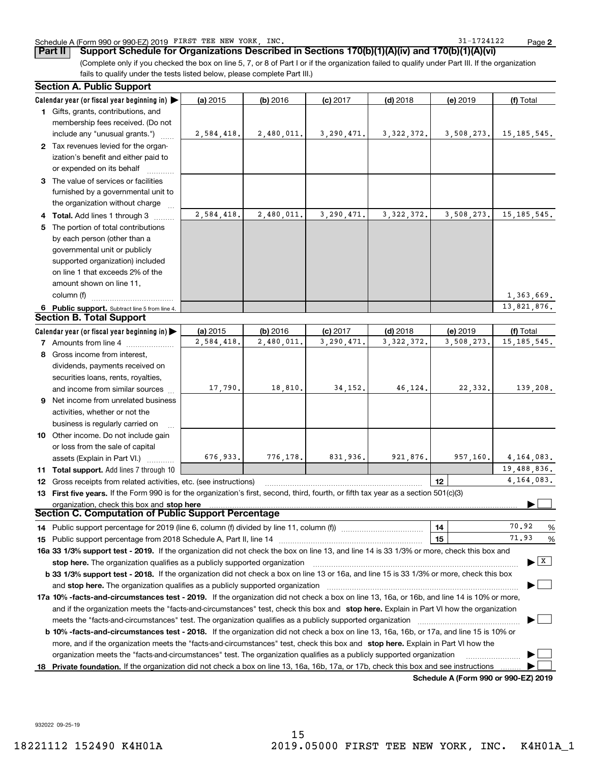### Schedule A (Form 990 or 990-EZ) 2019 FIRST TEE NEW YORK, INC. 31-1724122 Page

**2**

(Complete only if you checked the box on line 5, 7, or 8 of Part I or if the organization failed to qualify under Part III. If the organization fails to qualify under the tests listed below, please complete Part III.) **Part II Support Schedule for Organizations Described in Sections 170(b)(1)(A)(iv) and 170(b)(1)(A)(vi)**

|    | <b>Section A. Public Support</b>                                                                                                               |            |            |            |              |                                      |               |
|----|------------------------------------------------------------------------------------------------------------------------------------------------|------------|------------|------------|--------------|--------------------------------------|---------------|
|    | Calendar year (or fiscal year beginning in)                                                                                                    | (a) 2015   | (b) 2016   | $(c)$ 2017 | $(d)$ 2018   | (e) 2019                             | (f) Total     |
|    | 1 Gifts, grants, contributions, and                                                                                                            |            |            |            |              |                                      |               |
|    | membership fees received. (Do not                                                                                                              |            |            |            |              |                                      |               |
|    | include any "unusual grants.")                                                                                                                 | 2,584,418. | 2,480,011. | 3,290,471. | 3, 322, 372. | 3,508,273.                           | 15, 185, 545. |
|    | 2 Tax revenues levied for the organ-                                                                                                           |            |            |            |              |                                      |               |
|    | ization's benefit and either paid to                                                                                                           |            |            |            |              |                                      |               |
|    | or expended on its behalf                                                                                                                      |            |            |            |              |                                      |               |
|    | 3 The value of services or facilities                                                                                                          |            |            |            |              |                                      |               |
|    | furnished by a governmental unit to                                                                                                            |            |            |            |              |                                      |               |
|    | the organization without charge                                                                                                                |            |            |            |              |                                      |               |
|    | 4 Total. Add lines 1 through 3                                                                                                                 | 2,584,418. | 2,480,011. | 3,290,471. | 3, 322, 372. | 3,508,273.                           | 15, 185, 545. |
|    | 5 The portion of total contributions                                                                                                           |            |            |            |              |                                      |               |
|    | by each person (other than a                                                                                                                   |            |            |            |              |                                      |               |
|    | governmental unit or publicly                                                                                                                  |            |            |            |              |                                      |               |
|    | supported organization) included                                                                                                               |            |            |            |              |                                      |               |
|    | on line 1 that exceeds 2% of the                                                                                                               |            |            |            |              |                                      |               |
|    | amount shown on line 11,                                                                                                                       |            |            |            |              |                                      |               |
|    | column (f)                                                                                                                                     |            |            |            |              |                                      | 1,363,669.    |
|    | 6 Public support. Subtract line 5 from line 4.                                                                                                 |            |            |            |              |                                      | 13,821,876.   |
|    | <b>Section B. Total Support</b>                                                                                                                |            |            |            |              |                                      |               |
|    | Calendar year (or fiscal year beginning in) $\blacktriangleright$                                                                              | (a) 2015   | (b) 2016   | $(c)$ 2017 | $(d)$ 2018   | (e) 2019                             | (f) Total     |
|    | 7 Amounts from line 4                                                                                                                          | 2,584,418. | 2,480,011. | 3,290,471  | 3, 322, 372. | 3,508,273.                           | 15, 185, 545. |
|    | 8 Gross income from interest,                                                                                                                  |            |            |            |              |                                      |               |
|    | dividends, payments received on                                                                                                                |            |            |            |              |                                      |               |
|    | securities loans, rents, royalties,                                                                                                            |            |            |            |              |                                      |               |
|    | and income from similar sources                                                                                                                | 17,790.    | 18,810.    | 34,152.    | 46,124.      | 22,332.                              | 139,208.      |
|    | <b>9</b> Net income from unrelated business                                                                                                    |            |            |            |              |                                      |               |
|    |                                                                                                                                                |            |            |            |              |                                      |               |
|    | activities, whether or not the                                                                                                                 |            |            |            |              |                                      |               |
|    | business is regularly carried on                                                                                                               |            |            |            |              |                                      |               |
|    | 10 Other income. Do not include gain                                                                                                           |            |            |            |              |                                      |               |
|    | or loss from the sale of capital                                                                                                               |            |            | 831.936.   |              |                                      |               |
|    | assets (Explain in Part VI.)                                                                                                                   | 676,933.   | 776,178.   |            | 921,876.     | 957,160.                             | 4, 164, 083.  |
|    | 11 Total support. Add lines 7 through 10                                                                                                       |            |            |            |              |                                      | 19,488,836.   |
|    | 12 Gross receipts from related activities, etc. (see instructions)                                                                             |            |            |            |              | 12                                   | 4, 164, 083.  |
|    | 13 First five years. If the Form 990 is for the organization's first, second, third, fourth, or fifth tax year as a section 501(c)(3)          |            |            |            |              |                                      |               |
|    | organization, check this box and stop here<br>Section C. Computation of Public Support Percentage                                              |            |            |            |              |                                      |               |
|    |                                                                                                                                                |            |            |            |              |                                      |               |
|    |                                                                                                                                                |            |            |            |              | 14                                   | 70.92<br>%    |
|    | 15 Public support percentage from 2018 Schedule A, Part II, line 14                                                                            |            |            |            |              | 15                                   | 71.93<br>%    |
|    | 16a 33 1/3% support test - 2019. If the organization did not check the box on line 13, and line 14 is 33 1/3% or more, check this box and      |            |            |            |              |                                      |               |
|    | stop here. The organization qualifies as a publicly supported organization                                                                     |            |            |            |              |                                      | X             |
|    | b 33 1/3% support test - 2018. If the organization did not check a box on line 13 or 16a, and line 15 is 33 1/3% or more, check this box       |            |            |            |              |                                      |               |
|    | and stop here. The organization qualifies as a publicly supported organization                                                                 |            |            |            |              |                                      |               |
|    | 17a 10% -facts-and-circumstances test - 2019. If the organization did not check a box on line 13, 16a, or 16b, and line 14 is 10% or more,     |            |            |            |              |                                      |               |
|    | and if the organization meets the "facts-and-circumstances" test, check this box and stop here. Explain in Part VI how the organization        |            |            |            |              |                                      |               |
|    | meets the "facts-and-circumstances" test. The organization qualifies as a publicly supported organization                                      |            |            |            |              |                                      |               |
|    | <b>b 10% -facts-and-circumstances test - 2018.</b> If the organization did not check a box on line 13, 16a, 16b, or 17a, and line 15 is 10% or |            |            |            |              |                                      |               |
|    | more, and if the organization meets the "facts-and-circumstances" test, check this box and stop here. Explain in Part VI how the               |            |            |            |              |                                      |               |
|    | organization meets the "facts-and-circumstances" test. The organization qualifies as a publicly supported organization                         |            |            |            |              |                                      |               |
| 18 | Private foundation. If the organization did not check a box on line 13, 16a, 16b, 17a, or 17b, check this box and see instructions             |            |            |            |              |                                      |               |
|    |                                                                                                                                                |            |            |            |              | Schedule A (Form 990 or 990-F7) 2019 |               |

**Schedule A (Form 990 or 990-EZ) 2019**

932022 09-25-19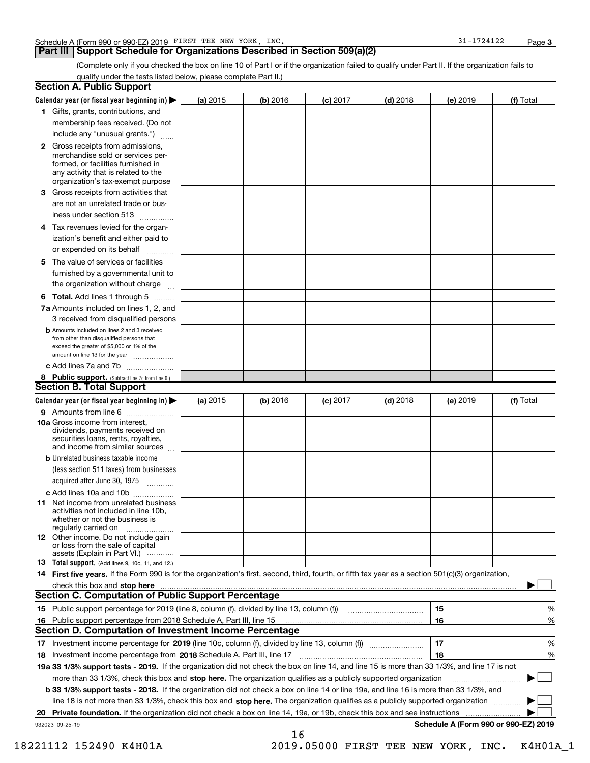### **Part III Support Schedule for Organizations Described in Section 509(a)(2)**

**3**

(Complete only if you checked the box on line 10 of Part I or if the organization failed to qualify under Part II. If the organization fails to qualify under the tests listed below, please complete Part II.)

|     | <b>Section A. Public Support</b>                                                                                                                                                                                               |          |          |            |            |          |                                      |
|-----|--------------------------------------------------------------------------------------------------------------------------------------------------------------------------------------------------------------------------------|----------|----------|------------|------------|----------|--------------------------------------|
|     | Calendar year (or fiscal year beginning in) $\blacktriangleright$                                                                                                                                                              | (a) 2015 | (b) 2016 | $(c)$ 2017 | $(d)$ 2018 | (e) 2019 | (f) Total                            |
|     | 1 Gifts, grants, contributions, and                                                                                                                                                                                            |          |          |            |            |          |                                      |
|     | membership fees received. (Do not                                                                                                                                                                                              |          |          |            |            |          |                                      |
|     | include any "unusual grants.")                                                                                                                                                                                                 |          |          |            |            |          |                                      |
|     | <b>2</b> Gross receipts from admissions,<br>merchandise sold or services per-<br>formed, or facilities furnished in<br>any activity that is related to the<br>organization's tax-exempt purpose                                |          |          |            |            |          |                                      |
|     | 3 Gross receipts from activities that<br>are not an unrelated trade or bus-                                                                                                                                                    |          |          |            |            |          |                                      |
|     | iness under section 513                                                                                                                                                                                                        |          |          |            |            |          |                                      |
|     | 4 Tax revenues levied for the organ-<br>ization's benefit and either paid to<br>or expended on its behalf<br>.                                                                                                                 |          |          |            |            |          |                                      |
|     | 5 The value of services or facilities<br>furnished by a governmental unit to                                                                                                                                                   |          |          |            |            |          |                                      |
|     | the organization without charge                                                                                                                                                                                                |          |          |            |            |          |                                      |
|     | <b>6 Total.</b> Add lines 1 through 5                                                                                                                                                                                          |          |          |            |            |          |                                      |
|     | 7a Amounts included on lines 1, 2, and<br>3 received from disqualified persons                                                                                                                                                 |          |          |            |            |          |                                      |
|     | <b>b</b> Amounts included on lines 2 and 3 received<br>from other than disqualified persons that<br>exceed the greater of \$5,000 or 1% of the<br>amount on line 13 for the year                                               |          |          |            |            |          |                                      |
|     | c Add lines 7a and 7b                                                                                                                                                                                                          |          |          |            |            |          |                                      |
|     | 8 Public support. (Subtract line 7c from line 6.)                                                                                                                                                                              |          |          |            |            |          |                                      |
|     | <b>Section B. Total Support</b>                                                                                                                                                                                                |          |          |            |            |          |                                      |
|     | Calendar year (or fiscal year beginning in)                                                                                                                                                                                    | (a) 2015 | (b) 2016 | $(c)$ 2017 | $(d)$ 2018 | (e) 2019 | (f) Total                            |
|     | 9 Amounts from line 6                                                                                                                                                                                                          |          |          |            |            |          |                                      |
|     | 10a Gross income from interest,<br>dividends, payments received on<br>securities loans, rents, royalties,<br>and income from similar sources                                                                                   |          |          |            |            |          |                                      |
|     | <b>b</b> Unrelated business taxable income<br>(less section 511 taxes) from businesses<br>acquired after June 30, 1975                                                                                                         |          |          |            |            |          |                                      |
|     |                                                                                                                                                                                                                                |          |          |            |            |          |                                      |
|     | c Add lines 10a and 10b<br>11 Net income from unrelated business<br>activities not included in line 10b,<br>whether or not the business is<br>regularly carried on                                                             |          |          |            |            |          |                                      |
|     | <b>12</b> Other income. Do not include gain<br>or loss from the sale of capital<br>assets (Explain in Part VI.)                                                                                                                |          |          |            |            |          |                                      |
|     | 13 Total support. (Add lines 9, 10c, 11, and 12.)                                                                                                                                                                              |          |          |            |            |          |                                      |
|     | 14 First five years. If the Form 990 is for the organization's first, second, third, fourth, or fifth tax year as a section 501(c)(3) organization,                                                                            |          |          |            |            |          |                                      |
|     | check this box and stop here measurements are all the state of the state of the state of the state of the state of the state of the state of the state of the state of the state of the state of the state of the state of the |          |          |            |            |          |                                      |
|     | <b>Section C. Computation of Public Support Percentage</b>                                                                                                                                                                     |          |          |            |            |          |                                      |
|     | 15 Public support percentage for 2019 (line 8, column (f), divided by line 13, column (f))                                                                                                                                     |          |          |            |            | 15       | %                                    |
| 16. | Public support percentage from 2018 Schedule A, Part III, line 15                                                                                                                                                              |          |          |            |            | 16       | %                                    |
|     | <b>Section D. Computation of Investment Income Percentage</b>                                                                                                                                                                  |          |          |            |            |          |                                      |
|     | 17 Investment income percentage for 2019 (line 10c, column (f), divided by line 13, column (f))                                                                                                                                |          |          |            |            | 17       | %                                    |
|     | 18 Investment income percentage from 2018 Schedule A, Part III, line 17                                                                                                                                                        |          |          |            |            | 18       | %                                    |
|     | 19a 33 1/3% support tests - 2019. If the organization did not check the box on line 14, and line 15 is more than 33 1/3%, and line 17 is not                                                                                   |          |          |            |            |          |                                      |
|     | more than 33 1/3%, check this box and stop here. The organization qualifies as a publicly supported organization                                                                                                               |          |          |            |            |          |                                      |
|     | b 33 1/3% support tests - 2018. If the organization did not check a box on line 14 or line 19a, and line 16 is more than 33 1/3%, and                                                                                          |          |          |            |            |          |                                      |
|     | line 18 is not more than 33 1/3%, check this box and stop here. The organization qualifies as a publicly supported organization                                                                                                |          |          |            |            |          |                                      |
| 20  | Private foundation. If the organization did not check a box on line 14, 19a, or 19b, check this box and see instructions                                                                                                       |          |          |            |            |          | .                                    |
|     | 932023 09-25-19                                                                                                                                                                                                                |          | 16       |            |            |          | Schedule A (Form 990 or 990-EZ) 2019 |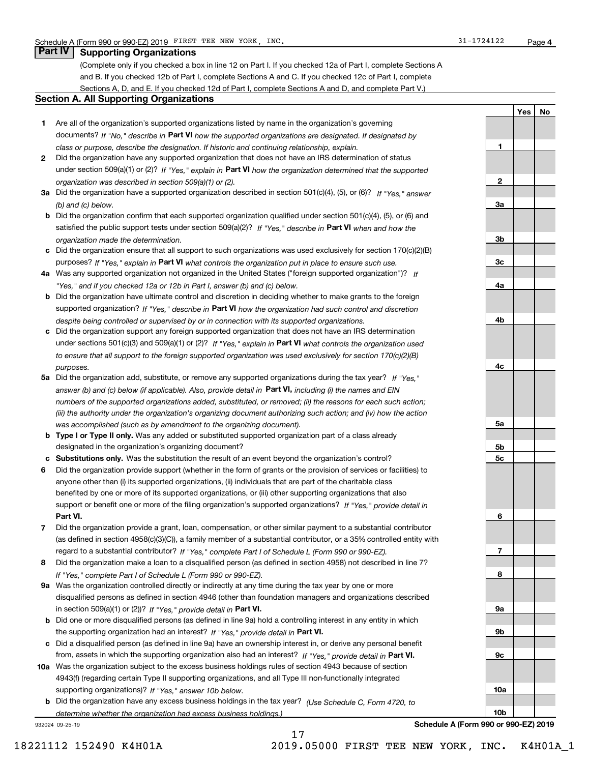**1**

**2**

**3a**

**3b**

**3c**

**4a**

**4b**

**4c**

**5a**

**5b5c**

**6**

**7**

**8**

**9a**

**9b**

**9c**

**10a**

**10b**

**YesNo**

## **Part IV Supporting Organizations**

(Complete only if you checked a box in line 12 on Part I. If you checked 12a of Part I, complete Sections A and B. If you checked 12b of Part I, complete Sections A and C. If you checked 12c of Part I, complete Sections A, D, and E. If you checked 12d of Part I, complete Sections A and D, and complete Part V.)

#### **Section A. All Supporting Organizations**

- **1** Are all of the organization's supported organizations listed by name in the organization's governing documents? If "No," describe in **Part VI** how the supported organizations are designated. If designated by *class or purpose, describe the designation. If historic and continuing relationship, explain.*
- **2** Did the organization have any supported organization that does not have an IRS determination of status under section 509(a)(1) or (2)? If "Yes," explain in Part VI how the organization determined that the supported *organization was described in section 509(a)(1) or (2).*
- **3a** Did the organization have a supported organization described in section 501(c)(4), (5), or (6)? If "Yes," answer *(b) and (c) below.*
- **b** Did the organization confirm that each supported organization qualified under section 501(c)(4), (5), or (6) and satisfied the public support tests under section 509(a)(2)? If "Yes," describe in **Part VI** when and how the *organization made the determination.*
- **c**Did the organization ensure that all support to such organizations was used exclusively for section 170(c)(2)(B) purposes? If "Yes," explain in **Part VI** what controls the organization put in place to ensure such use.
- **4a***If* Was any supported organization not organized in the United States ("foreign supported organization")? *"Yes," and if you checked 12a or 12b in Part I, answer (b) and (c) below.*
- **b** Did the organization have ultimate control and discretion in deciding whether to make grants to the foreign supported organization? If "Yes," describe in **Part VI** how the organization had such control and discretion *despite being controlled or supervised by or in connection with its supported organizations.*
- **c** Did the organization support any foreign supported organization that does not have an IRS determination under sections 501(c)(3) and 509(a)(1) or (2)? If "Yes," explain in **Part VI** what controls the organization used *to ensure that all support to the foreign supported organization was used exclusively for section 170(c)(2)(B) purposes.*
- **5a** Did the organization add, substitute, or remove any supported organizations during the tax year? If "Yes," answer (b) and (c) below (if applicable). Also, provide detail in **Part VI,** including (i) the names and EIN *numbers of the supported organizations added, substituted, or removed; (ii) the reasons for each such action; (iii) the authority under the organization's organizing document authorizing such action; and (iv) how the action was accomplished (such as by amendment to the organizing document).*
- **b** Type I or Type II only. Was any added or substituted supported organization part of a class already designated in the organization's organizing document?
- **cSubstitutions only.**  Was the substitution the result of an event beyond the organization's control?
- **6** Did the organization provide support (whether in the form of grants or the provision of services or facilities) to **Part VI.** *If "Yes," provide detail in* support or benefit one or more of the filing organization's supported organizations? anyone other than (i) its supported organizations, (ii) individuals that are part of the charitable class benefited by one or more of its supported organizations, or (iii) other supporting organizations that also
- **7**Did the organization provide a grant, loan, compensation, or other similar payment to a substantial contributor *If "Yes," complete Part I of Schedule L (Form 990 or 990-EZ).* regard to a substantial contributor? (as defined in section 4958(c)(3)(C)), a family member of a substantial contributor, or a 35% controlled entity with
- **8** Did the organization make a loan to a disqualified person (as defined in section 4958) not described in line 7? *If "Yes," complete Part I of Schedule L (Form 990 or 990-EZ).*
- **9a** Was the organization controlled directly or indirectly at any time during the tax year by one or more in section 509(a)(1) or (2))? If "Yes," *provide detail in* <code>Part VI.</code> disqualified persons as defined in section 4946 (other than foundation managers and organizations described
- **b** Did one or more disqualified persons (as defined in line 9a) hold a controlling interest in any entity in which the supporting organization had an interest? If "Yes," provide detail in P**art VI**.
- **c**Did a disqualified person (as defined in line 9a) have an ownership interest in, or derive any personal benefit from, assets in which the supporting organization also had an interest? If "Yes," provide detail in P**art VI.**
- **10a** Was the organization subject to the excess business holdings rules of section 4943 because of section supporting organizations)? If "Yes," answer 10b below. 4943(f) (regarding certain Type II supporting organizations, and all Type III non-functionally integrated
- **b** Did the organization have any excess business holdings in the tax year? (Use Schedule C, Form 4720, to *determine whether the organization had excess business holdings.)*

17

932024 09-25-19

**Schedule A (Form 990 or 990-EZ) 2019**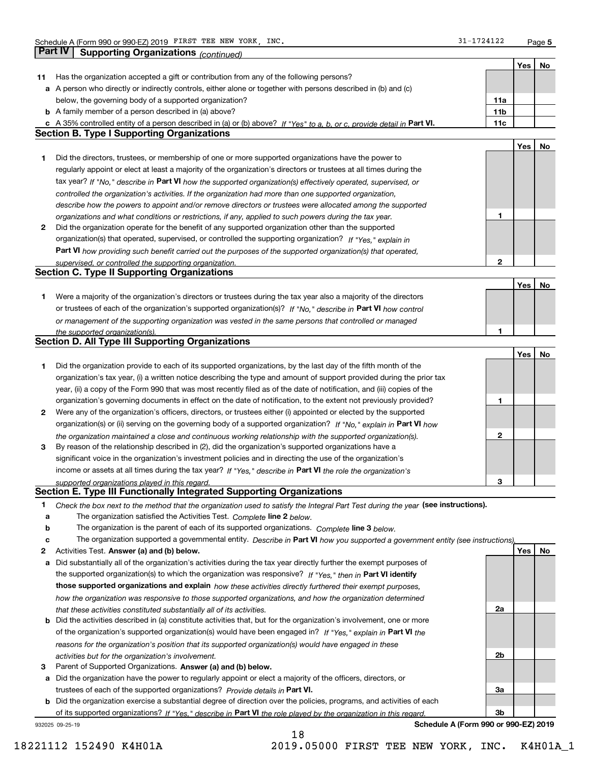**5**

|    | Part IV<br><b>Supporting Organizations (continued)</b>                                                                                                                       |                 |     |    |
|----|------------------------------------------------------------------------------------------------------------------------------------------------------------------------------|-----------------|-----|----|
|    |                                                                                                                                                                              |                 | Yes | No |
| 11 | Has the organization accepted a gift or contribution from any of the following persons?                                                                                      |                 |     |    |
|    | a A person who directly or indirectly controls, either alone or together with persons described in (b) and (c)                                                               |                 |     |    |
|    | below, the governing body of a supported organization?                                                                                                                       | 11a             |     |    |
|    | <b>b</b> A family member of a person described in (a) above?                                                                                                                 | 11 <sub>b</sub> |     |    |
|    |                                                                                                                                                                              | 11c             |     |    |
|    | c A 35% controlled entity of a person described in (a) or (b) above? If "Yes" to a, b, or c, provide detail in Part VI.<br><b>Section B. Type I Supporting Organizations</b> |                 |     |    |
|    |                                                                                                                                                                              |                 |     |    |
|    |                                                                                                                                                                              |                 | Yes | No |
| 1. | Did the directors, trustees, or membership of one or more supported organizations have the power to                                                                          |                 |     |    |
|    | regularly appoint or elect at least a majority of the organization's directors or trustees at all times during the                                                           |                 |     |    |
|    | tax year? If "No," describe in Part VI how the supported organization(s) effectively operated, supervised, or                                                                |                 |     |    |
|    | controlled the organization's activities. If the organization had more than one supported organization,                                                                      |                 |     |    |
|    | describe how the powers to appoint and/or remove directors or trustees were allocated among the supported                                                                    |                 |     |    |
|    | organizations and what conditions or restrictions, if any, applied to such powers during the tax year.                                                                       | 1               |     |    |
| 2  | Did the organization operate for the benefit of any supported organization other than the supported                                                                          |                 |     |    |
|    | organization(s) that operated, supervised, or controlled the supporting organization? If "Yes," explain in                                                                   |                 |     |    |
|    | Part VI how providing such benefit carried out the purposes of the supported organization(s) that operated,                                                                  |                 |     |    |
|    | supervised, or controlled the supporting organization.                                                                                                                       | $\mathbf{2}$    |     |    |
|    | <b>Section C. Type II Supporting Organizations</b>                                                                                                                           |                 |     |    |
|    |                                                                                                                                                                              |                 | Yes | No |
| 1. | Were a majority of the organization's directors or trustees during the tax year also a majority of the directors                                                             |                 |     |    |
|    | or trustees of each of the organization's supported organization(s)? If "No," describe in Part VI how control                                                                |                 |     |    |
|    | or management of the supporting organization was vested in the same persons that controlled or managed                                                                       |                 |     |    |
|    |                                                                                                                                                                              | 1               |     |    |
|    | the supported organization(s).<br><b>Section D. All Type III Supporting Organizations</b>                                                                                    |                 |     |    |
|    |                                                                                                                                                                              |                 | Yes | No |
|    |                                                                                                                                                                              |                 |     |    |
| 1  | Did the organization provide to each of its supported organizations, by the last day of the fifth month of the                                                               |                 |     |    |
|    | organization's tax year, (i) a written notice describing the type and amount of support provided during the prior tax                                                        |                 |     |    |
|    | year, (ii) a copy of the Form 990 that was most recently filed as of the date of notification, and (iii) copies of the                                                       |                 |     |    |
|    | organization's governing documents in effect on the date of notification, to the extent not previously provided?                                                             | 1               |     |    |
| 2  | Were any of the organization's officers, directors, or trustees either (i) appointed or elected by the supported                                                             |                 |     |    |
|    | organization(s) or (ii) serving on the governing body of a supported organization? If "No," explain in Part VI how                                                           |                 |     |    |
|    | the organization maintained a close and continuous working relationship with the supported organization(s).                                                                  | $\mathbf{2}$    |     |    |
| 3  | By reason of the relationship described in (2), did the organization's supported organizations have a                                                                        |                 |     |    |
|    | significant voice in the organization's investment policies and in directing the use of the organization's                                                                   |                 |     |    |
|    | income or assets at all times during the tax year? If "Yes," describe in Part VI the role the organization's                                                                 |                 |     |    |
|    | supported organizations played in this regard.                                                                                                                               | 3               |     |    |
|    | Section E. Type III Functionally Integrated Supporting Organizations                                                                                                         |                 |     |    |
| 1  | Check the box next to the method that the organization used to satisfy the Integral Part Test during the year (see instructions).                                            |                 |     |    |
| а  | The organization satisfied the Activities Test. Complete line 2 below.                                                                                                       |                 |     |    |
| b  | The organization is the parent of each of its supported organizations. Complete line 3 below.                                                                                |                 |     |    |
| с  | The organization supported a governmental entity. Describe in Part VI how you supported a government entity (see instructions),                                              |                 |     |    |
| 2  | Activities Test. Answer (a) and (b) below.                                                                                                                                   |                 | Yes | No |
| а  | Did substantially all of the organization's activities during the tax year directly further the exempt purposes of                                                           |                 |     |    |
|    | the supported organization(s) to which the organization was responsive? If "Yes," then in Part VI identify                                                                   |                 |     |    |
|    |                                                                                                                                                                              |                 |     |    |
|    | those supported organizations and explain how these activities directly furthered their exempt purposes,                                                                     |                 |     |    |
|    | how the organization was responsive to those supported organizations, and how the organization determined                                                                    |                 |     |    |
|    | that these activities constituted substantially all of its activities.                                                                                                       | 2a              |     |    |
|    | <b>b</b> Did the activities described in (a) constitute activities that, but for the organization's involvement, one or more                                                 |                 |     |    |
|    | of the organization's supported organization(s) would have been engaged in? If "Yes," explain in Part VI the                                                                 |                 |     |    |
|    | reasons for the organization's position that its supported organization(s) would have engaged in these                                                                       |                 |     |    |
|    | activities but for the organization's involvement.                                                                                                                           | 2b              |     |    |
| 3  | Parent of Supported Organizations. Answer (a) and (b) below.                                                                                                                 |                 |     |    |
| а  | Did the organization have the power to regularly appoint or elect a majority of the officers, directors, or                                                                  |                 |     |    |
|    | trustees of each of the supported organizations? Provide details in Part VI.                                                                                                 | За              |     |    |
|    | <b>b</b> Did the organization exercise a substantial degree of direction over the policies, programs, and activities of each                                                 |                 |     |    |
|    | of its supported organizations? If "Yes," describe in Part VI the role played by the organization in this regard                                                             | Зb              |     |    |
|    | Schedule A (Form 990 or 990-EZ) 2019<br>932025 09-25-19                                                                                                                      |                 |     |    |

18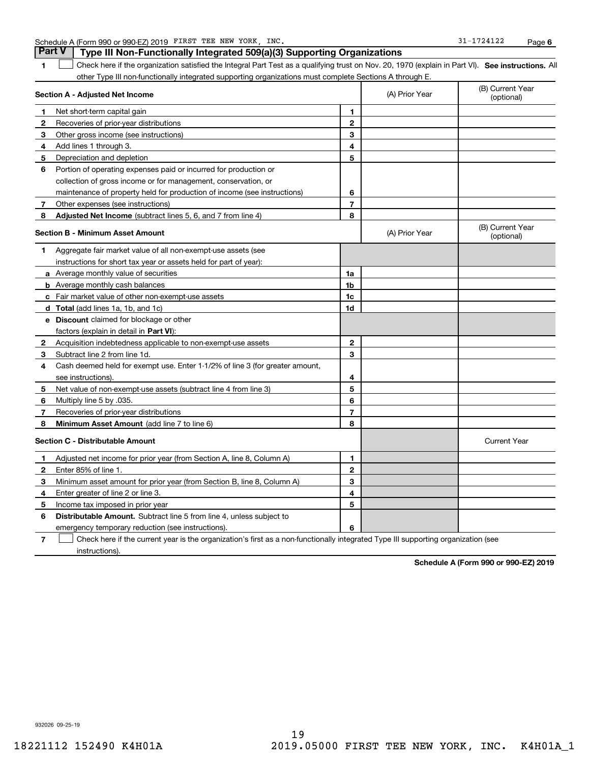|              | other Type III non-functionally integrated supporting organizations must complete Sections A through E. |                |                |                                |
|--------------|---------------------------------------------------------------------------------------------------------|----------------|----------------|--------------------------------|
|              | Section A - Adjusted Net Income                                                                         |                | (A) Prior Year | (B) Current Year<br>(optional) |
| 1            | Net short-term capital gain                                                                             | 1              |                |                                |
| $\mathbf{2}$ | Recoveries of prior-year distributions                                                                  | $\mathbf{2}$   |                |                                |
| З            | Other gross income (see instructions)                                                                   | 3              |                |                                |
| 4            | Add lines 1 through 3.                                                                                  | 4              |                |                                |
| 5            | Depreciation and depletion                                                                              | 5              |                |                                |
| 6            | Portion of operating expenses paid or incurred for production or                                        |                |                |                                |
|              | collection of gross income or for management, conservation, or                                          |                |                |                                |
|              | maintenance of property held for production of income (see instructions)                                | 6              |                |                                |
| 7            | Other expenses (see instructions)                                                                       | $\overline{7}$ |                |                                |
| 8            | <b>Adjusted Net Income</b> (subtract lines 5, 6, and 7 from line 4)                                     | 8              |                |                                |
|              | <b>Section B - Minimum Asset Amount</b>                                                                 |                | (A) Prior Year | (B) Current Year<br>(optional) |
| 1            | Aggregate fair market value of all non-exempt-use assets (see                                           |                |                |                                |
|              | instructions for short tax year or assets held for part of year):                                       |                |                |                                |
|              | a Average monthly value of securities                                                                   | 1a             |                |                                |
|              | <b>b</b> Average monthly cash balances                                                                  | 1b             |                |                                |
|              | c Fair market value of other non-exempt-use assets                                                      | 1c             |                |                                |
|              | d Total (add lines 1a, 1b, and 1c)                                                                      | 1d             |                |                                |
|              | <b>e</b> Discount claimed for blockage or other                                                         |                |                |                                |
|              | factors (explain in detail in Part VI):                                                                 |                |                |                                |
| 2            | Acquisition indebtedness applicable to non-exempt-use assets                                            | $\mathbf{2}$   |                |                                |
| 3            | Subtract line 2 from line 1d.                                                                           | 3              |                |                                |
| 4            | Cash deemed held for exempt use. Enter 1-1/2% of line 3 (for greater amount,                            |                |                |                                |
|              | see instructions)                                                                                       | 4              |                |                                |
| 5            | Net value of non-exempt-use assets (subtract line 4 from line 3)                                        | 5              |                |                                |
| 6            | Multiply line 5 by .035.                                                                                | 6              |                |                                |
| 7            | Recoveries of prior-year distributions                                                                  | $\overline{7}$ |                |                                |
| 8            | Minimum Asset Amount (add line 7 to line 6)                                                             | 8              |                |                                |
|              | <b>Section C - Distributable Amount</b>                                                                 |                |                | <b>Current Year</b>            |
| 1.           | Adjusted net income for prior year (from Section A, line 8, Column A)                                   | 1              |                |                                |
| $\mathbf{2}$ | Enter 85% of line 1.                                                                                    | $\mathbf{2}$   |                |                                |
| 3            | Minimum asset amount for prior year (from Section B, line 8, Column A)                                  | 3              |                |                                |
| 4            | Enter greater of line 2 or line 3.                                                                      | 4              |                |                                |
| 5            | Income tax imposed in prior year                                                                        | 5              |                |                                |
| 6            | <b>Distributable Amount.</b> Subtract line 5 from line 4, unless subject to                             |                |                |                                |
|              | emergency temporary reduction (see instructions).                                                       | 6              |                |                                |

**SEP 10. See instructions.** All antegral Part Test as a qualifying trust on Nov. 20, 1970 (explain in Part VI). See instructions. All

**7**Check here if the current year is the organization's first as a non-functionally integrated Type III supporting organization (see instructions).

**Schedule A (Form 990 or 990-EZ) 2019**

932026 09-25-19

Schedule A (Form 990 or 990-EZ) 2019 FIRST TEE NEW YORK, INC. 31-1724122 Page

**1**

 $\mathcal{L}^{\text{max}}$ 

**Part V Type III Non-Functionally Integrated 509(a)(3) Supporting Organizations**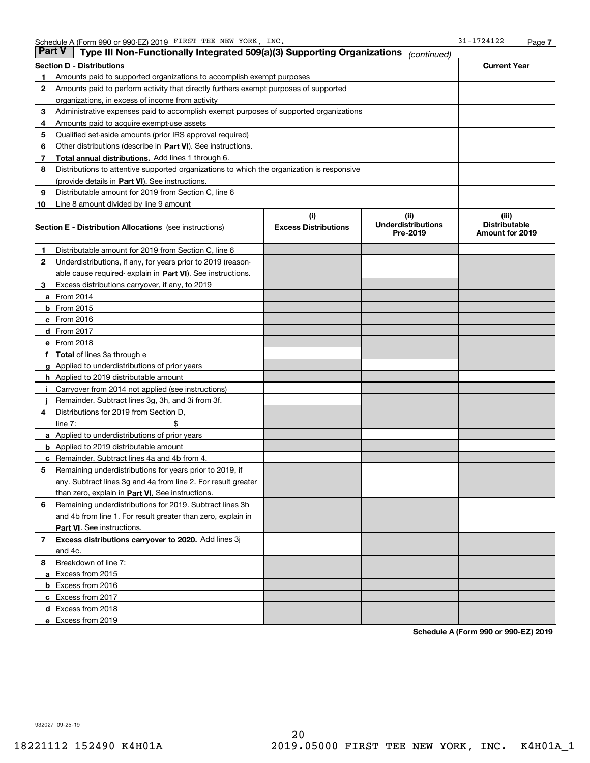| Part V | Type III Non-Functionally Integrated 509(a)(3) Supporting Organizations                    |                                    | (continued)                                   |                                                  |  |  |  |  |
|--------|--------------------------------------------------------------------------------------------|------------------------------------|-----------------------------------------------|--------------------------------------------------|--|--|--|--|
|        | <b>Current Year</b><br>Section D - Distributions                                           |                                    |                                               |                                                  |  |  |  |  |
| 1      | Amounts paid to supported organizations to accomplish exempt purposes                      |                                    |                                               |                                                  |  |  |  |  |
| 2      | Amounts paid to perform activity that directly furthers exempt purposes of supported       |                                    |                                               |                                                  |  |  |  |  |
|        | organizations, in excess of income from activity                                           |                                    |                                               |                                                  |  |  |  |  |
| 3      | Administrative expenses paid to accomplish exempt purposes of supported organizations      |                                    |                                               |                                                  |  |  |  |  |
| 4      | Amounts paid to acquire exempt-use assets                                                  |                                    |                                               |                                                  |  |  |  |  |
| 5      | Qualified set-aside amounts (prior IRS approval required)                                  |                                    |                                               |                                                  |  |  |  |  |
| 6      | Other distributions (describe in Part VI). See instructions.                               |                                    |                                               |                                                  |  |  |  |  |
| 7      | Total annual distributions. Add lines 1 through 6.                                         |                                    |                                               |                                                  |  |  |  |  |
| 8      | Distributions to attentive supported organizations to which the organization is responsive |                                    |                                               |                                                  |  |  |  |  |
|        | (provide details in Part VI). See instructions.                                            |                                    |                                               |                                                  |  |  |  |  |
| 9      | Distributable amount for 2019 from Section C, line 6                                       |                                    |                                               |                                                  |  |  |  |  |
| 10     | Line 8 amount divided by line 9 amount                                                     |                                    |                                               |                                                  |  |  |  |  |
|        | Section E - Distribution Allocations (see instructions)                                    | (i)<br><b>Excess Distributions</b> | (ii)<br><b>Underdistributions</b><br>Pre-2019 | (iii)<br><b>Distributable</b><br>Amount for 2019 |  |  |  |  |
| 1      | Distributable amount for 2019 from Section C, line 6                                       |                                    |                                               |                                                  |  |  |  |  |
| 2      | Underdistributions, if any, for years prior to 2019 (reason-                               |                                    |                                               |                                                  |  |  |  |  |
|        | able cause required- explain in Part VI). See instructions.                                |                                    |                                               |                                                  |  |  |  |  |
| з      | Excess distributions carryover, if any, to 2019                                            |                                    |                                               |                                                  |  |  |  |  |
|        | <b>a</b> From 2014                                                                         |                                    |                                               |                                                  |  |  |  |  |
|        | <b>b</b> From $2015$                                                                       |                                    |                                               |                                                  |  |  |  |  |
|        | c From 2016                                                                                |                                    |                                               |                                                  |  |  |  |  |
|        | <b>d</b> From 2017                                                                         |                                    |                                               |                                                  |  |  |  |  |
|        | e From 2018                                                                                |                                    |                                               |                                                  |  |  |  |  |
|        | <b>Total</b> of lines 3a through e                                                         |                                    |                                               |                                                  |  |  |  |  |
|        | <b>g</b> Applied to underdistributions of prior years                                      |                                    |                                               |                                                  |  |  |  |  |
|        | <b>h</b> Applied to 2019 distributable amount                                              |                                    |                                               |                                                  |  |  |  |  |
|        | Carryover from 2014 not applied (see instructions)                                         |                                    |                                               |                                                  |  |  |  |  |
|        | Remainder. Subtract lines 3g, 3h, and 3i from 3f.                                          |                                    |                                               |                                                  |  |  |  |  |
| 4      | Distributions for 2019 from Section D,                                                     |                                    |                                               |                                                  |  |  |  |  |
|        | line $7:$                                                                                  |                                    |                                               |                                                  |  |  |  |  |
|        | <b>a</b> Applied to underdistributions of prior years                                      |                                    |                                               |                                                  |  |  |  |  |
|        | <b>b</b> Applied to 2019 distributable amount                                              |                                    |                                               |                                                  |  |  |  |  |
| c      | Remainder. Subtract lines 4a and 4b from 4.                                                |                                    |                                               |                                                  |  |  |  |  |
| 5      | Remaining underdistributions for years prior to 2019, if                                   |                                    |                                               |                                                  |  |  |  |  |
|        | any. Subtract lines 3g and 4a from line 2. For result greater                              |                                    |                                               |                                                  |  |  |  |  |
|        | than zero, explain in Part VI. See instructions.                                           |                                    |                                               |                                                  |  |  |  |  |
| 6      | Remaining underdistributions for 2019. Subtract lines 3h                                   |                                    |                                               |                                                  |  |  |  |  |
|        | and 4b from line 1. For result greater than zero, explain in                               |                                    |                                               |                                                  |  |  |  |  |
|        | <b>Part VI.</b> See instructions.                                                          |                                    |                                               |                                                  |  |  |  |  |
| 7      | Excess distributions carryover to 2020. Add lines 3j<br>and 4c.                            |                                    |                                               |                                                  |  |  |  |  |
| 8      | Breakdown of line 7:                                                                       |                                    |                                               |                                                  |  |  |  |  |
|        | a Excess from 2015                                                                         |                                    |                                               |                                                  |  |  |  |  |
|        | b Excess from 2016                                                                         |                                    |                                               |                                                  |  |  |  |  |
|        | c Excess from 2017                                                                         |                                    |                                               |                                                  |  |  |  |  |
|        | d Excess from 2018                                                                         |                                    |                                               |                                                  |  |  |  |  |
|        | e Excess from 2019                                                                         |                                    |                                               |                                                  |  |  |  |  |

**Schedule A (Form 990 or 990-EZ) 2019**

932027 09-25-19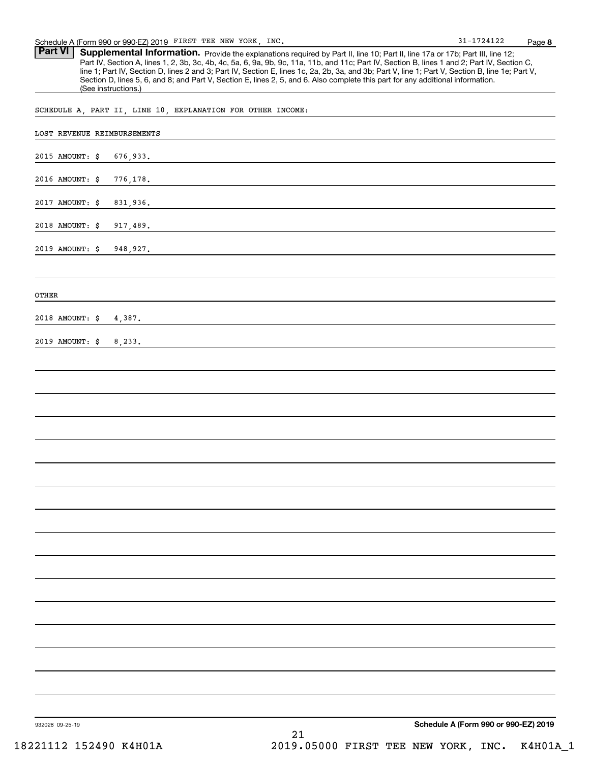Part VI | Supplemental Information. Provide the explanations required by Part II, line 10; Part II, line 17a or 17b; Part III, line 12; Part IV, Section A, lines 1, 2, 3b, 3c, 4b, 4c, 5a, 6, 9a, 9b, 9c, 11a, 11b, and 11c; Part IV, Section B, lines 1 and 2; Part IV, Section C, line 1; Part IV, Section D, lines 2 and 3; Part IV, Section E, lines 1c, 2a, 2b, 3a, and 3b; Part V, line 1; Part V, Section B, line 1e; Part V, Section D, lines 5, 6, and 8; and Part V, Section E, lines 2, 5, and 6. Also complete this part for any additional information. (See instructions.)

SCHEDULE A, PART II, LINE 10, EXPLANATION FOR OTHER INCOME:

| LOST REVENUE REIMBURSEMENTS |           |    |                                      |
|-----------------------------|-----------|----|--------------------------------------|
| 2015 AMOUNT: \$             | 676,933.  |    |                                      |
| 2016 AMOUNT: \$             | 776, 178. |    |                                      |
| 2017 AMOUNT: $$$            | 831,936.  |    |                                      |
| 2018 AMOUNT: $$$            | 917,489.  |    |                                      |
| 2019 AMOUNT: \$             | 948, 927. |    |                                      |
|                             |           |    |                                      |
| ${\tt OTHER}$               |           |    |                                      |
| 2018 AMOUNT: \$             | 4,387.    |    |                                      |
| 2019 AMOUNT: \$             | 8,233.    |    |                                      |
|                             |           |    |                                      |
|                             |           |    |                                      |
|                             |           |    |                                      |
|                             |           |    |                                      |
|                             |           |    |                                      |
|                             |           |    |                                      |
|                             |           |    |                                      |
|                             |           |    |                                      |
|                             |           |    |                                      |
|                             |           |    |                                      |
|                             |           |    |                                      |
|                             |           |    |                                      |
|                             |           |    |                                      |
|                             |           |    |                                      |
|                             |           |    |                                      |
|                             |           |    |                                      |
| 932028 09-25-19             |           | 21 | Schedule A (Form 990 or 990-EZ) 2019 |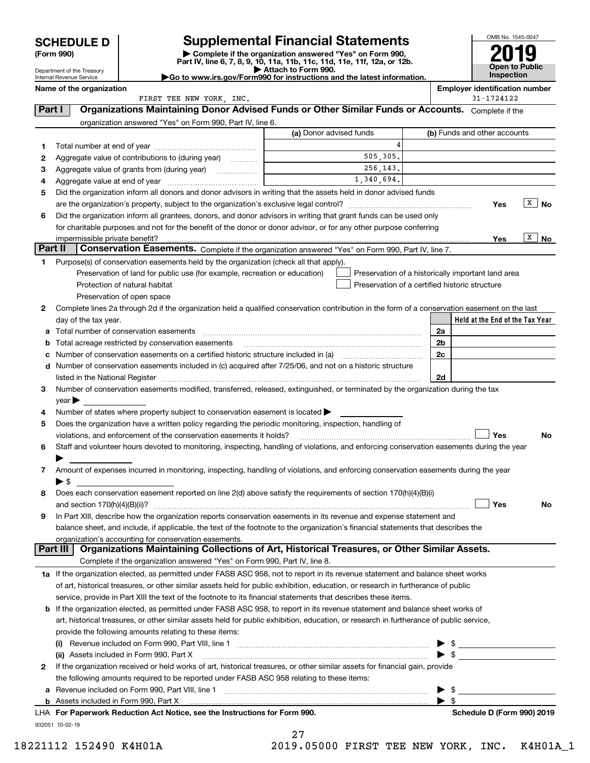Department of the Treasury Internal Revenue Service

| (Form 990) |  |
|------------|--|
|------------|--|

# **SCHEDULE D Supplemental Financial Statements**

(Form 990)<br>
Pepartment of the Treasury<br>
Department of the Treasury<br>
Department of the Treasury<br>
Department of the Treasury<br> **Co to www.irs.gov/Form990 for instructions and the latest information.**<br> **Co to www.irs.gov/Form9** 



|         | Name of the organization<br>FIRST TEE NEW YORK, INC.                                                                                                                                                                                    |                                                |    | <b>Employer identification number</b><br>31-1724122 |
|---------|-----------------------------------------------------------------------------------------------------------------------------------------------------------------------------------------------------------------------------------------|------------------------------------------------|----|-----------------------------------------------------|
| Part I  | Organizations Maintaining Donor Advised Funds or Other Similar Funds or Accounts. Complete if the                                                                                                                                       |                                                |    |                                                     |
|         | organization answered "Yes" on Form 990, Part IV, line 6.                                                                                                                                                                               |                                                |    |                                                     |
|         |                                                                                                                                                                                                                                         | (a) Donor advised funds                        |    | (b) Funds and other accounts                        |
|         |                                                                                                                                                                                                                                         | 4                                              |    |                                                     |
| 1<br>2  | Aggregate value of contributions to (during year)                                                                                                                                                                                       | 505.305.                                       |    |                                                     |
| з       |                                                                                                                                                                                                                                         | 256,143.                                       |    |                                                     |
|         |                                                                                                                                                                                                                                         | 1,340,694.                                     |    |                                                     |
| 4<br>5  | Did the organization inform all donors and donor advisors in writing that the assets held in donor advised funds                                                                                                                        |                                                |    |                                                     |
|         |                                                                                                                                                                                                                                         |                                                |    | X<br>No<br>Yes                                      |
| 6       |                                                                                                                                                                                                                                         |                                                |    |                                                     |
|         | Did the organization inform all grantees, donors, and donor advisors in writing that grant funds can be used only<br>for charitable purposes and not for the benefit of the donor or donor advisor, or for any other purpose conferring |                                                |    |                                                     |
|         |                                                                                                                                                                                                                                         |                                                |    | x<br>No.<br>Yes                                     |
| Part II | Conservation Easements. Complete if the organization answered "Yes" on Form 990, Part IV, line 7.                                                                                                                                       |                                                |    |                                                     |
| 1.      | Purpose(s) of conservation easements held by the organization (check all that apply).                                                                                                                                                   |                                                |    |                                                     |
|         | Preservation of land for public use (for example, recreation or education)                                                                                                                                                              |                                                |    | Preservation of a historically important land area  |
|         | Protection of natural habitat                                                                                                                                                                                                           | Preservation of a certified historic structure |    |                                                     |
|         | Preservation of open space                                                                                                                                                                                                              |                                                |    |                                                     |
| 2       | Complete lines 2a through 2d if the organization held a qualified conservation contribution in the form of a conservation easement on the last                                                                                          |                                                |    |                                                     |
|         |                                                                                                                                                                                                                                         |                                                |    | Held at the End of the Tax Year                     |
|         | day of the tax year.<br>Total number of conservation easements                                                                                                                                                                          |                                                | 2a |                                                     |
| a       |                                                                                                                                                                                                                                         |                                                | 2b |                                                     |
| b       | Total acreage restricted by conservation easements                                                                                                                                                                                      |                                                | 2c |                                                     |
|         | Number of conservation easements on a certified historic structure included in (a) manufacture included in (a)                                                                                                                          |                                                |    |                                                     |
|         | d Number of conservation easements included in (c) acquired after 7/25/06, and not on a historic structure                                                                                                                              |                                                |    |                                                     |
|         | listed in the National Register [11, 1200] [12] The National Register [11, 1200] [12] The National Register [11, 1200] [12] The National Register [11, 1200] [12] The National Register [11, 1200] [12] The National Register           |                                                | 2d |                                                     |
| 3       | Number of conservation easements modified, transferred, released, extinguished, or terminated by the organization during the tax                                                                                                        |                                                |    |                                                     |
|         | $year \rightarrow$                                                                                                                                                                                                                      |                                                |    |                                                     |
| 4       | Number of states where property subject to conservation easement is located >                                                                                                                                                           |                                                |    |                                                     |
| 5       | Does the organization have a written policy regarding the periodic monitoring, inspection, handling of                                                                                                                                  |                                                |    |                                                     |
|         | violations, and enforcement of the conservation easements it holds?                                                                                                                                                                     |                                                |    | Yes<br>No                                           |
| 6       | Staff and volunteer hours devoted to monitoring, inspecting, handling of violations, and enforcing conservation easements during the year                                                                                               |                                                |    |                                                     |
|         |                                                                                                                                                                                                                                         |                                                |    |                                                     |
| 7       | Amount of expenses incurred in monitoring, inspecting, handling of violations, and enforcing conservation easements during the year                                                                                                     |                                                |    |                                                     |
|         | $\blacktriangleright$ \$                                                                                                                                                                                                                |                                                |    |                                                     |
| 8       | Does each conservation easement reported on line 2(d) above satisfy the requirements of section 170(h)(4)(B)(i)                                                                                                                         |                                                |    |                                                     |
|         |                                                                                                                                                                                                                                         |                                                |    | Yes<br>No                                           |
|         | In Part XIII, describe how the organization reports conservation easements in its revenue and expense statement and                                                                                                                     |                                                |    |                                                     |
|         | balance sheet, and include, if applicable, the text of the footnote to the organization's financial statements that describes the                                                                                                       |                                                |    |                                                     |
|         | organization's accounting for conservation easements.<br>Organizations Maintaining Collections of Art, Historical Treasures, or Other Similar Assets.<br>Part III                                                                       |                                                |    |                                                     |
|         | Complete if the organization answered "Yes" on Form 990, Part IV, line 8.                                                                                                                                                               |                                                |    |                                                     |
|         |                                                                                                                                                                                                                                         |                                                |    |                                                     |
|         | 1a If the organization elected, as permitted under FASB ASC 958, not to report in its revenue statement and balance sheet works                                                                                                         |                                                |    |                                                     |
|         | of art, historical treasures, or other similar assets held for public exhibition, education, or research in furtherance of public                                                                                                       |                                                |    |                                                     |
|         | service, provide in Part XIII the text of the footnote to its financial statements that describes these items.                                                                                                                          |                                                |    |                                                     |
|         | <b>b</b> If the organization elected, as permitted under FASB ASC 958, to report in its revenue statement and balance sheet works of                                                                                                    |                                                |    |                                                     |
|         | art, historical treasures, or other similar assets held for public exhibition, education, or research in furtherance of public service,                                                                                                 |                                                |    |                                                     |
|         | provide the following amounts relating to these items:                                                                                                                                                                                  |                                                |    |                                                     |
|         | $\left( 1\right)$                                                                                                                                                                                                                       |                                                |    | $\triangleright$ \$                                 |
|         | (ii) Assets included in Form 990, Part X                                                                                                                                                                                                |                                                |    | $\blacktriangleright$ \$                            |
| 2       | If the organization received or held works of art, historical treasures, or other similar assets for financial gain, provide                                                                                                            |                                                |    |                                                     |
|         | the following amounts required to be reported under FASB ASC 958 relating to these items:                                                                                                                                               |                                                |    |                                                     |
|         |                                                                                                                                                                                                                                         |                                                | ▶  | - \$                                                |
|         |                                                                                                                                                                                                                                         |                                                | ▶  | -\$                                                 |
|         | LHA For Paperwork Reduction Act Notice, see the Instructions for Form 990.                                                                                                                                                              |                                                |    | Schedule D (Form 990) 2019                          |
|         | 932051 10-02-19                                                                                                                                                                                                                         |                                                |    |                                                     |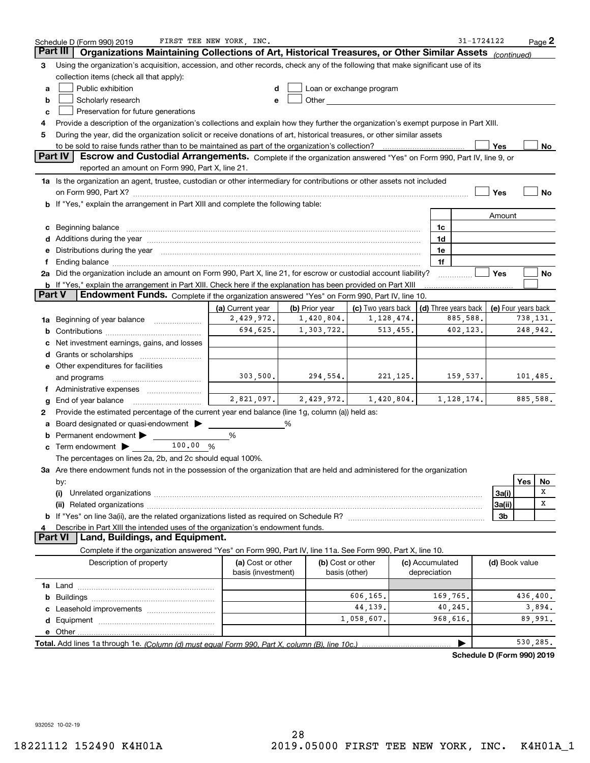|          | Schedule D (Form 990) 2019                                                                                                                                                                                                     | FIRST TEE NEW YORK, INC.                |                                        |                                                                                                                                                                                                                                |                 |              | 31-1724122                                             |                |          | $Page$ 2 |
|----------|--------------------------------------------------------------------------------------------------------------------------------------------------------------------------------------------------------------------------------|-----------------------------------------|----------------------------------------|--------------------------------------------------------------------------------------------------------------------------------------------------------------------------------------------------------------------------------|-----------------|--------------|--------------------------------------------------------|----------------|----------|----------|
| Part III | Organizations Maintaining Collections of Art, Historical Treasures, or Other Similar Assets                                                                                                                                    |                                         |                                        |                                                                                                                                                                                                                                |                 |              |                                                        | (continued)    |          |          |
| 3        | Using the organization's acquisition, accession, and other records, check any of the following that make significant use of its                                                                                                |                                         |                                        |                                                                                                                                                                                                                                |                 |              |                                                        |                |          |          |
|          | collection items (check all that apply):                                                                                                                                                                                       |                                         |                                        |                                                                                                                                                                                                                                |                 |              |                                                        |                |          |          |
| а        | Public exhibition                                                                                                                                                                                                              |                                         |                                        | Loan or exchange program                                                                                                                                                                                                       |                 |              |                                                        |                |          |          |
| b        | Scholarly research                                                                                                                                                                                                             |                                         |                                        | Other and the control of the control of the control of the control of the control of the control of the control of the control of the control of the control of the control of the control of the control of the control of th |                 |              |                                                        |                |          |          |
| c        | Preservation for future generations                                                                                                                                                                                            |                                         |                                        |                                                                                                                                                                                                                                |                 |              |                                                        |                |          |          |
| 4        | Provide a description of the organization's collections and explain how they further the organization's exempt purpose in Part XIII.                                                                                           |                                         |                                        |                                                                                                                                                                                                                                |                 |              |                                                        |                |          |          |
| 5        | During the year, did the organization solicit or receive donations of art, historical treasures, or other similar assets                                                                                                       |                                         |                                        |                                                                                                                                                                                                                                |                 |              |                                                        |                |          |          |
|          | to be sold to raise funds rather than to be maintained as part of the organization's collection?                                                                                                                               |                                         |                                        |                                                                                                                                                                                                                                |                 |              |                                                        | Yes            |          | No.      |
|          | <b>Part IV</b><br>Escrow and Custodial Arrangements. Complete if the organization answered "Yes" on Form 990, Part IV, line 9, or                                                                                              |                                         |                                        |                                                                                                                                                                                                                                |                 |              |                                                        |                |          |          |
|          | reported an amount on Form 990, Part X, line 21.                                                                                                                                                                               |                                         |                                        |                                                                                                                                                                                                                                |                 |              |                                                        |                |          |          |
|          | 1a Is the organization an agent, trustee, custodian or other intermediary for contributions or other assets not included                                                                                                       |                                         |                                        |                                                                                                                                                                                                                                |                 |              |                                                        |                |          |          |
|          | on Form 990, Part X? [11] matter contracts and contracts and contracts are contracted and contracts and contracts and contracts and contracts and contracts and contracts and contracts and contracts are contracted and contr |                                         |                                        |                                                                                                                                                                                                                                |                 |              |                                                        | Yes            |          | No       |
| b        | If "Yes," explain the arrangement in Part XIII and complete the following table:                                                                                                                                               |                                         |                                        |                                                                                                                                                                                                                                |                 |              |                                                        |                |          |          |
|          |                                                                                                                                                                                                                                |                                         |                                        |                                                                                                                                                                                                                                |                 |              |                                                        | Amount         |          |          |
| с        | Beginning balance material continuum contracts and all the contracts of the contracts of the contracts of the contracts of the contracts of the contracts of the contracts of the contracts of the contracts of the contracts  |                                         |                                        |                                                                                                                                                                                                                                |                 | 1c           |                                                        |                |          |          |
|          | Additions during the year manufactured and an anti-manufactured and the year manufactured and all the year manufactured and all the year manufactured and all the year manufactured and all the year manufactured and all the  |                                         |                                        |                                                                                                                                                                                                                                |                 | 1d           |                                                        |                |          |          |
|          | Distributions during the year manufactured and continuum control of the year manufactured and control of the year manufactured and control of the year manufactured and control of the state of the state of the state of the  |                                         |                                        |                                                                                                                                                                                                                                |                 | 1e           |                                                        |                |          |          |
|          | Ending balance manufactured and contract the contract of the contract of the contract of the contract of the contract of the contract of the contract of the contract of the contract of the contract of the contract of the c |                                         |                                        |                                                                                                                                                                                                                                |                 | 1f           |                                                        |                |          |          |
|          | 2a Did the organization include an amount on Form 990, Part X, line 21, for escrow or custodial account liability?                                                                                                             |                                         |                                        |                                                                                                                                                                                                                                |                 |              |                                                        | Yes            |          | No       |
| Part V   | <b>b</b> If "Yes," explain the arrangement in Part XIII. Check here if the explanation has been provided on Part XIII<br>Endowment Funds. Complete if the organization answered "Yes" on Form 990, Part IV, line 10.           |                                         |                                        |                                                                                                                                                                                                                                |                 |              |                                                        |                |          |          |
|          |                                                                                                                                                                                                                                |                                         |                                        |                                                                                                                                                                                                                                |                 |              |                                                        |                |          |          |
|          |                                                                                                                                                                                                                                | (a) Current year<br>2,429,972.          | (b) Prior year<br>1,420,804.           | (c) Two years back<br>1,128,474.                                                                                                                                                                                               |                 |              | (d) Three years back   (e) Four years back<br>885,588. |                | 738,131. |          |
| 1a       | Beginning of year balance                                                                                                                                                                                                      | 694,625.                                | 1,303,722.                             | 513,455.                                                                                                                                                                                                                       |                 |              | 402,123.                                               |                | 248,942. |          |
|          |                                                                                                                                                                                                                                |                                         |                                        |                                                                                                                                                                                                                                |                 |              |                                                        |                |          |          |
|          | Net investment earnings, gains, and losses                                                                                                                                                                                     |                                         |                                        |                                                                                                                                                                                                                                |                 |              |                                                        |                |          |          |
|          |                                                                                                                                                                                                                                |                                         |                                        |                                                                                                                                                                                                                                |                 |              |                                                        |                |          |          |
|          | e Other expenditures for facilities                                                                                                                                                                                            | 303,500.                                | 294,554.                               | 221,125.                                                                                                                                                                                                                       |                 |              | 159,537.                                               |                | 101,485. |          |
|          | and programs                                                                                                                                                                                                                   |                                         |                                        |                                                                                                                                                                                                                                |                 |              |                                                        |                |          |          |
|          | End of year balance                                                                                                                                                                                                            |                                         | $2,821,097.$ $2,429,972.$ $1,420,804.$ |                                                                                                                                                                                                                                |                 |              | 1,128,174.                                             |                | 885,588. |          |
| 2        | Provide the estimated percentage of the current year end balance (line 1g, column (a)) held as:                                                                                                                                |                                         |                                        |                                                                                                                                                                                                                                |                 |              |                                                        |                |          |          |
|          | Board designated or quasi-endowment                                                                                                                                                                                            |                                         | %                                      |                                                                                                                                                                                                                                |                 |              |                                                        |                |          |          |
|          | Permanent endowment                                                                                                                                                                                                            | %                                       |                                        |                                                                                                                                                                                                                                |                 |              |                                                        |                |          |          |
| с        | 100.00 %<br>Term endowment $\blacktriangleright$                                                                                                                                                                               |                                         |                                        |                                                                                                                                                                                                                                |                 |              |                                                        |                |          |          |
|          | The percentages on lines 2a, 2b, and 2c should equal 100%.                                                                                                                                                                     |                                         |                                        |                                                                                                                                                                                                                                |                 |              |                                                        |                |          |          |
|          | 3a Are there endowment funds not in the possession of the organization that are held and administered for the organization                                                                                                     |                                         |                                        |                                                                                                                                                                                                                                |                 |              |                                                        |                |          |          |
|          | by:                                                                                                                                                                                                                            |                                         |                                        |                                                                                                                                                                                                                                |                 |              |                                                        |                | Yes      | No       |
|          | (i)                                                                                                                                                                                                                            |                                         |                                        |                                                                                                                                                                                                                                |                 |              |                                                        | 3a(i)          |          | X        |
|          |                                                                                                                                                                                                                                |                                         |                                        |                                                                                                                                                                                                                                |                 |              |                                                        | 3a(ii)         |          | х        |
|          |                                                                                                                                                                                                                                |                                         |                                        |                                                                                                                                                                                                                                |                 |              |                                                        | 3b             |          |          |
|          | Describe in Part XIII the intended uses of the organization's endowment funds.                                                                                                                                                 |                                         |                                        |                                                                                                                                                                                                                                |                 |              |                                                        |                |          |          |
|          | Land, Buildings, and Equipment.<br><b>Part VI</b>                                                                                                                                                                              |                                         |                                        |                                                                                                                                                                                                                                |                 |              |                                                        |                |          |          |
|          | Complete if the organization answered "Yes" on Form 990, Part IV, line 11a. See Form 990, Part X, line 10.                                                                                                                     |                                         |                                        |                                                                                                                                                                                                                                |                 |              |                                                        |                |          |          |
|          | Description of property                                                                                                                                                                                                        | (a) Cost or other<br>basis (investment) |                                        | (b) Cost or other<br>basis (other)                                                                                                                                                                                             | (c) Accumulated | depreciation |                                                        | (d) Book value |          |          |
|          |                                                                                                                                                                                                                                |                                         |                                        |                                                                                                                                                                                                                                |                 |              |                                                        |                |          |          |
| b        |                                                                                                                                                                                                                                |                                         |                                        | 606,165.                                                                                                                                                                                                                       |                 | 169,765.     |                                                        |                | 436,400. |          |
|          |                                                                                                                                                                                                                                |                                         |                                        | 44,139.                                                                                                                                                                                                                        |                 |              | 40,245.                                                |                |          | 3,894.   |
| d        |                                                                                                                                                                                                                                |                                         |                                        | 1,058,607.                                                                                                                                                                                                                     |                 | 968,616.     |                                                        |                |          | 89,991.  |
|          |                                                                                                                                                                                                                                |                                         |                                        |                                                                                                                                                                                                                                |                 |              |                                                        |                |          |          |
|          |                                                                                                                                                                                                                                |                                         |                                        |                                                                                                                                                                                                                                |                 |              |                                                        |                | 530,285. |          |

**Schedule D (Form 990) 2019**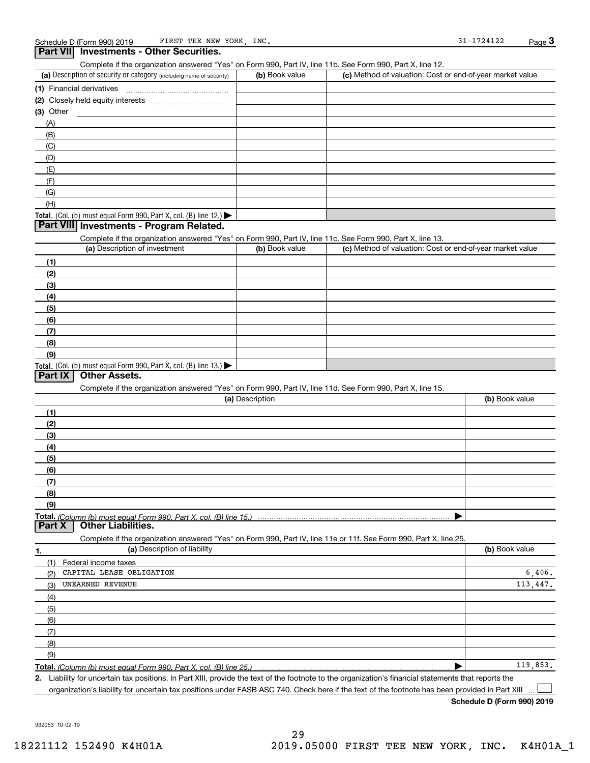**Part VII Investments - Other Securities.** 

#### (a) Description of security or category (including name of security)  $\vert$  (b) Book value  $\vert$  (c) Total. (Col. (b) must equal Form 990, Part X, col. (B) line 12.) Total. (Col. (b) must equal Form 990, Part X, col. (B) line 13.) **(1)** Financial derivatives ~~~~~~~~~~~~~~~**(2)** Closely held equity interests **(3)** Other (a) Description of investment **b (b)** Book value **(1)(2) (3)(4) (5) (6)(7)(8)(9)(a) (b)**  Description**(1)(2) (3)(4)(5) (6)(7) (8)(9)Total.**  *(Column (b) must equal Form 990, Part X, col. (B) line 15.)* **1.(a)** Description of liability **Book value** Book value Book value Book value Book value  $(b)$  Book value  $\vert$  (c) Method of valuation: Cost or end-of-year market value (A)(B)(C)(D)(E)(F)(G)(H)Complete if the organization answered "Yes" on Form 990, Part IV, line 11c. See Form 990, Part X, line 13. (c) Method of valuation: Cost or end-of-year market value Complete if the organization answered "Yes" on Form 990, Part IV, line 11d. See Form 990, Part X, line 15. (b) Book value  $\blacktriangleright$ Complete if the organization answered "Yes" on Form 990, Part IV, line 11e or 11f. See Form 990, Part X, line 25. (1)(2)(3)(4)(5)(6)(7)(8)(9)Federal income taxes  $\blacktriangleright$ **Part VIII Investments - Program Related. Part IX Other Assets. Part X Other Liabilities.** CAPITAL LEASE OBLIGATION UNEARNED REVENUE 6,406. 113,447. 119,853.

Complete if the organization answered "Yes" on Form 990, Part IV, line 11b. See Form 990, Part X, line 12.

**Total.**  *(Column (b) must equal Form 990, Part X, col. (B) line 25.)* 

**2.**Liability for uncertain tax positions. In Part XIII, provide the text of the footnote to the organization's financial statements that reports the organization's liability for uncertain tax positions under FASB ASC 740. Check here if the text of the footnote has been provided in Part XIII

**Schedule D (Form 990) 2019**

 $\mathcal{L}^{\text{max}}$ 

932053 10-02-19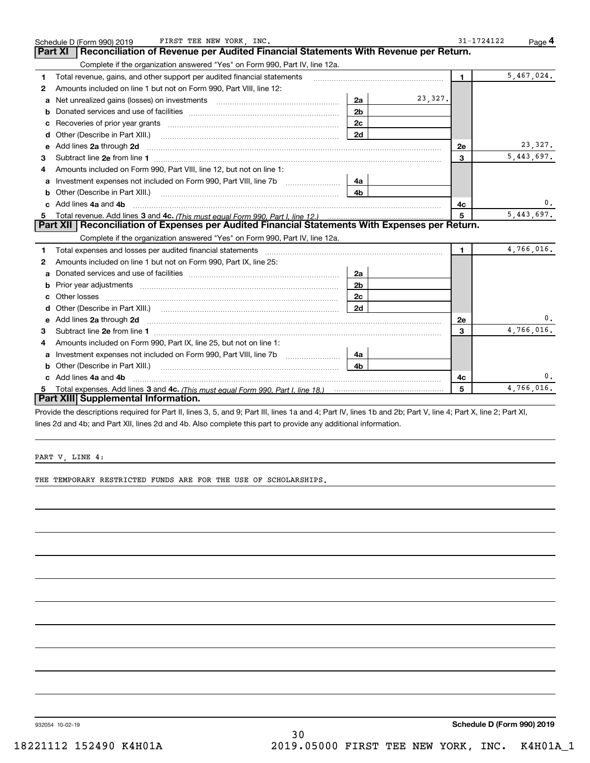|   | FIRST TEE NEW YORK, INC.<br>Schedule D (Form 990) 2019                                                                                                         |                |         | 31-1724122     | Page $4$   |
|---|----------------------------------------------------------------------------------------------------------------------------------------------------------------|----------------|---------|----------------|------------|
|   | Reconciliation of Revenue per Audited Financial Statements With Revenue per Return.<br>Part XI                                                                 |                |         |                |            |
|   | Complete if the organization answered "Yes" on Form 990, Part IV, line 12a.                                                                                    |                |         |                |            |
| 1 | Total revenue, gains, and other support per audited financial statements                                                                                       |                |         | $\blacksquare$ | 5,467,024. |
| 2 | Amounts included on line 1 but not on Form 990, Part VIII, line 12:                                                                                            |                |         |                |            |
| a |                                                                                                                                                                | 2a             | 23,327. |                |            |
|   |                                                                                                                                                                | 2 <sub>b</sub> |         |                |            |
|   |                                                                                                                                                                | 2c             |         |                |            |
| d | Other (Describe in Part XIII.)                                                                                                                                 | 2d             |         |                |            |
| е | Add lines 2a through 2d                                                                                                                                        |                |         | 2e             | 23,327.    |
| 3 |                                                                                                                                                                |                |         | 3              | 5,443,697. |
| 4 | Amounts included on Form 990, Part VIII, line 12, but not on line 1:                                                                                           |                |         |                |            |
| a | Investment expenses not included on Form 990, Part VIII, line 7b [1000000000000000000000000000000000                                                           | 4a             |         |                |            |
| b | Other (Describe in Part XIII.) <b>Construction Contract Construction</b> Chern Construction Construction Construction                                          | 4b             |         |                |            |
|   | Add lines 4a and 4b                                                                                                                                            |                |         | 4c             | $0$ .      |
| 5 |                                                                                                                                                                |                |         | 5              | 5,443,697. |
|   | Part XII   Reconciliation of Expenses per Audited Financial Statements With Expenses per Return.                                                               |                |         |                |            |
|   | Complete if the organization answered "Yes" on Form 990, Part IV, line 12a.                                                                                    |                |         |                |            |
| 1 |                                                                                                                                                                |                |         | $\mathbf{1}$   | 4,766,016. |
| 2 | Amounts included on line 1 but not on Form 990, Part IX, line 25:                                                                                              |                |         |                |            |
| a |                                                                                                                                                                | 2a             |         |                |            |
|   |                                                                                                                                                                | 2 <sub>b</sub> |         |                |            |
|   |                                                                                                                                                                | 2c             |         |                |            |
| d |                                                                                                                                                                | 2d             |         |                |            |
| е | Add lines 2a through 2d <b>must be a constructed as the constant of the constant of the constant of the construction</b>                                       |                |         | 2e             | 0.         |
| 3 |                                                                                                                                                                |                |         | 3              | 4,766,016. |
| 4 | Amounts included on Form 990, Part IX, line 25, but not on line 1:                                                                                             |                |         |                |            |
| a |                                                                                                                                                                | 4a             |         |                |            |
| b | Other (Describe in Part XIII.) <b>Construction Contract Construction</b> Chemistry Chemistry Chemistry Chemistry Chemistry                                     | 4b             |         |                |            |
|   | Add lines 4a and 4b                                                                                                                                            |                |         | 4c             | 0.         |
| 5 |                                                                                                                                                                |                |         | 5              | 4,766,016. |
|   | Part XIII Supplemental Information.                                                                                                                            |                |         |                |            |
|   | Provide the descriptions required for Part II, lines 3, 5, and 9; Part III, lines 1a and 4; Part IV, lines 1b and 2b; Part V, line 4; Part X, line 2; Part XI, |                |         |                |            |

lines 2d and 4b; and Part XII, lines 2d and 4b. Also complete this part to provide any additional information.

PART V, LINE 4:

THE TEMPORARY RESTRICTED FUNDS ARE FOR THE USE OF SCHOLARSHIPS.

932054 10-02-19

**Schedule D (Form 990) 2019**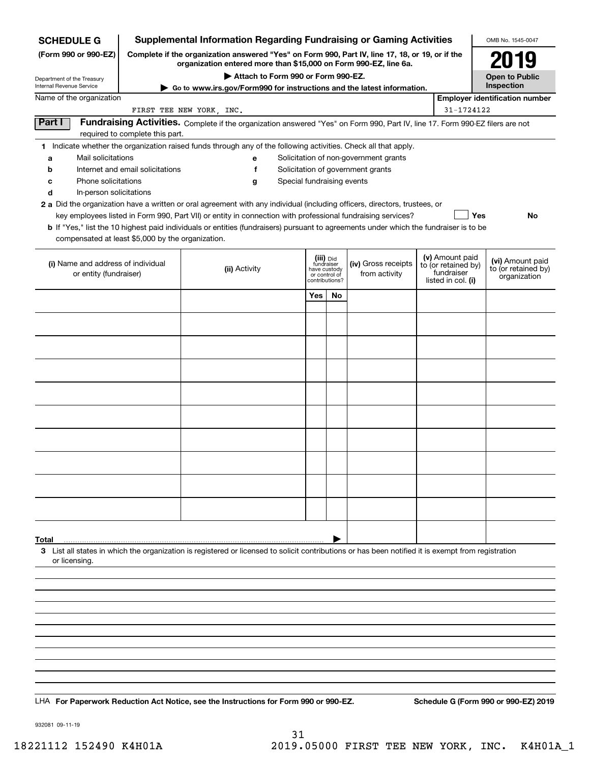## **Supplemental Information Regarding Fundraising or Gaming Activities**

**(Form 990 or 990-EZ) Complete if the organization answered "Yes" on Form 990, Part IV, line 17, 18, or 19, or if the organization entered more than \$15,000 on Form 990-EZ, line 6a.**

### **| Attach to Form 990 or Form 990-EZ.**

| OMB No. 1545-0047                   |
|-------------------------------------|
| 2019                                |
| <b>Open to Public</b><br>Inspection |

| Attach to Form 990 or Form 990-EZ.<br>Department of the Treasury<br>Internal Revenue Service<br>► Go to www.irs.gov/Form990 for instructions and the latest information. |                                                                            |                                                                                                                                                                                                                                           |  |                                                                            | <b>Open to Public</b><br>Inspection |                                       |                                                                            |                                                         |  |
|--------------------------------------------------------------------------------------------------------------------------------------------------------------------------|----------------------------------------------------------------------------|-------------------------------------------------------------------------------------------------------------------------------------------------------------------------------------------------------------------------------------------|--|----------------------------------------------------------------------------|-------------------------------------|---------------------------------------|----------------------------------------------------------------------------|---------------------------------------------------------|--|
| Name of the organization                                                                                                                                                 |                                                                            |                                                                                                                                                                                                                                           |  |                                                                            |                                     |                                       |                                                                            | <b>Employer identification number</b>                   |  |
|                                                                                                                                                                          |                                                                            | FIRST TEE NEW YORK, INC.                                                                                                                                                                                                                  |  |                                                                            |                                     |                                       | 31-1724122                                                                 |                                                         |  |
| Part I                                                                                                                                                                   | required to complete this part.                                            | Fundraising Activities. Complete if the organization answered "Yes" on Form 990, Part IV, line 17. Form 990-EZ filers are not                                                                                                             |  |                                                                            |                                     |                                       |                                                                            |                                                         |  |
|                                                                                                                                                                          |                                                                            | 1 Indicate whether the organization raised funds through any of the following activities. Check all that apply.                                                                                                                           |  |                                                                            |                                     |                                       |                                                                            |                                                         |  |
| Mail solicitations<br>a                                                                                                                                                  |                                                                            | е                                                                                                                                                                                                                                         |  |                                                                            |                                     | Solicitation of non-government grants |                                                                            |                                                         |  |
| b                                                                                                                                                                        | Internet and email solicitations<br>f<br>Solicitation of government grants |                                                                                                                                                                                                                                           |  |                                                                            |                                     |                                       |                                                                            |                                                         |  |
| Phone solicitations<br>Special fundraising events<br>c<br>g                                                                                                              |                                                                            |                                                                                                                                                                                                                                           |  |                                                                            |                                     |                                       |                                                                            |                                                         |  |
| d                                                                                                                                                                        | In-person solicitations                                                    |                                                                                                                                                                                                                                           |  |                                                                            |                                     |                                       |                                                                            |                                                         |  |
|                                                                                                                                                                          |                                                                            | 2 a Did the organization have a written or oral agreement with any individual (including officers, directors, trustees, or<br>key employees listed in Form 990, Part VII) or entity in connection with professional fundraising services? |  |                                                                            |                                     |                                       |                                                                            | Yes<br>No                                               |  |
|                                                                                                                                                                          |                                                                            | b If "Yes," list the 10 highest paid individuals or entities (fundraisers) pursuant to agreements under which the fundraiser is to be                                                                                                     |  |                                                                            |                                     |                                       |                                                                            |                                                         |  |
|                                                                                                                                                                          | compensated at least \$5,000 by the organization.                          |                                                                                                                                                                                                                                           |  |                                                                            |                                     |                                       |                                                                            |                                                         |  |
| (i) Name and address of individual<br>or entity (fundraiser)                                                                                                             |                                                                            | (ii) Activity                                                                                                                                                                                                                             |  | (iii) Did<br>fundraiser<br>have custody<br>or control of<br>contributions? |                                     | (iv) Gross receipts<br>from activity  | (v) Amount paid<br>to (or retained by)<br>fundraiser<br>listed in col. (i) | (vi) Amount paid<br>to (or retained by)<br>organization |  |
|                                                                                                                                                                          |                                                                            |                                                                                                                                                                                                                                           |  | Yes                                                                        | No                                  |                                       |                                                                            |                                                         |  |
|                                                                                                                                                                          |                                                                            |                                                                                                                                                                                                                                           |  |                                                                            |                                     |                                       |                                                                            |                                                         |  |
|                                                                                                                                                                          |                                                                            |                                                                                                                                                                                                                                           |  |                                                                            |                                     |                                       |                                                                            |                                                         |  |
|                                                                                                                                                                          |                                                                            |                                                                                                                                                                                                                                           |  |                                                                            |                                     |                                       |                                                                            |                                                         |  |
|                                                                                                                                                                          |                                                                            |                                                                                                                                                                                                                                           |  |                                                                            |                                     |                                       |                                                                            |                                                         |  |
|                                                                                                                                                                          |                                                                            |                                                                                                                                                                                                                                           |  |                                                                            |                                     |                                       |                                                                            |                                                         |  |
|                                                                                                                                                                          |                                                                            |                                                                                                                                                                                                                                           |  |                                                                            |                                     |                                       |                                                                            |                                                         |  |
|                                                                                                                                                                          |                                                                            |                                                                                                                                                                                                                                           |  |                                                                            |                                     |                                       |                                                                            |                                                         |  |
|                                                                                                                                                                          |                                                                            |                                                                                                                                                                                                                                           |  |                                                                            |                                     |                                       |                                                                            |                                                         |  |
|                                                                                                                                                                          |                                                                            |                                                                                                                                                                                                                                           |  |                                                                            |                                     |                                       |                                                                            |                                                         |  |
|                                                                                                                                                                          |                                                                            |                                                                                                                                                                                                                                           |  |                                                                            |                                     |                                       |                                                                            |                                                         |  |
|                                                                                                                                                                          |                                                                            |                                                                                                                                                                                                                                           |  |                                                                            |                                     |                                       |                                                                            |                                                         |  |
| Total                                                                                                                                                                    |                                                                            |                                                                                                                                                                                                                                           |  |                                                                            |                                     |                                       |                                                                            |                                                         |  |
| or licensing.                                                                                                                                                            |                                                                            | 3 List all states in which the organization is registered or licensed to solicit contributions or has been notified it is exempt from registration                                                                                        |  |                                                                            |                                     |                                       |                                                                            |                                                         |  |
|                                                                                                                                                                          |                                                                            |                                                                                                                                                                                                                                           |  |                                                                            |                                     |                                       |                                                                            |                                                         |  |
|                                                                                                                                                                          |                                                                            |                                                                                                                                                                                                                                           |  |                                                                            |                                     |                                       |                                                                            |                                                         |  |
|                                                                                                                                                                          |                                                                            |                                                                                                                                                                                                                                           |  |                                                                            |                                     |                                       |                                                                            |                                                         |  |
|                                                                                                                                                                          |                                                                            |                                                                                                                                                                                                                                           |  |                                                                            |                                     |                                       |                                                                            |                                                         |  |
|                                                                                                                                                                          |                                                                            |                                                                                                                                                                                                                                           |  |                                                                            |                                     |                                       |                                                                            |                                                         |  |
|                                                                                                                                                                          |                                                                            |                                                                                                                                                                                                                                           |  |                                                                            |                                     |                                       |                                                                            |                                                         |  |
|                                                                                                                                                                          |                                                                            |                                                                                                                                                                                                                                           |  |                                                                            |                                     |                                       |                                                                            |                                                         |  |

LHA For Paperwork Reduction Act Notice, see the Instructions for Form 990 or 990-EZ. Schedule G (Form 990 or 990-EZ) 2019

932081 09-11-19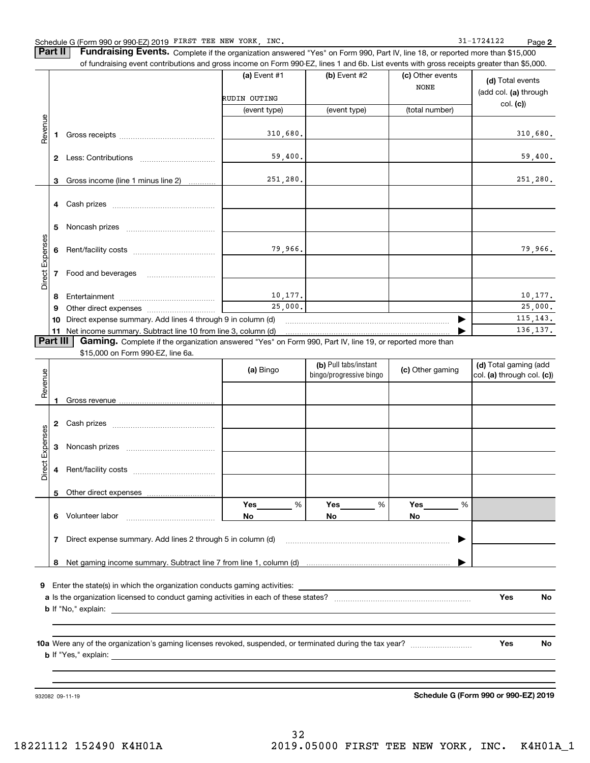**Part II Fundraising Events.** Complete if the organization answered "Yes" on Form 990, Part IV, line 18, or reported more than \$15,000<br>15.000 of fundraising event contributions and gross income on Form 990-EZ. lines 1 an of fundraising event contributions and gross income on Form 990-EZ, lines 1 and 6b. List events with gross receipts greater than \$5,000.

|                 |              |                                                                                                          | (a) Event $#1$               | (b) Event #2 | (c) Other events<br><b>NONE</b> | (d) Total events<br>(add col. (a) through |
|-----------------|--------------|----------------------------------------------------------------------------------------------------------|------------------------------|--------------|---------------------------------|-------------------------------------------|
|                 |              |                                                                                                          | RUDIN OUTING<br>(event type) | (event type) | (total number)                  | col. (c)                                  |
| Revenue         |              |                                                                                                          |                              |              |                                 |                                           |
|                 |              |                                                                                                          | 310,680.                     |              |                                 | 310,680.                                  |
|                 | $\mathbf{2}$ | Less: Contributions                                                                                      | 59,400.                      |              |                                 | 59,400.                                   |
|                 | 3            | Gross income (line 1 minus line 2)                                                                       | 251,280.                     |              |                                 | 251,280.                                  |
|                 |              |                                                                                                          |                              |              |                                 |                                           |
|                 | 5            |                                                                                                          |                              |              |                                 |                                           |
|                 | 6            |                                                                                                          | 79,966.                      |              |                                 | 79,966.                                   |
| Direct Expenses |              |                                                                                                          |                              |              |                                 |                                           |
|                 | 8            |                                                                                                          | 10, 177.                     |              |                                 | 10,177.                                   |
|                 | 9            |                                                                                                          | 25,000.                      |              |                                 | 25,000.                                   |
|                 | 10           | Direct expense summary. Add lines 4 through 9 in column (d)                                              | 115, 143.                    |              |                                 |                                           |
|                 |              | 11 Net income summary. Subtract line 10 from line 3, column (d)                                          |                              |              |                                 | 136, 137.                                 |
| <b>Part III</b> |              | Gaming. Complete if the organization answered "Yes" on Form 990, Part IV, line 19, or reported more than |                              |              |                                 |                                           |
|                 |              | \$15,000 on Form 990-EZ, line 6a.                                                                        |                              |              |                                 |                                           |

| Revenue         |                                                                                                                                                       |                                                                                                                                                                                                                                | (a) Bingo | (b) Pull tabs/instant<br>bingo/progressive bingo | (c) Other gaming | (d) Total gaming (add<br>col. (a) through col. (c)) |  |  |  |
|-----------------|-------------------------------------------------------------------------------------------------------------------------------------------------------|--------------------------------------------------------------------------------------------------------------------------------------------------------------------------------------------------------------------------------|-----------|--------------------------------------------------|------------------|-----------------------------------------------------|--|--|--|
|                 |                                                                                                                                                       |                                                                                                                                                                                                                                |           |                                                  |                  |                                                     |  |  |  |
|                 | 2                                                                                                                                                     |                                                                                                                                                                                                                                |           |                                                  |                  |                                                     |  |  |  |
|                 | 3                                                                                                                                                     |                                                                                                                                                                                                                                |           |                                                  |                  |                                                     |  |  |  |
| Direct Expenses | 4                                                                                                                                                     |                                                                                                                                                                                                                                |           |                                                  |                  |                                                     |  |  |  |
|                 |                                                                                                                                                       |                                                                                                                                                                                                                                |           |                                                  |                  |                                                     |  |  |  |
|                 | 6                                                                                                                                                     |                                                                                                                                                                                                                                | %<br>No   | %<br>No.                                         | %<br>No          |                                                     |  |  |  |
|                 | 7                                                                                                                                                     | Direct expense summary. Add lines 2 through 5 in column (d) [11] manus and the summan manuscription of the summan manuscription of the summan manuscription of the summan manuscription of the summan manuscription of the sum |           |                                                  |                  |                                                     |  |  |  |
|                 | 8                                                                                                                                                     |                                                                                                                                                                                                                                |           |                                                  |                  |                                                     |  |  |  |
| 9               |                                                                                                                                                       | Enter the state(s) in which the organization conducts gaming activities:                                                                                                                                                       |           |                                                  |                  |                                                     |  |  |  |
|                 | Yes<br>No                                                                                                                                             |                                                                                                                                                                                                                                |           |                                                  |                  |                                                     |  |  |  |
|                 |                                                                                                                                                       |                                                                                                                                                                                                                                |           |                                                  |                  |                                                     |  |  |  |
|                 | Yes<br>No<br>10a Were any of the organization's gaming licenses revoked, suspended, or terminated during the tax year?<br><b>b</b> If "Yes," explain: |                                                                                                                                                                                                                                |           |                                                  |                  |                                                     |  |  |  |

**b** If "Yes," explain:

932082 09-11-19

**Schedule G (Form 990 or 990-EZ) 2019**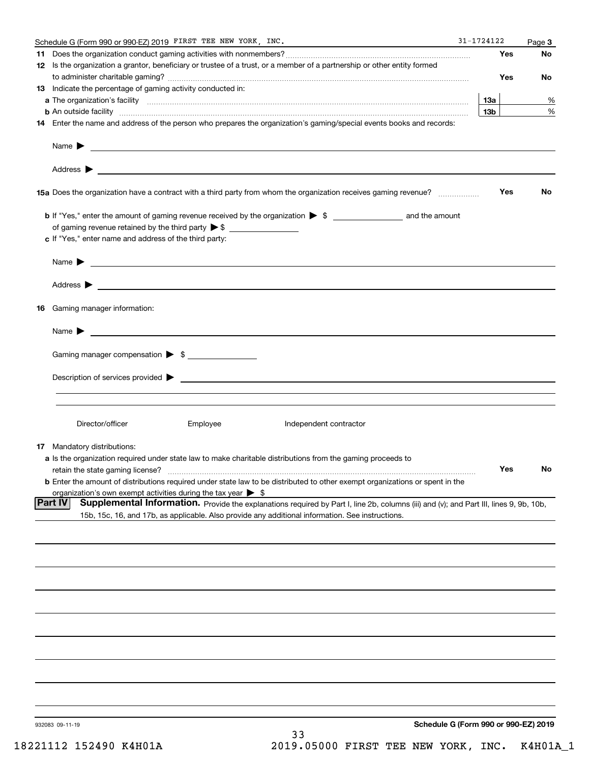|     | Schedule G (Form 990 or 990-EZ) 2019 FIRST TEE NEW YORK, INC.                                                                                                                                                                            | $31 - 1724122$  |     | Page 3    |
|-----|------------------------------------------------------------------------------------------------------------------------------------------------------------------------------------------------------------------------------------------|-----------------|-----|-----------|
| 11. |                                                                                                                                                                                                                                          |                 | Yes | No        |
|     | 12 Is the organization a grantor, beneficiary or trustee of a trust, or a member of a partnership or other entity formed                                                                                                                 |                 |     |           |
|     |                                                                                                                                                                                                                                          |                 | Yes | No        |
|     | <b>13</b> Indicate the percentage of gaming activity conducted in:                                                                                                                                                                       |                 |     |           |
|     |                                                                                                                                                                                                                                          | 13a             |     | %         |
|     | <b>b</b> An outside facility <i>www.communicality www.communicality.communicality www.communicality www.communicality.communicality www.communicality.com</i>                                                                            | 13 <sub>b</sub> |     | %         |
|     | 14 Enter the name and address of the person who prepares the organization's gaming/special events books and records:                                                                                                                     |                 |     |           |
|     |                                                                                                                                                                                                                                          |                 |     |           |
|     |                                                                                                                                                                                                                                          |                 |     |           |
|     |                                                                                                                                                                                                                                          |                 | Yes | No        |
|     |                                                                                                                                                                                                                                          |                 |     |           |
|     |                                                                                                                                                                                                                                          |                 |     |           |
|     | c If "Yes," enter name and address of the third party:                                                                                                                                                                                   |                 |     |           |
|     |                                                                                                                                                                                                                                          |                 |     |           |
|     | Name $\blacktriangleright$ $\bot$                                                                                                                                                                                                        |                 |     |           |
|     |                                                                                                                                                                                                                                          |                 |     |           |
|     |                                                                                                                                                                                                                                          |                 |     |           |
|     | 16 Gaming manager information:                                                                                                                                                                                                           |                 |     |           |
|     | Name $\blacktriangleright$ $\frac{1}{\sqrt{1-\frac{1}{2}}\left(1-\frac{1}{2}\right)}$                                                                                                                                                    |                 |     |           |
|     | Gaming manager compensation > \$                                                                                                                                                                                                         |                 |     |           |
|     |                                                                                                                                                                                                                                          |                 |     |           |
|     |                                                                                                                                                                                                                                          |                 |     |           |
|     |                                                                                                                                                                                                                                          |                 |     |           |
|     | Director/officer<br>Employee<br>Independent contractor                                                                                                                                                                                   |                 |     |           |
|     |                                                                                                                                                                                                                                          |                 |     |           |
|     | <b>17</b> Mandatory distributions:                                                                                                                                                                                                       |                 |     |           |
|     | a Is the organization required under state law to make charitable distributions from the gaming proceeds to                                                                                                                              |                 |     |           |
|     | retain the state gaming license?                                                                                                                                                                                                         |                 | Yes | <b>NO</b> |
|     | <b>b</b> Enter the amount of distributions required under state law to be distributed to other exempt organizations or spent in the                                                                                                      |                 |     |           |
|     | organization's own exempt activities during the tax year $\triangleright$ \$<br><b>Part IV</b><br>Supplemental Information. Provide the explanations required by Part I, line 2b, columns (iii) and (v); and Part III, lines 9, 9b, 10b, |                 |     |           |
|     | 15b, 15c, 16, and 17b, as applicable. Also provide any additional information. See instructions.                                                                                                                                         |                 |     |           |
|     |                                                                                                                                                                                                                                          |                 |     |           |
|     |                                                                                                                                                                                                                                          |                 |     |           |
|     |                                                                                                                                                                                                                                          |                 |     |           |
|     |                                                                                                                                                                                                                                          |                 |     |           |
|     |                                                                                                                                                                                                                                          |                 |     |           |
|     |                                                                                                                                                                                                                                          |                 |     |           |
|     |                                                                                                                                                                                                                                          |                 |     |           |
|     |                                                                                                                                                                                                                                          |                 |     |           |
|     |                                                                                                                                                                                                                                          |                 |     |           |
|     |                                                                                                                                                                                                                                          |                 |     |           |
|     |                                                                                                                                                                                                                                          |                 |     |           |
|     |                                                                                                                                                                                                                                          |                 |     |           |
|     | Schedule G (Form 990 or 990-EZ) 2019<br>932083 09-11-19                                                                                                                                                                                  |                 |     |           |
|     | 33                                                                                                                                                                                                                                       |                 |     |           |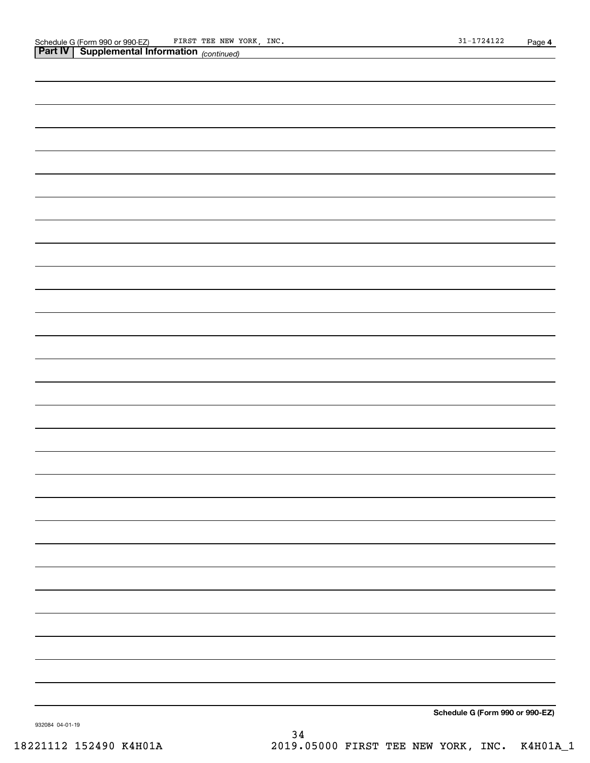| <b>Part IV   Supplemental Information</b> (continued) |
|-------------------------------------------------------|
|                                                       |
|                                                       |
|                                                       |
|                                                       |
|                                                       |
|                                                       |
|                                                       |
|                                                       |
|                                                       |
|                                                       |
|                                                       |
|                                                       |
|                                                       |
|                                                       |
|                                                       |
|                                                       |
|                                                       |
|                                                       |
|                                                       |
|                                                       |
|                                                       |
|                                                       |
|                                                       |
|                                                       |
|                                                       |
|                                                       |
|                                                       |
|                                                       |
|                                                       |
|                                                       |
| Schedule G (Form 990 or 990-EZ)                       |

932084 04-01-19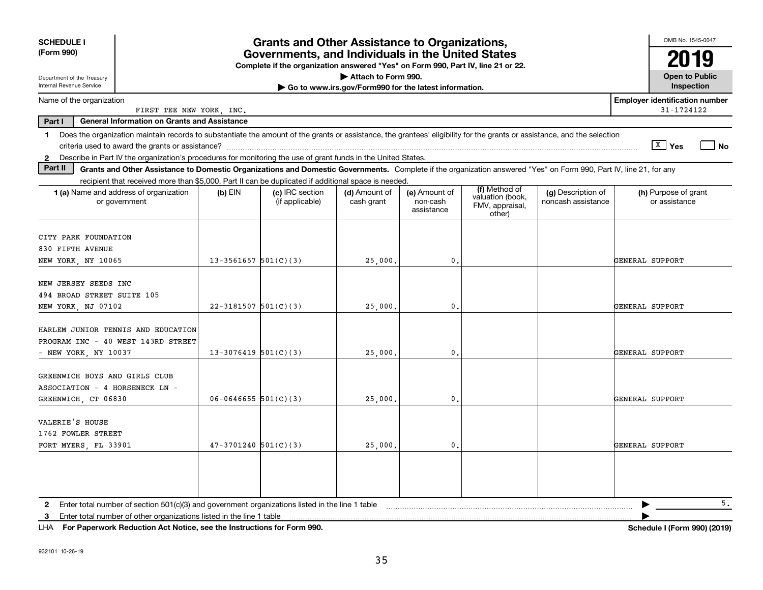| <b>SCHEDULE I</b><br><b>Grants and Other Assistance to Organizations,</b><br>(Form 990)<br>Governments, and Individuals in the United States<br>Complete if the organization answered "Yes" on Form 990, Part IV, line 21 or 22.<br>Attach to Form 990.<br>Department of the Treasury                                                |                          |                                    |                                                       |                                         |                                                                |                                          |                                                     |  |
|--------------------------------------------------------------------------------------------------------------------------------------------------------------------------------------------------------------------------------------------------------------------------------------------------------------------------------------|--------------------------|------------------------------------|-------------------------------------------------------|-----------------------------------------|----------------------------------------------------------------|------------------------------------------|-----------------------------------------------------|--|
| Internal Revenue Service                                                                                                                                                                                                                                                                                                             |                          |                                    | Go to www.irs.gov/Form990 for the latest information. |                                         |                                                                |                                          | <b>Open to Public</b><br>Inspection                 |  |
| Name of the organization<br>FIRST TEE NEW YORK, INC.                                                                                                                                                                                                                                                                                 |                          |                                    |                                                       |                                         |                                                                |                                          | <b>Employer identification number</b><br>31-1724122 |  |
| Part I<br><b>General Information on Grants and Assistance</b>                                                                                                                                                                                                                                                                        |                          |                                    |                                                       |                                         |                                                                |                                          |                                                     |  |
| Does the organization maintain records to substantiate the amount of the grants or assistance, the grantees' eligibility for the grants or assistance, and the selection<br>$\mathbf 1$<br>$\sqrt{\frac{X}{2}}$ Yes<br>Describe in Part IV the organization's procedures for monitoring the use of grant funds in the United States. |                          |                                    |                                                       |                                         |                                                                |                                          |                                                     |  |
| $\mathbf{2}$<br>Part II<br>Grants and Other Assistance to Domestic Organizations and Domestic Governments. Complete if the organization answered "Yes" on Form 990, Part IV, line 21, for any                                                                                                                                        |                          |                                    |                                                       |                                         |                                                                |                                          |                                                     |  |
| recipient that received more than \$5,000. Part II can be duplicated if additional space is needed.                                                                                                                                                                                                                                  |                          |                                    |                                                       |                                         |                                                                |                                          |                                                     |  |
| 1 (a) Name and address of organization<br>or government                                                                                                                                                                                                                                                                              | (b) $EIN$                | (c) IRC section<br>(if applicable) | (d) Amount of<br>cash grant                           | (e) Amount of<br>non-cash<br>assistance | (f) Method of<br>valuation (book,<br>FMV, appraisal,<br>other) | (g) Description of<br>noncash assistance | (h) Purpose of grant<br>or assistance               |  |
| CITY PARK FOUNDATION<br>830 FIFTH AVENUE                                                                                                                                                                                                                                                                                             |                          |                                    |                                                       |                                         |                                                                |                                          |                                                     |  |
| NEW YORK, NY 10065                                                                                                                                                                                                                                                                                                                   | $13 - 3561657$ 501(C)(3) |                                    | 25,000.                                               | 0.                                      |                                                                |                                          | GENERAL SUPPORT                                     |  |
| NEW JERSEY SEEDS INC<br>494 BROAD STREET SUITE 105<br>NEW YORK, NJ 07102                                                                                                                                                                                                                                                             | $22 - 3181507$ 501(C)(3) |                                    | 25,000                                                | 0.                                      |                                                                |                                          | GENERAL SUPPORT                                     |  |
| HARLEM JUNIOR TENNIS AND EDUCATION<br>PROGRAM INC - 40 WEST 143RD STREET<br>NEW YORK, NY 10037                                                                                                                                                                                                                                       | $13-3076419$ 501(C)(3)   |                                    | 25,000.                                               | $\mathbf{0}$ .                          |                                                                |                                          | GENERAL SUPPORT                                     |  |
| GREENWICH BOYS AND GIRLS CLUB<br>ASSOCIATION - 4 HORSENECK LN -<br>GREENWICH, CT 06830                                                                                                                                                                                                                                               | $06 - 0646655$ 501(C)(3) |                                    | 25,000                                                | $\mathbf{0}$ .                          |                                                                |                                          | GENERAL SUPPORT                                     |  |
| VALERIE'S HOUSE<br>1762 FOWLER STREET<br>FORT MYERS, FL 33901                                                                                                                                                                                                                                                                        | $47-3701240$ 501(C)(3)   |                                    | 25,000                                                | $\mathbf{0}$ .                          |                                                                |                                          | GENERAL SUPPORT                                     |  |
|                                                                                                                                                                                                                                                                                                                                      |                          |                                    |                                                       |                                         |                                                                |                                          |                                                     |  |
| Enter total number of section 501(c)(3) and government organizations listed in the line 1 table                                                                                                                                                                                                                                      |                          |                                    |                                                       |                                         |                                                                |                                          | 5.                                                  |  |
| Enter total number of other organizations listed in the line 1 table<br>3                                                                                                                                                                                                                                                            |                          |                                    |                                                       |                                         |                                                                |                                          |                                                     |  |

**For Paperwork Reduction Act Notice, see the Instructions for Form 990. Schedule I (Form 990) (2019)** LHA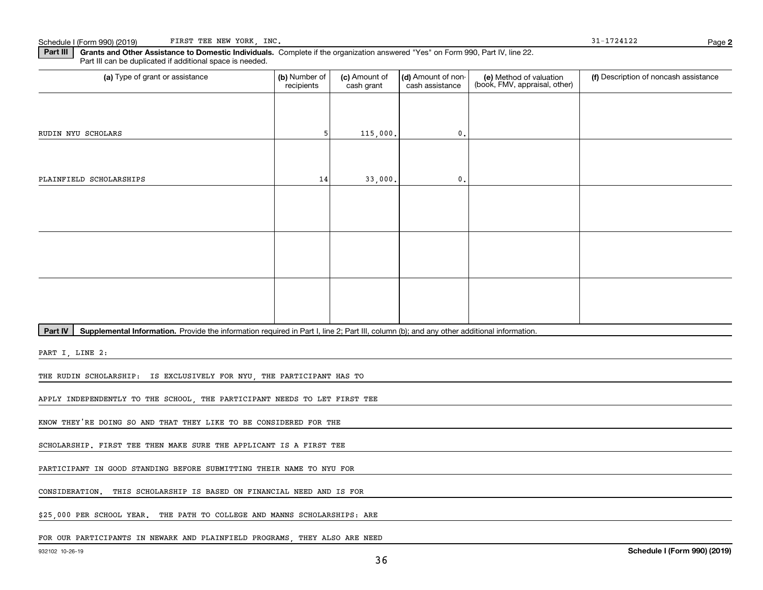**2**

**Part III | Grants and Other Assistance to Domestic Individuals. Complete if the organization answered "Yes" on Form 990, Part IV, line 22.** Part III can be duplicated if additional space is needed.

| (a) Type of grant or assistance                                                                                                                      | (b) Number of<br>recipients | (c) Amount of<br>cash grant | (d) Amount of non-<br>cash assistance | (e) Method of valuation<br>(book, FMV, appraisal, other) | (f) Description of noncash assistance |  |  |  |
|------------------------------------------------------------------------------------------------------------------------------------------------------|-----------------------------|-----------------------------|---------------------------------------|----------------------------------------------------------|---------------------------------------|--|--|--|
|                                                                                                                                                      |                             |                             |                                       |                                                          |                                       |  |  |  |
| RUDIN NYU SCHOLARS                                                                                                                                   | 5                           | 115,000.                    | $\mathbf{0}$ .                        |                                                          |                                       |  |  |  |
|                                                                                                                                                      |                             |                             |                                       |                                                          |                                       |  |  |  |
| PLAINFIELD SCHOLARSHIPS                                                                                                                              | 14                          | 33,000.                     | $\mathbf{0}$ .                        |                                                          |                                       |  |  |  |
|                                                                                                                                                      |                             |                             |                                       |                                                          |                                       |  |  |  |
|                                                                                                                                                      |                             |                             |                                       |                                                          |                                       |  |  |  |
|                                                                                                                                                      |                             |                             |                                       |                                                          |                                       |  |  |  |
|                                                                                                                                                      |                             |                             |                                       |                                                          |                                       |  |  |  |
|                                                                                                                                                      |                             |                             |                                       |                                                          |                                       |  |  |  |
|                                                                                                                                                      |                             |                             |                                       |                                                          |                                       |  |  |  |
| Part IV<br>Supplemental Information. Provide the information required in Part I, line 2; Part III, column (b); and any other additional information. |                             |                             |                                       |                                                          |                                       |  |  |  |
| PART I, LINE 2:                                                                                                                                      |                             |                             |                                       |                                                          |                                       |  |  |  |
| THE RUDIN SCHOLARSHIP: IS EXCLUSIVELY FOR NYU, THE PARTICIPANT HAS TO                                                                                |                             |                             |                                       |                                                          |                                       |  |  |  |
| APPLY INDEPENDENTLY TO THE SCHOOL, THE PARTICIPANT NEEDS TO LET FIRST TEE                                                                            |                             |                             |                                       |                                                          |                                       |  |  |  |
|                                                                                                                                                      |                             |                             |                                       |                                                          |                                       |  |  |  |

KNOW THEY'RE DOING SO AND THAT THEY LIKE TO BE CONSIDERED FOR THE

SCHOLARSHIP. FIRST TEE THEN MAKE SURE THE APPLICANT IS A FIRST TEE

PARTICIPANT IN GOOD STANDING BEFORE SUBMITTING THEIR NAME TO NYU FOR

CONSIDERATION. THIS SCHOLARSHIP IS BASED ON FINANCIAL NEED AND IS FOR

\$25,000 PER SCHOOL YEAR. THE PATH TO COLLEGE AND MANNS SCHOLARSHIPS: ARE

FOR OUR PARTICIPANTS IN NEWARK AND PLAINFIELD PROGRAMS, THEY ALSO ARE NEED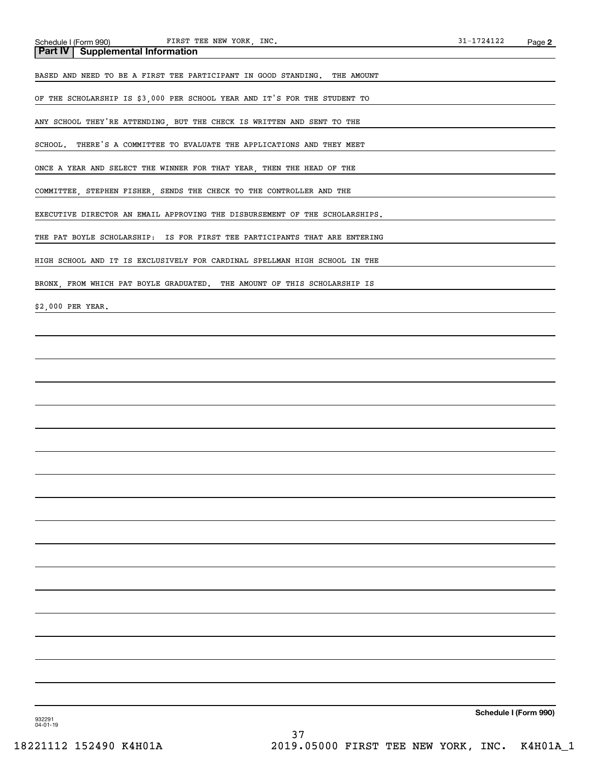| Schedule I (Form 990) FIRST TEE NEW YORK, INC.                              | $31 - 1724122$ | Page 2 |
|-----------------------------------------------------------------------------|----------------|--------|
| <b>Supplemental Information</b><br><b>Part IV</b>                           |                |        |
| BASED AND NEED TO BE A FIRST TEE PARTICIPANT IN GOOD STANDING. THE AMOUNT   |                |        |
| OF THE SCHOLARSHIP IS \$3,000 PER SCHOOL YEAR AND IT'S FOR THE STUDENT TO   |                |        |
| ANY SCHOOL THEY'RE ATTENDING, BUT THE CHECK IS WRITTEN AND SENT TO THE      |                |        |
| SCHOOL. THERE'S A COMMITTEE TO EVALUATE THE APPLICATIONS AND THEY MEET      |                |        |
| ONCE A YEAR AND SELECT THE WINNER FOR THAT YEAR, THEN THE HEAD OF THE       |                |        |
| COMMITTEE, STEPHEN FISHER, SENDS THE CHECK TO THE CONTROLLER AND THE        |                |        |
| EXECUTIVE DIRECTOR AN EMAIL APPROVING THE DISBURSEMENT OF THE SCHOLARSHIPS. |                |        |
| THE PAT BOYLE SCHOLARSHIP: IS FOR FIRST TEE PARTICIPANTS THAT ARE ENTERING  |                |        |
| HIGH SCHOOL AND IT IS EXCLUSIVELY FOR CARDINAL SPELLMAN HIGH SCHOOL IN THE  |                |        |
| BRONX, FROM WHICH PAT BOYLE GRADUATED. THE AMOUNT OF THIS SCHOLARSHIP IS    |                |        |
| \$2,000 PER YEAR.                                                           |                |        |
|                                                                             |                |        |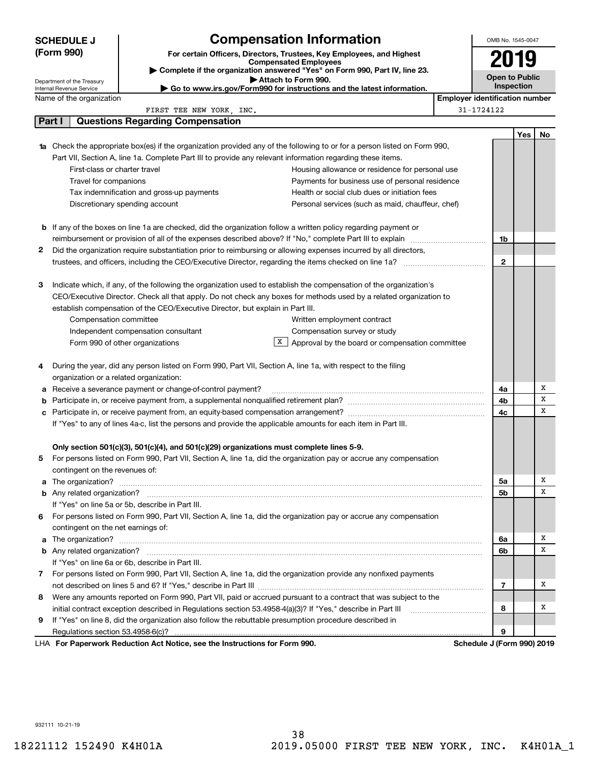| <b>SCHEDULE J</b><br>(Form 990) |                                                                                                             |                                                                                | <b>Compensation Information</b>                                                                                                                                                                                                                |                                       | OMB No. 1545-0047          |     |    |
|---------------------------------|-------------------------------------------------------------------------------------------------------------|--------------------------------------------------------------------------------|------------------------------------------------------------------------------------------------------------------------------------------------------------------------------------------------------------------------------------------------|---------------------------------------|----------------------------|-----|----|
|                                 |                                                                                                             | For certain Officers, Directors, Trustees, Key Employees, and Highest          |                                                                                                                                                                                                                                                |                                       |                            |     |    |
|                                 |                                                                                                             | Complete if the organization answered "Yes" on Form 990, Part IV, line 23.     |                                                                                                                                                                                                                                                |                                       |                            |     |    |
|                                 | Department of the Treasury                                                                                  |                                                                                | Attach to Form 990.                                                                                                                                                                                                                            |                                       | <b>Open to Public</b>      |     |    |
|                                 | <b>Internal Revenue Service</b>                                                                             |                                                                                | Go to www.irs.gov/Form990 for instructions and the latest information.                                                                                                                                                                         |                                       | Inspection                 |     |    |
|                                 | Name of the organization                                                                                    |                                                                                |                                                                                                                                                                                                                                                | <b>Employer identification number</b> |                            |     |    |
|                                 | Part I                                                                                                      | FIRST TEE NEW YORK, INC.<br><b>Questions Regarding Compensation</b>            |                                                                                                                                                                                                                                                |                                       | 31-1724122                 |     |    |
|                                 |                                                                                                             |                                                                                |                                                                                                                                                                                                                                                |                                       |                            |     |    |
|                                 |                                                                                                             |                                                                                |                                                                                                                                                                                                                                                |                                       |                            | Yes | No |
|                                 |                                                                                                             |                                                                                | <b>1a</b> Check the appropriate box(es) if the organization provided any of the following to or for a person listed on Form 990,<br>Part VII, Section A, line 1a. Complete Part III to provide any relevant information regarding these items. |                                       |                            |     |    |
|                                 | First-class or charter travel                                                                               |                                                                                | Housing allowance or residence for personal use                                                                                                                                                                                                |                                       |                            |     |    |
|                                 | Travel for companions                                                                                       |                                                                                | Payments for business use of personal residence                                                                                                                                                                                                |                                       |                            |     |    |
|                                 |                                                                                                             | Tax indemnification and gross-up payments                                      | Health or social club dues or initiation fees                                                                                                                                                                                                  |                                       |                            |     |    |
|                                 | Discretionary spending account                                                                              |                                                                                | Personal services (such as maid, chauffeur, chef)                                                                                                                                                                                              |                                       |                            |     |    |
|                                 |                                                                                                             |                                                                                |                                                                                                                                                                                                                                                |                                       |                            |     |    |
|                                 |                                                                                                             |                                                                                | <b>b</b> If any of the boxes on line 1a are checked, did the organization follow a written policy regarding payment or                                                                                                                         |                                       |                            |     |    |
|                                 |                                                                                                             |                                                                                | reimbursement or provision of all of the expenses described above? If "No," complete Part III to explain                                                                                                                                       |                                       | 1b                         |     |    |
| 2                               |                                                                                                             |                                                                                | Did the organization require substantiation prior to reimbursing or allowing expenses incurred by all directors,                                                                                                                               |                                       |                            |     |    |
|                                 |                                                                                                             |                                                                                | trustees, and officers, including the CEO/Executive Director, regarding the items checked on line 1a? <i>manageronium</i>                                                                                                                      |                                       | 2                          |     |    |
|                                 |                                                                                                             |                                                                                |                                                                                                                                                                                                                                                |                                       |                            |     |    |
| 3                               |                                                                                                             |                                                                                | Indicate which, if any, of the following the organization used to establish the compensation of the organization's                                                                                                                             |                                       |                            |     |    |
|                                 |                                                                                                             |                                                                                | CEO/Executive Director. Check all that apply. Do not check any boxes for methods used by a related organization to                                                                                                                             |                                       |                            |     |    |
|                                 |                                                                                                             | establish compensation of the CEO/Executive Director, but explain in Part III. |                                                                                                                                                                                                                                                |                                       |                            |     |    |
|                                 | Compensation committee                                                                                      |                                                                                | Written employment contract                                                                                                                                                                                                                    |                                       |                            |     |    |
|                                 |                                                                                                             | Independent compensation consultant                                            | Compensation survey or study                                                                                                                                                                                                                   |                                       |                            |     |    |
|                                 |                                                                                                             | Form 990 of other organizations                                                | $X$ Approval by the board or compensation committee                                                                                                                                                                                            |                                       |                            |     |    |
|                                 |                                                                                                             |                                                                                |                                                                                                                                                                                                                                                |                                       |                            |     |    |
| 4                               |                                                                                                             |                                                                                | During the year, did any person listed on Form 990, Part VII, Section A, line 1a, with respect to the filing                                                                                                                                   |                                       |                            |     |    |
|                                 | organization or a related organization:                                                                     |                                                                                |                                                                                                                                                                                                                                                |                                       |                            |     |    |
|                                 |                                                                                                             | a Receive a severance payment or change-of-control payment?                    |                                                                                                                                                                                                                                                |                                       | 4a                         |     | х  |
|                                 |                                                                                                             |                                                                                |                                                                                                                                                                                                                                                |                                       | 4b                         |     | х  |
|                                 |                                                                                                             |                                                                                |                                                                                                                                                                                                                                                |                                       | 4с                         |     | х  |
|                                 |                                                                                                             |                                                                                | If "Yes" to any of lines 4a-c, list the persons and provide the applicable amounts for each item in Part III.                                                                                                                                  |                                       |                            |     |    |
|                                 |                                                                                                             |                                                                                |                                                                                                                                                                                                                                                |                                       |                            |     |    |
|                                 |                                                                                                             |                                                                                | Only section 501(c)(3), 501(c)(4), and 501(c)(29) organizations must complete lines 5-9.                                                                                                                                                       |                                       |                            |     |    |
| 5                               |                                                                                                             |                                                                                | For persons listed on Form 990, Part VII, Section A, line 1a, did the organization pay or accrue any compensation                                                                                                                              |                                       |                            |     |    |
|                                 | contingent on the revenues of:                                                                              |                                                                                |                                                                                                                                                                                                                                                |                                       |                            |     | х  |
|                                 |                                                                                                             |                                                                                | a The organization? <b>With the contract of the contract of the contract of the contract of the contract of the contract of the contract of the contract of the contract of the contract of the contract of the contract of the </b>           |                                       | 5a<br>5b                   |     | x  |
|                                 |                                                                                                             | If "Yes" on line 5a or 5b, describe in Part III.                               |                                                                                                                                                                                                                                                |                                       |                            |     |    |
| 6                               |                                                                                                             |                                                                                | For persons listed on Form 990, Part VII, Section A, line 1a, did the organization pay or accrue any compensation                                                                                                                              |                                       |                            |     |    |
|                                 | contingent on the net earnings of:                                                                          |                                                                                |                                                                                                                                                                                                                                                |                                       |                            |     |    |
|                                 |                                                                                                             |                                                                                | a The organization? <b>Entitled Strategies and Strategies and Strategies and Strategies and Strategies and Strategies and Strategies and Strategies and Strategies and Strategies and Strategies and Strategies and Strategies a</b>           |                                       | 6a                         |     | х  |
|                                 |                                                                                                             |                                                                                |                                                                                                                                                                                                                                                |                                       | 6b                         |     | x  |
|                                 |                                                                                                             | If "Yes" on line 6a or 6b, describe in Part III.                               |                                                                                                                                                                                                                                                |                                       |                            |     |    |
|                                 |                                                                                                             |                                                                                | 7 For persons listed on Form 990, Part VII, Section A, line 1a, did the organization provide any nonfixed payments                                                                                                                             |                                       |                            |     |    |
|                                 |                                                                                                             |                                                                                |                                                                                                                                                                                                                                                |                                       | 7                          |     | х  |
| 8                               |                                                                                                             |                                                                                | Were any amounts reported on Form 990, Part VII, paid or accrued pursuant to a contract that was subject to the                                                                                                                                |                                       |                            |     |    |
|                                 | initial contract exception described in Regulations section 53.4958-4(a)(3)? If "Yes," describe in Part III |                                                                                | 8                                                                                                                                                                                                                                              |                                       | x                          |     |    |
| 9                               |                                                                                                             |                                                                                | If "Yes" on line 8, did the organization also follow the rebuttable presumption procedure described in                                                                                                                                         |                                       |                            |     |    |
|                                 |                                                                                                             |                                                                                |                                                                                                                                                                                                                                                |                                       | 9                          |     |    |
|                                 |                                                                                                             | LHA For Paperwork Reduction Act Notice, see the Instructions for Form 990.     |                                                                                                                                                                                                                                                |                                       | Schedule J (Form 990) 2019 |     |    |

932111 10-21-19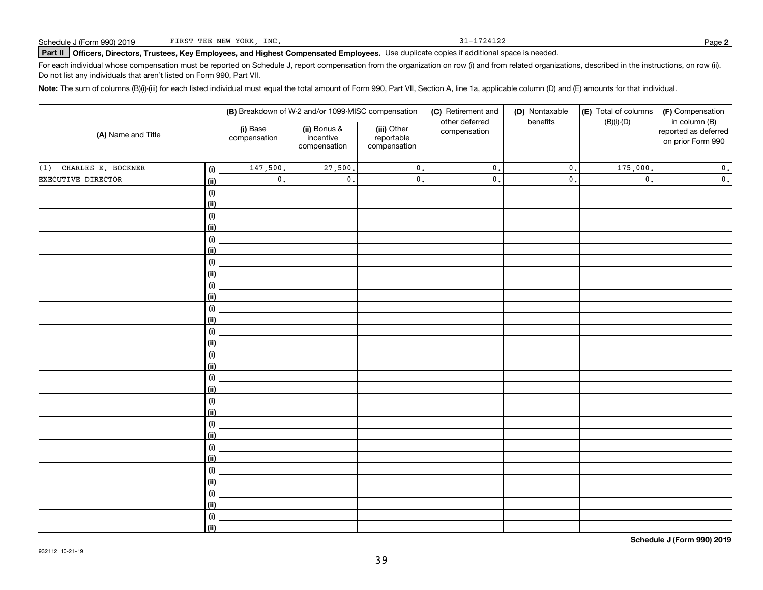31-1724122

# Schedule J (Form 990) 2019 Part FIRST TEE NEW YORK,INC**.**<br>Part II Officers, Directors, Trustees, Key Employees, and Highest Compensated Employees. Use duplicate copies if additional space is needed.

For each individual whose compensation must be reported on Schedule J, report compensation from the organization on row (i) and from related organizations, described in the instructions, on row (ii). Do not list any individuals that aren't listed on Form 990, Part VII.

**Note:**  The sum of columns (B)(i)-(iii) for each listed individual must equal the total amount of Form 990, Part VII, Section A, line 1a, applicable column (D) and (E) amounts for that individual.

| (A) Name and Title        |                              |                          | (B) Breakdown of W-2 and/or 1099-MISC compensation |                                           | (C) Retirement and<br>other deferred | (D) Nontaxable<br>benefits | (E) Total of columns<br>$(B)(i)-(D)$ | (F) Compensation<br>in column (B)         |  |
|---------------------------|------------------------------|--------------------------|----------------------------------------------------|-------------------------------------------|--------------------------------------|----------------------------|--------------------------------------|-------------------------------------------|--|
|                           |                              | (i) Base<br>compensation | (ii) Bonus &<br>incentive<br>compensation          | (iii) Other<br>reportable<br>compensation | compensation                         |                            |                                      | reported as deferred<br>on prior Form 990 |  |
| CHARLES E. BOCKNER<br>(1) | (i)                          | 147,500.                 | 27,500.                                            | $\mathsf{0}$ .                            | $\mathfrak o$ .                      | $\mathfrak o$ .            | 175,000.                             | $\mathbf 0$ .                             |  |
| EXECUTIVE DIRECTOR        | <u>(ii)</u>                  | $\mathbf 0$ .            | $\mathsf{0}$ .                                     | $\mathbf 0$ .                             | $\mathsf{0}$ .                       | $\mathfrak o$ .            | $\mathfrak{o}$ .                     | $\overline{\mathbf{0}}$ .                 |  |
|                           | $\qquad \qquad \textbf{(i)}$ |                          |                                                    |                                           |                                      |                            |                                      |                                           |  |
|                           | <u>(ii)</u>                  |                          |                                                    |                                           |                                      |                            |                                      |                                           |  |
|                           | (i)                          |                          |                                                    |                                           |                                      |                            |                                      |                                           |  |
|                           | <u>(ii)</u>                  |                          |                                                    |                                           |                                      |                            |                                      |                                           |  |
|                           | (i)                          |                          |                                                    |                                           |                                      |                            |                                      |                                           |  |
|                           | <u>(ii)</u>                  |                          |                                                    |                                           |                                      |                            |                                      |                                           |  |
|                           | (i)                          |                          |                                                    |                                           |                                      |                            |                                      |                                           |  |
|                           | <u>(ii)</u>                  |                          |                                                    |                                           |                                      |                            |                                      |                                           |  |
|                           | (i)                          |                          |                                                    |                                           |                                      |                            |                                      |                                           |  |
|                           | <u>(ii)</u>                  |                          |                                                    |                                           |                                      |                            |                                      |                                           |  |
|                           | $\qquad \qquad \textbf{(i)}$ |                          |                                                    |                                           |                                      |                            |                                      |                                           |  |
|                           | (ii)                         |                          |                                                    |                                           |                                      |                            |                                      |                                           |  |
|                           | $(\sf{i})$<br>(ii)           |                          |                                                    |                                           |                                      |                            |                                      |                                           |  |
|                           |                              |                          |                                                    |                                           |                                      |                            |                                      |                                           |  |
|                           | (i)<br><u>(ii)</u>           |                          |                                                    |                                           |                                      |                            |                                      |                                           |  |
|                           | (i)                          |                          |                                                    |                                           |                                      |                            |                                      |                                           |  |
|                           | <u>(ii)</u>                  |                          |                                                    |                                           |                                      |                            |                                      |                                           |  |
|                           | (i)                          |                          |                                                    |                                           |                                      |                            |                                      |                                           |  |
|                           | <u>(ii)</u>                  |                          |                                                    |                                           |                                      |                            |                                      |                                           |  |
|                           | (i)                          |                          |                                                    |                                           |                                      |                            |                                      |                                           |  |
|                           | <u>(ii)</u>                  |                          |                                                    |                                           |                                      |                            |                                      |                                           |  |
|                           | (i)                          |                          |                                                    |                                           |                                      |                            |                                      |                                           |  |
|                           | <u>(ii)</u>                  |                          |                                                    |                                           |                                      |                            |                                      |                                           |  |
|                           | (i)                          |                          |                                                    |                                           |                                      |                            |                                      |                                           |  |
|                           | <u>(ii)</u>                  |                          |                                                    |                                           |                                      |                            |                                      |                                           |  |
|                           | $(\sf{i})$                   |                          |                                                    |                                           |                                      |                            |                                      |                                           |  |
|                           | <u>(ii)</u>                  |                          |                                                    |                                           |                                      |                            |                                      |                                           |  |
|                           | (i)                          |                          |                                                    |                                           |                                      |                            |                                      |                                           |  |
|                           | $\overline{}}$               |                          |                                                    |                                           |                                      |                            |                                      |                                           |  |

**Schedule J (Form 990) 2019**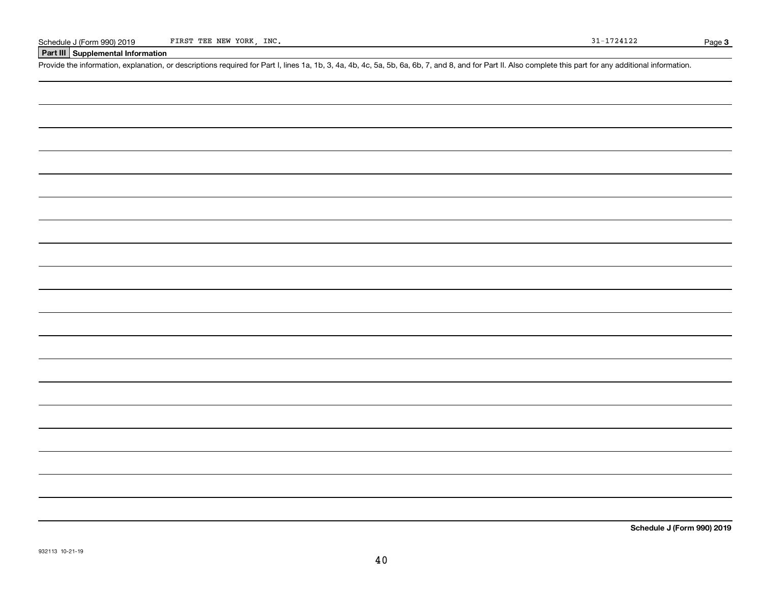### **Part III Supplemental Information**

Schedule J (Form 990) 2019 FIRST TEE NEW YORK, INC.<br>Part III Supplemental Information<br>Provide the information, explanation, or descriptions required for Part I, lines 1a, 1b, 3, 4a, 4b, 4c, 5a, 5b, 6a, 6b, 7, and 8, and fo

**Schedule J (Form 990) 2019**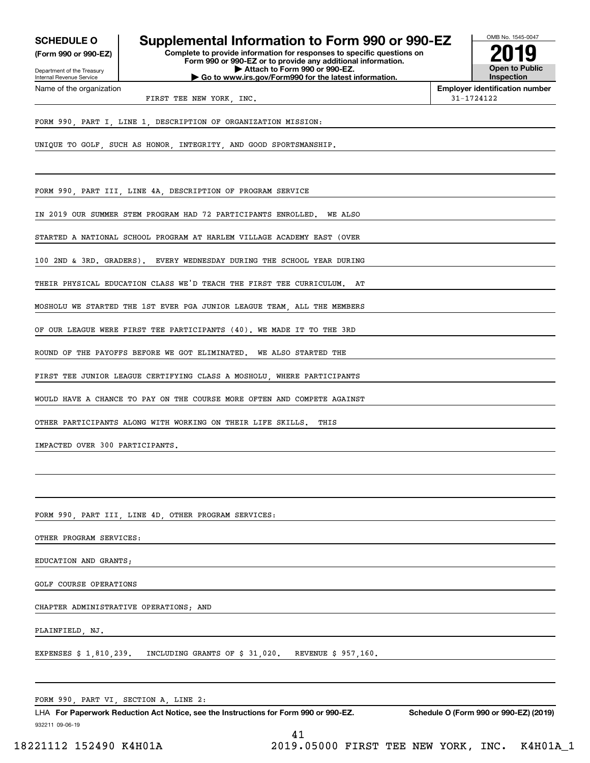**(Form 990 or 990-EZ)**

Department of the Treasury Internal Revenue Service Name of the organization

# **SCHEDULE O Supplemental Information to Form 990 or 990-EZ**

**Complete to provide information for responses to specific questions on Form 990 or 990-EZ or to provide any additional information. | Attach to Form 990 or 990-EZ. | Go to www.irs.gov/Form990 for the latest information.**



**Employer identification number**

FIRST TEE NEW YORK INC. THE SERVICE SERVICE SERVICE SERVICE SERVICE SERVICE SERVICE SERVICE SERVICE SERVICE SERVICE SERVICE SERVICE SERVICE SERVICE SERVICE SERVICE SERVICE SERVICE SERVICE SERVICE SERVICE SERVICE SERVICE SE

FORM 990, PART I, LINE 1, DESCRIPTION OF ORGANIZATION MISSION:

UNIQUE TO GOLF, SUCH AS HONOR, INTEGRITY, AND GOOD SPORTSMANSHIP.

FORM 990, PART III, LINE 4A, DESCRIPTION OF PROGRAM SERVICE

IN 2019 OUR SUMMER STEM PROGRAM HAD 72 PARTICIPANTS ENROLLED. WE ALSO

STARTED A NATIONAL SCHOOL PROGRAM AT HARLEM VILLAGE ACADEMY EAST (OVER

100 2ND & 3RD. GRADERS). EVERY WEDNESDAY DURING THE SCHOOL YEAR DURING

THEIR PHYSICAL EDUCATION CLASS WE'D TEACH THE FIRST TEE CURRICULUM. AT

MOSHOLU WE STARTED THE 1ST EVER PGA JUNIOR LEAGUE TEAM, ALL THE MEMBERS

OF OUR LEAGUE WERE FIRST TEE PARTICIPANTS (40). WE MADE IT TO THE 3RD

ROUND OF THE PAYOFFS BEFORE WE GOT ELIMINATED. WE ALSO STARTED THE

FIRST TEE JUNIOR LEAGUE CERTIFYING CLASS A MOSHOLU, WHERE PARTICIPANTS

WOULD HAVE A CHANCE TO PAY ON THE COURSE MORE OFTEN AND COMPETE AGAINST

OTHER PARTICIPANTS ALONG WITH WORKING ON THEIR LIFE SKILLS. THIS

IMPACTED OVER 300 PARTICIPANTS.

FORM 990, PART III, LINE 4D, OTHER PROGRAM SERVICES:

OTHER PROGRAM SERVICES:

EDUCATION AND GRANTS;

GOLF COURSE OPERATIONS

CHAPTER ADMINISTRATIVE OPERATIONS; AND

PLAINFIELD, NJ.

EXPENSES \$ 1,810,239. INCLUDING GRANTS OF \$ 31,020. REVENUE \$ 957,160.

FORM 990, PART VI, SECTION A, LINE 2:

932211 09-06-19 LHA For Paperwork Reduction Act Notice, see the Instructions for Form 990 or 990-EZ. Schedule O (Form 990 or 990-EZ) (2019)

41